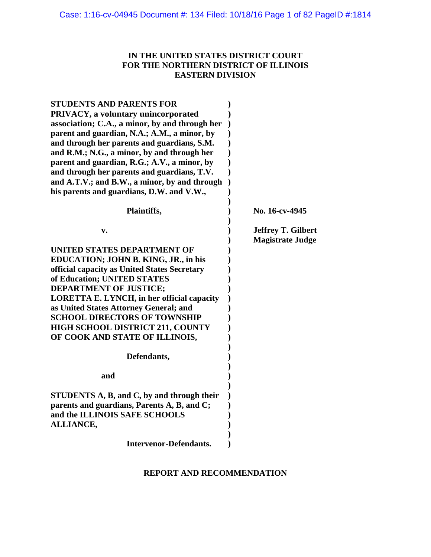# **IN THE UNITED STATES DISTRICT COURT FOR THE NORTHERN DISTRICT OF ILLINOIS EASTERN DIVISION**

| <b>STUDENTS AND PARENTS FOR</b>                   |                           |
|---------------------------------------------------|---------------------------|
| PRIVACY, a voluntary unincorporated               |                           |
| association; C.A., a minor, by and through her    |                           |
| parent and guardian, N.A.; A.M., a minor, by      |                           |
| and through her parents and guardians, S.M.       |                           |
| and R.M.; N.G., a minor, by and through her       |                           |
| parent and guardian, R.G.; A.V., a minor, by      |                           |
| and through her parents and guardians, T.V.       |                           |
| and A.T.V.; and B.W., a minor, by and through     |                           |
| his parents and guardians, D.W. and V.W.,         |                           |
|                                                   |                           |
| Plaintiffs,                                       | No. 16-cv-4945            |
|                                                   | <b>Jeffrey T. Gilbert</b> |
| v.                                                | <b>Magistrate Judge</b>   |
| UNITED STATES DEPARTMENT OF                       |                           |
|                                                   |                           |
| EDUCATION; JOHN B. KING, JR., in his              |                           |
| official capacity as United States Secretary      |                           |
| of Education; UNITED STATES                       |                           |
| <b>DEPARTMENT OF JUSTICE;</b>                     |                           |
| <b>LORETTA E. LYNCH, in her official capacity</b> |                           |
| as United States Attorney General; and            |                           |
| <b>SCHOOL DIRECTORS OF TOWNSHIP</b>               |                           |
| <b>HIGH SCHOOL DISTRICT 211, COUNTY</b>           |                           |
| OF COOK AND STATE OF ILLINOIS,                    |                           |
| Defendants,                                       |                           |
|                                                   |                           |
| and                                               |                           |
| STUDENTS A, B, and C, by and through their        |                           |
| parents and guardians, Parents A, B, and C;       |                           |
| and the ILLINOIS SAFE SCHOOLS                     |                           |
| <b>ALLIANCE,</b>                                  |                           |
|                                                   |                           |
| <b>Intervenor-Defendants.</b>                     |                           |

# **REPORT AND RECOMMENDATION**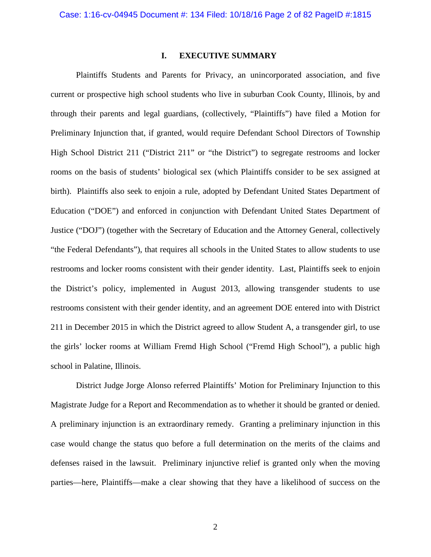## **I. EXECUTIVE SUMMARY**

Plaintiffs Students and Parents for Privacy, an unincorporated association, and five current or prospective high school students who live in suburban Cook County, Illinois, by and through their parents and legal guardians, (collectively, "Plaintiffs") have filed a Motion for Preliminary Injunction that, if granted, would require Defendant School Directors of Township High School District 211 ("District 211" or "the District") to segregate restrooms and locker rooms on the basis of students' biological sex (which Plaintiffs consider to be sex assigned at birth). Plaintiffs also seek to enjoin a rule, adopted by Defendant United States Department of Education ("DOE") and enforced in conjunction with Defendant United States Department of Justice ("DOJ") (together with the Secretary of Education and the Attorney General, collectively "the Federal Defendants"), that requires all schools in the United States to allow students to use restrooms and locker rooms consistent with their gender identity. Last, Plaintiffs seek to enjoin the District's policy, implemented in August 2013, allowing transgender students to use restrooms consistent with their gender identity, and an agreement DOE entered into with District 211 in December 2015 in which the District agreed to allow Student A, a transgender girl, to use the girls' locker rooms at William Fremd High School ("Fremd High School"), a public high school in Palatine, Illinois.

District Judge Jorge Alonso referred Plaintiffs' Motion for Preliminary Injunction to this Magistrate Judge for a Report and Recommendation as to whether it should be granted or denied. A preliminary injunction is an extraordinary remedy. Granting a preliminary injunction in this case would change the status quo before a full determination on the merits of the claims and defenses raised in the lawsuit. Preliminary injunctive relief is granted only when the moving parties—here, Plaintiffs—make a clear showing that they have a likelihood of success on the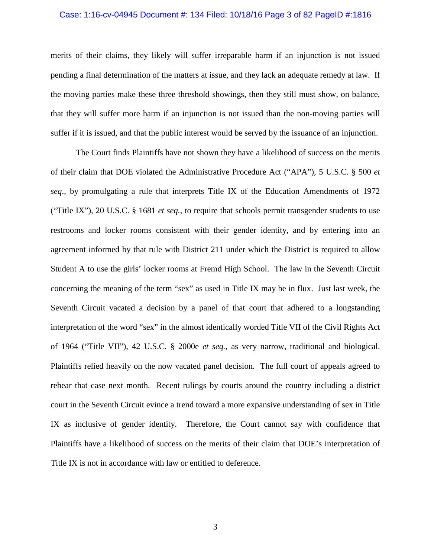### Case: 1:16-cv-04945 Document #: 134 Filed: 10/18/16 Page 3 of 82 PageID #:1816

merits of their claims, they likely will suffer irreparable harm if an injunction is not issued pending a final determination of the matters at issue, and they lack an adequate remedy at law. If the moving parties make these three threshold showings, then they still must show, on balance, that they will suffer more harm if an injunction is not issued than the non-moving parties will suffer if it is issued, and that the public interest would be served by the issuance of an injunction.

The Court finds Plaintiffs have not shown they have a likelihood of success on the merits of their claim that DOE violated the Administrative Procedure Act ("APA"), 5 U.S.C. § 500 *et seq*., by promulgating a rule that interprets Title IX of the Education Amendments of 1972 ("Title IX"), 20 U.S.C. § 1681 *et seq.*, to require that schools permit transgender students to use restrooms and locker rooms consistent with their gender identity, and by entering into an agreement informed by that rule with District 211 under which the District is required to allow Student A to use the girls' locker rooms at Fremd High School. The law in the Seventh Circuit concerning the meaning of the term "sex" as used in Title IX may be in flux. Just last week, the Seventh Circuit vacated a decision by a panel of that court that adhered to a longstanding interpretation of the word "sex" in the almost identically worded Title VII of the Civil Rights Act of 1964 ("Title VII"), 42 U.S.C. § 2000e *et seq.*, as very narrow, traditional and biological. Plaintiffs relied heavily on the now vacated panel decision. The full court of appeals agreed to rehear that case next month. Recent rulings by courts around the country including a district court in the Seventh Circuit evince a trend toward a more expansive understanding of sex in Title IX as inclusive of gender identity. Therefore, the Court cannot say with confidence that Plaintiffs have a likelihood of success on the merits of their claim that DOE's interpretation of Title IX is not in accordance with law or entitled to deference.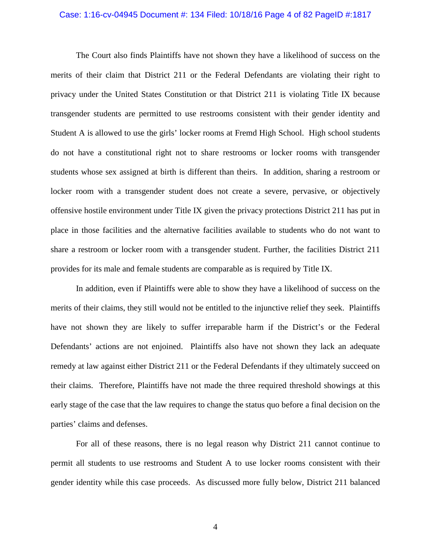#### Case: 1:16-cv-04945 Document #: 134 Filed: 10/18/16 Page 4 of 82 PageID #:1817

The Court also finds Plaintiffs have not shown they have a likelihood of success on the merits of their claim that District 211 or the Federal Defendants are violating their right to privacy under the United States Constitution or that District 211 is violating Title IX because transgender students are permitted to use restrooms consistent with their gender identity and Student A is allowed to use the girls' locker rooms at Fremd High School. High school students do not have a constitutional right not to share restrooms or locker rooms with transgender students whose sex assigned at birth is different than theirs. In addition, sharing a restroom or locker room with a transgender student does not create a severe, pervasive, or objectively offensive hostile environment under Title IX given the privacy protections District 211 has put in place in those facilities and the alternative facilities available to students who do not want to share a restroom or locker room with a transgender student. Further, the facilities District 211 provides for its male and female students are comparable as is required by Title IX.

In addition, even if Plaintiffs were able to show they have a likelihood of success on the merits of their claims, they still would not be entitled to the injunctive relief they seek. Plaintiffs have not shown they are likely to suffer irreparable harm if the District's or the Federal Defendants' actions are not enjoined. Plaintiffs also have not shown they lack an adequate remedy at law against either District 211 or the Federal Defendants if they ultimately succeed on their claims. Therefore, Plaintiffs have not made the three required threshold showings at this early stage of the case that the law requires to change the status quo before a final decision on the parties' claims and defenses.

For all of these reasons, there is no legal reason why District 211 cannot continue to permit all students to use restrooms and Student A to use locker rooms consistent with their gender identity while this case proceeds. As discussed more fully below, District 211 balanced

4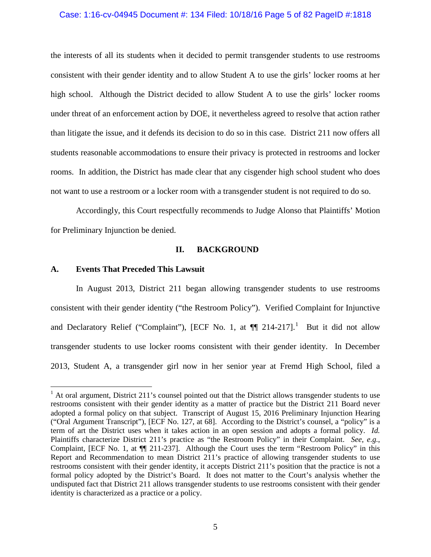### Case: 1:16-cv-04945 Document #: 134 Filed: 10/18/16 Page 5 of 82 PageID #:1818

the interests of all its students when it decided to permit transgender students to use restrooms consistent with their gender identity and to allow Student A to use the girls' locker rooms at her high school. Although the District decided to allow Student A to use the girls' locker rooms under threat of an enforcement action by DOE, it nevertheless agreed to resolve that action rather than litigate the issue, and it defends its decision to do so in this case. District 211 now offers all students reasonable accommodations to ensure their privacy is protected in restrooms and locker rooms. In addition, the District has made clear that any cisgender high school student who does not want to use a restroom or a locker room with a transgender student is not required to do so.

Accordingly, this Court respectfully recommends to Judge Alonso that Plaintiffs' Motion for Preliminary Injunction be denied.

## **II. BACKGROUND**

# **A. Events That Preceded This Lawsuit**

 $\overline{a}$ 

In August 2013, District 211 began allowing transgender students to use restrooms consistent with their gender identity ("the Restroom Policy").Verified Complaint for Injunctive and Declaratory Relief ("Complaint"), [ECF No. [1](#page-4-0), at  $\P$  214-217].<sup>1</sup> But it did not allow transgender students to use locker rooms consistent with their gender identity. In December 2013, Student A, a transgender girl now in her senior year at Fremd High School, filed a

<span id="page-4-0"></span> $1$  At oral argument, District 211's counsel pointed out that the District allows transgender students to use restrooms consistent with their gender identity as a matter of practice but the District 211 Board never adopted a formal policy on that subject. Transcript of August 15, 2016 Preliminary Injunction Hearing ("Oral Argument Transcript"), [ECF No. 127, at 68]. According to the District's counsel, a "policy" is a term of art the District uses when it takes action in an open session and adopts a formal policy. *Id.*  Plaintiffs characterize District 211's practice as "the Restroom Policy" in their Complaint. *See*, *e.g.*, Complaint, [ECF No. 1, at ¶¶ 211-237]. Although the Court uses the term "Restroom Policy" in this Report and Recommendation to mean District 211's practice of allowing transgender students to use restrooms consistent with their gender identity, it accepts District 211's position that the practice is not a formal policy adopted by the District's Board. It does not matter to the Court's analysis whether the undisputed fact that District 211 allows transgender students to use restrooms consistent with their gender identity is characterized as a practice or a policy.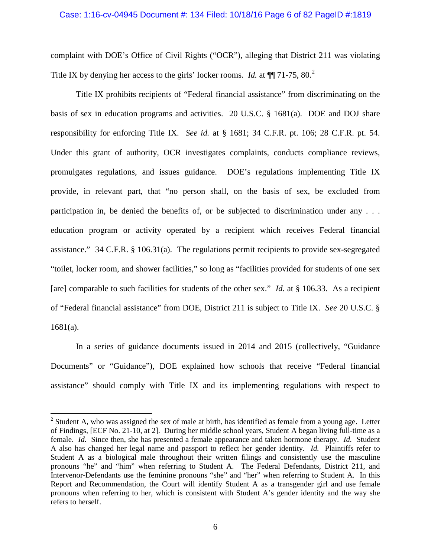### Case: 1:16-cv-04945 Document #: 134 Filed: 10/18/16 Page 6 of 82 PageID #:1819

complaint with DOE's Office of Civil Rights ("OCR"), alleging that District 211 was violating Title IX by denying her access to the girls' locker rooms. *Id.* at  $\P$ [71-75, 80.<sup>[2](#page-5-0)</sup>]

Title IX prohibits recipients of "Federal financial assistance" from discriminating on the basis of sex in education programs and activities. 20 U.S.C. § 1681(a). DOE and DOJ share responsibility for enforcing Title IX. *See id.* at § 1681; 34 C.F.R. pt. 106; 28 C.F.R. pt. 54. Under this grant of authority, OCR investigates complaints, conducts compliance reviews, promulgates regulations, and issues guidance. DOE's regulations implementing Title IX provide, in relevant part, that "no person shall, on the basis of sex, be excluded from participation in, be denied the benefits of, or be subjected to discrimination under any . . . education program or activity operated by a recipient which receives Federal financial assistance." 34 C.F.R. § 106.31(a). The regulations permit recipients to provide sex-segregated "toilet, locker room, and shower facilities," so long as "facilities provided for students of one sex [are] comparable to such facilities for students of the other sex." *Id.* at § 106.33. As a recipient of "Federal financial assistance" from DOE, District 211 is subject to Title IX. *See* 20 U.S.C. § 1681(a).

In a series of guidance documents issued in 2014 and 2015 (collectively, "Guidance Documents" or "Guidance"), DOE explained how schools that receive "Federal financial assistance" should comply with Title IX and its implementing regulations with respect to

<span id="page-5-0"></span> $2$  Student A, who was assigned the sex of male at birth, has identified as female from a young age. Letter of Findings, [ECF No. 21-10, at 2]. During her middle school years, Student A began living full-time as a female. *Id.* Since then, she has presented a female appearance and taken hormone therapy. *Id.* Student A also has changed her legal name and passport to reflect her gender identity. *Id.* Plaintiffs refer to Student A as a biological male throughout their written filings and consistently use the masculine pronouns "he" and "him" when referring to Student A. The Federal Defendants, District 211, and Intervenor-Defendants use the feminine pronouns "she" and "her" when referring to Student A. In this Report and Recommendation, the Court will identify Student A as a transgender girl and use female pronouns when referring to her, which is consistent with Student A's gender identity and the way she refers to herself.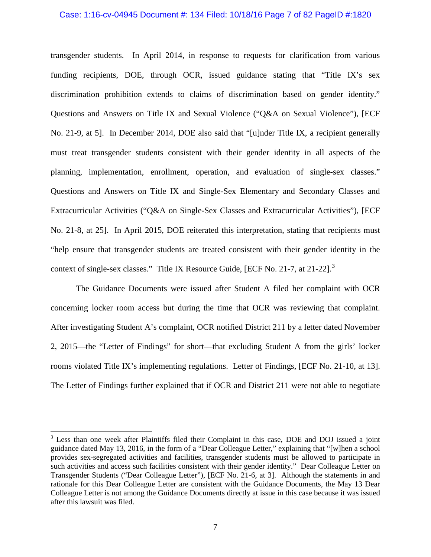### Case: 1:16-cv-04945 Document #: 134 Filed: 10/18/16 Page 7 of 82 PageID #:1820

transgender students. In April 2014, in response to requests for clarification from various funding recipients, DOE, through OCR, issued guidance stating that "Title IX's sex discrimination prohibition extends to claims of discrimination based on gender identity." Questions and Answers on Title IX and Sexual Violence ("Q&A on Sexual Violence"), [ECF No. 21-9, at 5]. In December 2014, DOE also said that "[u]nder Title IX, a recipient generally must treat transgender students consistent with their gender identity in all aspects of the planning, implementation, enrollment, operation, and evaluation of single-sex classes." Questions and Answers on Title IX and Single-Sex Elementary and Secondary Classes and Extracurricular Activities ("Q&A on Single-Sex Classes and Extracurricular Activities"), [ECF No. 21-8, at 25]. In April 2015, DOE reiterated this interpretation, stating that recipients must "help ensure that transgender students are treated consistent with their gender identity in the context of single-sex classes." Title IX Resource Guide, [ECF No. 21-7, at 21-22].<sup>[3](#page-6-0)</sup>

The Guidance Documents were issued after Student A filed her complaint with OCR concerning locker room access but during the time that OCR was reviewing that complaint. After investigating Student A's complaint, OCR notified District 211 by a letter dated November 2, 2015—the "Letter of Findings" for short—that excluding Student A from the girls' locker rooms violated Title IX's implementing regulations. Letter of Findings, [ECF No. 21-10, at 13]. The Letter of Findings further explained that if OCR and District 211 were not able to negotiate

<span id="page-6-0"></span><sup>&</sup>lt;sup>3</sup> Less than one week after Plaintiffs filed their Complaint in this case, DOE and DOJ issued a joint guidance dated May 13, 2016, in the form of a "Dear Colleague Letter," explaining that "[w]hen a school provides sex-segregated activities and facilities, transgender students must be allowed to participate in such activities and access such facilities consistent with their gender identity." Dear Colleague Letter on Transgender Students ("Dear Colleague Letter"), [ECF No. 21-6, at 3]. Although the statements in and rationale for this Dear Colleague Letter are consistent with the Guidance Documents, the May 13 Dear Colleague Letter is not among the Guidance Documents directly at issue in this case because it was issued after this lawsuit was filed.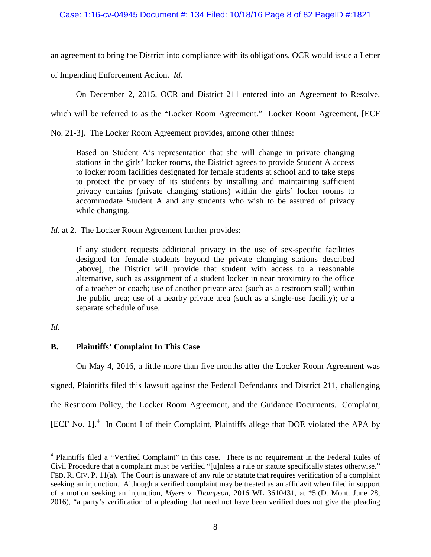an agreement to bring the District into compliance with its obligations, OCR would issue a Letter

of Impending Enforcement Action. *Id.*

On December 2, 2015, OCR and District 211 entered into an Agreement to Resolve,

which will be referred to as the "Locker Room Agreement." Locker Room Agreement, [ECF

No. 21-3]. The Locker Room Agreement provides, among other things:

Based on Student A's representation that she will change in private changing stations in the girls' locker rooms, the District agrees to provide Student A access to locker room facilities designated for female students at school and to take steps to protect the privacy of its students by installing and maintaining sufficient privacy curtains (private changing stations) within the girls' locker rooms to accommodate Student A and any students who wish to be assured of privacy while changing.

*Id.* at 2. The Locker Room Agreement further provides:

If any student requests additional privacy in the use of sex-specific facilities designed for female students beyond the private changing stations described [above], the District will provide that student with access to a reasonable alternative, such as assignment of a student locker in near proximity to the office of a teacher or coach; use of another private area (such as a restroom stall) within the public area; use of a nearby private area (such as a single-use facility); or a separate schedule of use.

# *Id.*

# **B. Plaintiffs' Complaint In This Case**

On May 4, 2016, a little more than five months after the Locker Room Agreement was signed, Plaintiffs filed this lawsuit against the Federal Defendants and District 211, challenging the Restroom Policy, the Locker Room Agreement, and the Guidance Documents. Complaint, [ECF No. 1]. $<sup>4</sup>$  $<sup>4</sup>$  $<sup>4</sup>$  In Count I of their Complaint, Plaintiffs allege that DOE violated the APA by</sup>

<span id="page-7-0"></span><sup>4</sup> Plaintiffs filed a "Verified Complaint" in this case. There is no requirement in the Federal Rules of Civil Procedure that a complaint must be verified "[u]nless a rule or statute specifically states otherwise." FED. R. CIV. P. 11(a). The Court is unaware of any rule or statute that requires verification of a complaint seeking an injunction. Although a verified complaint may be treated as an affidavit when filed in support of a motion seeking an injunction, *Myers v. Thompson,* 2016 WL 3610431, at \*5 (D. Mont. June 28, 2016), "a party's verification of a pleading that need not have been verified does not give the pleading  $\overline{a}$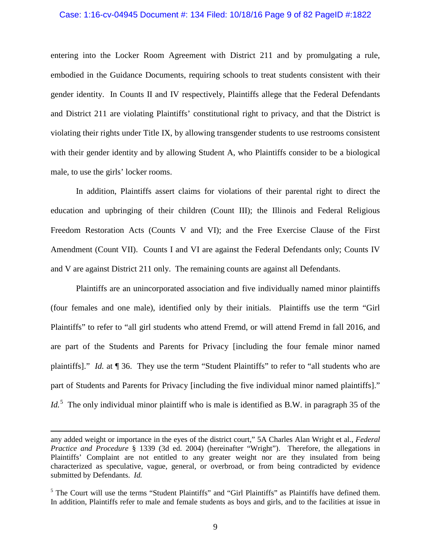### Case: 1:16-cv-04945 Document #: 134 Filed: 10/18/16 Page 9 of 82 PageID #:1822

entering into the Locker Room Agreement with District 211 and by promulgating a rule, embodied in the Guidance Documents, requiring schools to treat students consistent with their gender identity. In Counts II and IV respectively, Plaintiffs allege that the Federal Defendants and District 211 are violating Plaintiffs' constitutional right to privacy, and that the District is violating their rights under Title IX, by allowing transgender students to use restrooms consistent with their gender identity and by allowing Student A, who Plaintiffs consider to be a biological male, to use the girls' locker rooms.

In addition, Plaintiffs assert claims for violations of their parental right to direct the education and upbringing of their children (Count III); the Illinois and Federal Religious Freedom Restoration Acts (Counts V and VI); and the Free Exercise Clause of the First Amendment (Count VII). Counts I and VI are against the Federal Defendants only; Counts IV and V are against District 211 only. The remaining counts are against all Defendants.

Plaintiffs are an unincorporated association and five individually named minor plaintiffs (four females and one male), identified only by their initials. Plaintiffs use the term "Girl Plaintiffs" to refer to "all girl students who attend Fremd, or will attend Fremd in fall 2016, and are part of the Students and Parents for Privacy [including the four female minor named plaintiffs]." *Id.* at ¶ 36. They use the term "Student Plaintiffs" to refer to "all students who are part of Students and Parents for Privacy [including the five individual minor named plaintiffs]." Id.<sup>[5](#page-8-0)</sup> The only individual minor plaintiff who is male is identified as B.W. in paragraph 35 of the

any added weight or importance in the eyes of the district court," 5A Charles Alan Wright et al., *Federal Practice and Procedure* § 1339 (3d ed. 2004) (hereinafter "Wright"). Therefore, the allegations in Plaintiffs' Complaint are not entitled to any greater weight nor are they insulated from being characterized as speculative, vague, general, or overbroad, or from being contradicted by evidence submitted by Defendants. *Id.*

<span id="page-8-0"></span> $<sup>5</sup>$  The Court will use the terms "Student Plaintiffs" and "Girl Plaintiffs" as Plaintiffs have defined them.</sup> In addition, Plaintiffs refer to male and female students as boys and girls, and to the facilities at issue in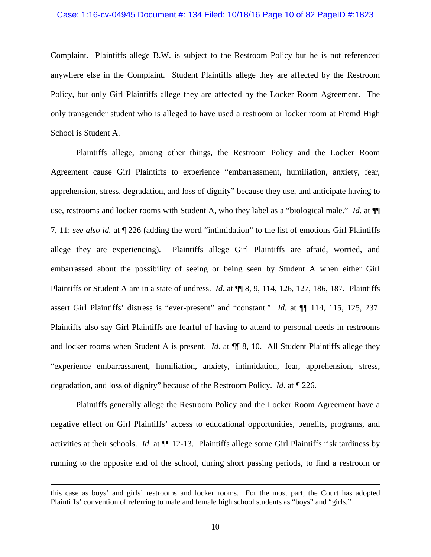#### Case: 1:16-cv-04945 Document #: 134 Filed: 10/18/16 Page 10 of 82 PageID #:1823

Complaint. Plaintiffs allege B.W. is subject to the Restroom Policy but he is not referenced anywhere else in the Complaint. Student Plaintiffs allege they are affected by the Restroom Policy, but only Girl Plaintiffs allege they are affected by the Locker Room Agreement. The only transgender student who is alleged to have used a restroom or locker room at Fremd High School is Student A.

Plaintiffs allege, among other things, the Restroom Policy and the Locker Room Agreement cause Girl Plaintiffs to experience "embarrassment, humiliation, anxiety, fear, apprehension, stress, degradation, and loss of dignity" because they use, and anticipate having to use, restrooms and locker rooms with Student A, who they label as a "biological male." *Id.* at ¶¶ 7, 11; *see also id.* at ¶ 226 (adding the word "intimidation" to the list of emotions Girl Plaintiffs allege they are experiencing). Plaintiffs allege Girl Plaintiffs are afraid, worried, and embarrassed about the possibility of seeing or being seen by Student A when either Girl Plaintiffs or Student A are in a state of undress. *Id.* at ¶¶ 8, 9, 114, 126, 127, 186, 187. Plaintiffs assert Girl Plaintiffs' distress is "ever-present" and "constant." *Id.* at ¶¶ 114, 115, 125, 237. Plaintiffs also say Girl Plaintiffs are fearful of having to attend to personal needs in restrooms and locker rooms when Student A is present. *Id*. at ¶¶ 8, 10. All Student Plaintiffs allege they "experience embarrassment, humiliation, anxiety, intimidation, fear, apprehension, stress, degradation, and loss of dignity" because of the Restroom Policy. *Id*. at ¶ 226.

Plaintiffs generally allege the Restroom Policy and the Locker Room Agreement have a negative effect on Girl Plaintiffs' access to educational opportunities, benefits, programs, and activities at their schools. *Id*. at ¶¶ 12-13. Plaintiffs allege some Girl Plaintiffs risk tardiness by running to the opposite end of the school, during short passing periods, to find a restroom or

this case as boys' and girls' restrooms and locker rooms. For the most part, the Court has adopted Plaintiffs' convention of referring to male and female high school students as "boys" and "girls."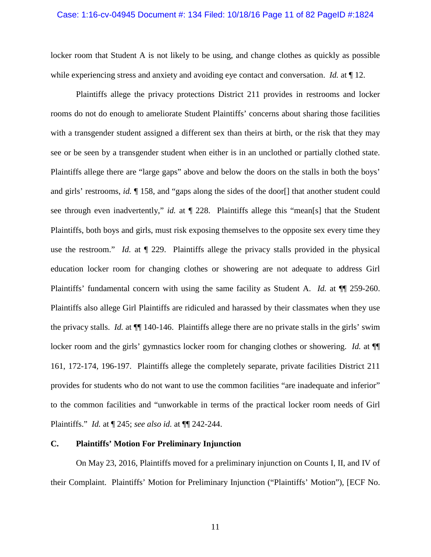# Case: 1:16-cv-04945 Document #: 134 Filed: 10/18/16 Page 11 of 82 PageID #:1824

locker room that Student A is not likely to be using, and change clothes as quickly as possible while experiencing stress and anxiety and avoiding eye contact and conversation. *Id.* at  $\P$  12.

Plaintiffs allege the privacy protections District 211 provides in restrooms and locker rooms do not do enough to ameliorate Student Plaintiffs' concerns about sharing those facilities with a transgender student assigned a different sex than theirs at birth, or the risk that they may see or be seen by a transgender student when either is in an unclothed or partially clothed state. Plaintiffs allege there are "large gaps" above and below the doors on the stalls in both the boys' and girls' restrooms, *id.* ¶ 158, and "gaps along the sides of the door[] that another student could see through even inadvertently," *id.* at ¶ 228. Plaintiffs allege this "mean[s] that the Student Plaintiffs, both boys and girls, must risk exposing themselves to the opposite sex every time they use the restroom." *Id.* at ¶ 229. Plaintiffs allege the privacy stalls provided in the physical education locker room for changing clothes or showering are not adequate to address Girl Plaintiffs' fundamental concern with using the same facility as Student A. *Id.* at ¶¶ 259-260. Plaintiffs also allege Girl Plaintiffs are ridiculed and harassed by their classmates when they use the privacy stalls. *Id.* at ¶¶ 140-146. Plaintiffs allege there are no private stalls in the girls' swim locker room and the girls' gymnastics locker room for changing clothes or showering. *Id.* at  $\P$ 161, 172-174, 196-197. Plaintiffs allege the completely separate, private facilities District 211 provides for students who do not want to use the common facilities "are inadequate and inferior" to the common facilities and "unworkable in terms of the practical locker room needs of Girl Plaintiffs." *Id.* at ¶ 245; *see also id.* at ¶¶ 242-244.

# **C. Plaintiffs' Motion For Preliminary Injunction**

On May 23, 2016, Plaintiffs moved for a preliminary injunction on Counts I, II, and IV of their Complaint. Plaintiffs' Motion for Preliminary Injunction ("Plaintiffs' Motion"), [ECF No.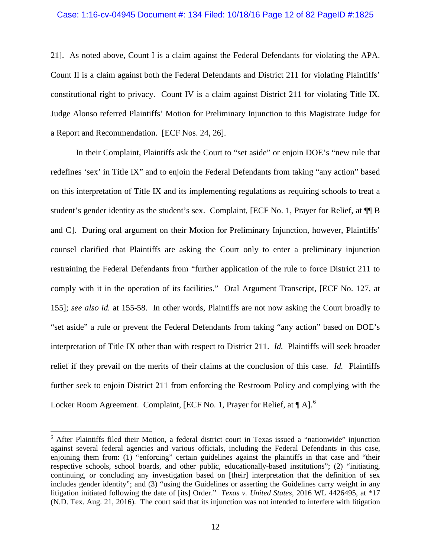### Case: 1:16-cv-04945 Document #: 134 Filed: 10/18/16 Page 12 of 82 PageID #:1825

21]. As noted above, Count I is a claim against the Federal Defendants for violating the APA. Count II is a claim against both the Federal Defendants and District 211 for violating Plaintiffs' constitutional right to privacy. Count IV is a claim against District 211 for violating Title IX. Judge Alonso referred Plaintiffs' Motion for Preliminary Injunction to this Magistrate Judge for a Report and Recommendation. [ECF Nos. 24, 26].

In their Complaint, Plaintiffs ask the Court to "set aside" or enjoin DOE's "new rule that redefines 'sex' in Title IX" and to enjoin the Federal Defendants from taking "any action" based on this interpretation of Title IX and its implementing regulations as requiring schools to treat a student's gender identity as the student's sex. Complaint, [ECF No. 1, Prayer for Relief, at ¶¶ B and C]. During oral argument on their Motion for Preliminary Injunction, however, Plaintiffs' counsel clarified that Plaintiffs are asking the Court only to enter a preliminary injunction restraining the Federal Defendants from "further application of the rule to force District 211 to comply with it in the operation of its facilities." Oral Argument Transcript, [ECF No. 127, at 155]; *see also id.* at 155-58. In other words, Plaintiffs are not now asking the Court broadly to "set aside" a rule or prevent the Federal Defendants from taking "any action" based on DOE's interpretation of Title IX other than with respect to District 211. *Id.* Plaintiffs will seek broader relief if they prevail on the merits of their claims at the conclusion of this case. *Id.* Plaintiffs further seek to enjoin District 211 from enforcing the Restroom Policy and complying with the Locker Room Agreement. Complaint, [ECF No. 1, Prayer for Relief, at  $\P$  A].<sup>[6](#page-11-0)</sup>

<span id="page-11-0"></span> $6$  After Plaintiffs filed their Motion, a federal district court in Texas issued a "nationwide" injunction against several federal agencies and various officials, including the Federal Defendants in this case, enjoining them from: (1) "enforcing" certain guidelines against the plaintiffs in that case and "their respective schools, school boards, and other public, educationally-based institutions"; (2) "initiating, continuing, or concluding any investigation based on [their] interpretation that the definition of sex includes gender identity"; and (3) "using the Guidelines or asserting the Guidelines carry weight in any litigation initiated following the date of [its] Order." *Texas v. United States*, 2016 WL 4426495, at \*17 (N.D. Tex. Aug. 21, 2016). The court said that its injunction was not intended to interfere with litigation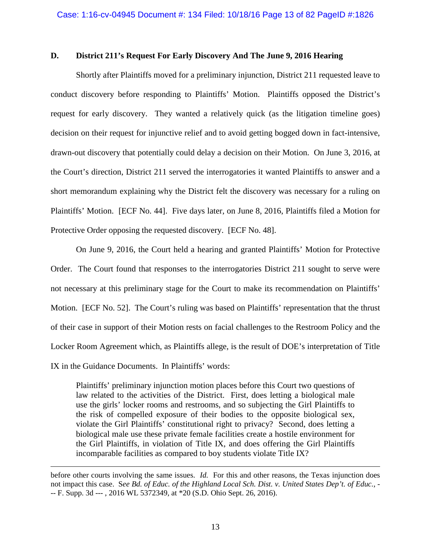# **D. District 211's Request For Early Discovery And The June 9, 2016 Hearing**

Shortly after Plaintiffs moved for a preliminary injunction, District 211 requested leave to conduct discovery before responding to Plaintiffs' Motion. Plaintiffs opposed the District's request for early discovery. They wanted a relatively quick (as the litigation timeline goes) decision on their request for injunctive relief and to avoid getting bogged down in fact-intensive, drawn-out discovery that potentially could delay a decision on their Motion. On June 3, 2016, at the Court's direction, District 211 served the interrogatories it wanted Plaintiffs to answer and a short memorandum explaining why the District felt the discovery was necessary for a ruling on Plaintiffs' Motion. [ECF No. 44]. Five days later, on June 8, 2016, Plaintiffs filed a Motion for Protective Order opposing the requested discovery. [ECF No. 48].

On June 9, 2016, the Court held a hearing and granted Plaintiffs' Motion for Protective Order. The Court found that responses to the interrogatories District 211 sought to serve were not necessary at this preliminary stage for the Court to make its recommendation on Plaintiffs' Motion. [ECF No. 52]. The Court's ruling was based on Plaintiffs' representation that the thrust of their case in support of their Motion rests on facial challenges to the Restroom Policy and the Locker Room Agreement which, as Plaintiffs allege, is the result of DOE's interpretation of Title IX in the Guidance Documents. In Plaintiffs' words:

Plaintiffs' preliminary injunction motion places before this Court two questions of law related to the activities of the District. First, does letting a biological male use the girls' locker rooms and restrooms, and so subjecting the Girl Plaintiffs to the risk of compelled exposure of their bodies to the opposite biological sex, violate the Girl Plaintiffs' constitutional right to privacy? Second, does letting a biological male use these private female facilities create a hostile environment for the Girl Plaintiffs, in violation of Title IX, and does offering the Girl Plaintiffs incomparable facilities as compared to boy students violate Title IX?

before other courts involving the same issues. *Id.* For this and other reasons, the Texas injunction does not impact this case. S*ee Bd. of Educ. of the Highland Local Sch. Dist. v. United States Dep't. of Educ.*, - -- F. Supp. 3d --- , 2016 WL 5372349, at \*20 (S.D. Ohio Sept. 26, 2016).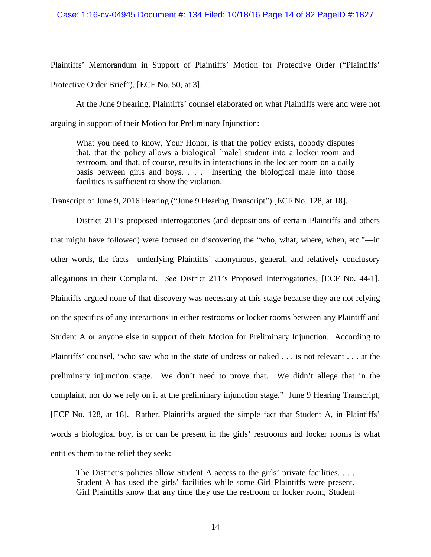### Case: 1:16-cv-04945 Document #: 134 Filed: 10/18/16 Page 14 of 82 PageID #:1827

Plaintiffs' Memorandum in Support of Plaintiffs' Motion for Protective Order ("Plaintiffs' Protective Order Brief"), [ECF No. 50, at 3].

At the June 9 hearing, Plaintiffs' counsel elaborated on what Plaintiffs were and were not arguing in support of their Motion for Preliminary Injunction:

What you need to know, Your Honor, is that the policy exists, nobody disputes that, that the policy allows a biological [male] student into a locker room and restroom, and that, of course, results in interactions in the locker room on a daily basis between girls and boys. . . . Inserting the biological male into those facilities is sufficient to show the violation.

Transcript of June 9, 2016 Hearing ("June 9 Hearing Transcript") [ECF No. 128, at 18].

District 211's proposed interrogatories (and depositions of certain Plaintiffs and others that might have followed) were focused on discovering the "who, what, where, when, etc."—in other words, the facts—underlying Plaintiffs' anonymous, general, and relatively conclusory allegations in their Complaint. *See* District 211's Proposed Interrogatories, [ECF No. 44-1]. Plaintiffs argued none of that discovery was necessary at this stage because they are not relying on the specifics of any interactions in either restrooms or locker rooms between any Plaintiff and Student A or anyone else in support of their Motion for Preliminary Injunction. According to Plaintiffs' counsel, "who saw who in the state of undress or naked . . . is not relevant . . . at the preliminary injunction stage. We don't need to prove that. We didn't allege that in the complaint, nor do we rely on it at the preliminary injunction stage." June 9 Hearing Transcript, [ECF No. 128, at 18]. Rather, Plaintiffs argued the simple fact that Student A, in Plaintiffs' words a biological boy, is or can be present in the girls' restrooms and locker rooms is what entitles them to the relief they seek:

The District's policies allow Student A access to the girls' private facilities. . . . Student A has used the girls' facilities while some Girl Plaintiffs were present. Girl Plaintiffs know that any time they use the restroom or locker room, Student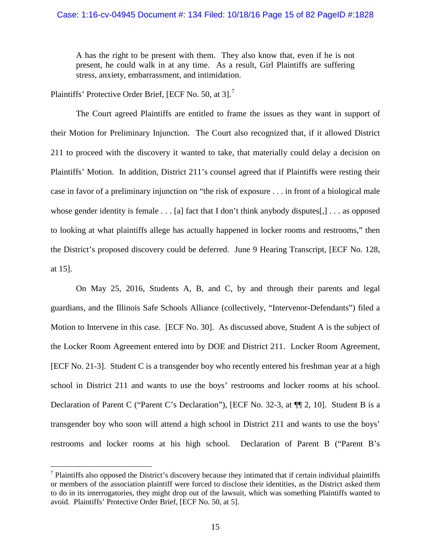## Case: 1:16-cv-04945 Document #: 134 Filed: 10/18/16 Page 15 of 82 PageID #:1828

A has the right to be present with them. They also know that, even if he is not present, he could walk in at any time. As a result, Girl Plaintiffs are suffering stress, anxiety, embarrassment, and intimidation.

Plaintiffs' Protective Order Brief, [ECF No. 50, at 3].<sup>[7](#page-14-0)</sup>

 $\overline{a}$ 

The Court agreed Plaintiffs are entitled to frame the issues as they want in support of their Motion for Preliminary Injunction. The Court also recognized that, if it allowed District 211 to proceed with the discovery it wanted to take, that materially could delay a decision on Plaintiffs' Motion. In addition, District 211's counsel agreed that if Plaintiffs were resting their case in favor of a preliminary injunction on "the risk of exposure . . . in front of a biological male whose gender identity is female . . . [a] fact that I don't think anybody disputes[,] . . . as opposed to looking at what plaintiffs allege has actually happened in locker rooms and restrooms," then the District's proposed discovery could be deferred. June 9 Hearing Transcript, [ECF No. 128, at 15].

On May 25, 2016, Students A, B, and C, by and through their parents and legal guardians, and the Illinois Safe Schools Alliance (collectively, "Intervenor-Defendants") filed a Motion to Intervene in this case. [ECF No. 30]. As discussed above, Student A is the subject of the Locker Room Agreement entered into by DOE and District 211. Locker Room Agreement, [ECF No. 21-3]. Student C is a transgender boy who recently entered his freshman year at a high school in District 211 and wants to use the boys' restrooms and locker rooms at his school. Declaration of Parent C ("Parent C's Declaration"), [ECF No. 32-3, at  $\P$ [2, 10]. Student B is a transgender boy who soon will attend a high school in District 211 and wants to use the boys' restrooms and locker rooms at his high school. Declaration of Parent B ("Parent B's

<span id="page-14-0"></span> $<sup>7</sup>$  Plaintiffs also opposed the District's discovery because they intimated that if certain individual plaintiffs</sup> or members of the association plaintiff were forced to disclose their identities, as the District asked them to do in its interrogatories, they might drop out of the lawsuit, which was something Plaintiffs wanted to avoid. Plaintiffs' Protective Order Brief, [ECF No. 50, at 5].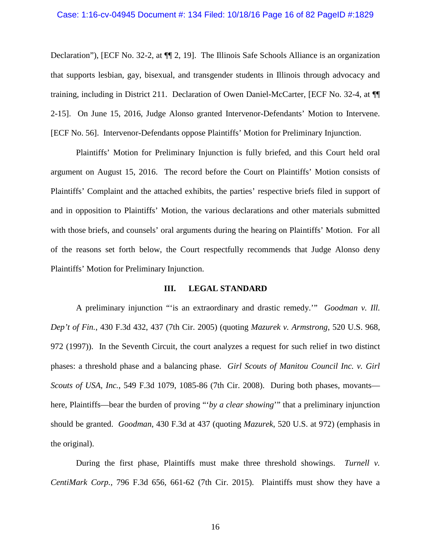# Case: 1:16-cv-04945 Document #: 134 Filed: 10/18/16 Page 16 of 82 PageID #:1829

Declaration"), [ECF No. 32-2, at  $\P$  2, 19]. The Illinois Safe Schools Alliance is an organization that supports lesbian, gay, bisexual, and transgender students in Illinois through advocacy and training, including in District 211. Declaration of Owen Daniel-McCarter, [ECF No. 32-4, at ¶¶ 2-15]. On June 15, 2016, Judge Alonso granted Intervenor-Defendants' Motion to Intervene. [ECF No. 56]. Intervenor-Defendants oppose Plaintiffs' Motion for Preliminary Injunction.

Plaintiffs' Motion for Preliminary Injunction is fully briefed, and this Court held oral argument on August 15, 2016. The record before the Court on Plaintiffs' Motion consists of Plaintiffs' Complaint and the attached exhibits, the parties' respective briefs filed in support of and in opposition to Plaintiffs' Motion, the various declarations and other materials submitted with those briefs, and counsels' oral arguments during the hearing on Plaintiffs' Motion. For all of the reasons set forth below, the Court respectfully recommends that Judge Alonso deny Plaintiffs' Motion for Preliminary Injunction.

## **III. LEGAL STANDARD**

A preliminary injunction "'is an extraordinary and drastic remedy.'" *Goodman v. Ill. Dep't of Fin.*, 430 F.3d 432, 437 (7th Cir. 2005) (quoting *Mazurek v. Armstrong*, 520 U.S. 968, 972 (1997)). In the Seventh Circuit, the court analyzes a request for such relief in two distinct phases: a threshold phase and a balancing phase. *Girl Scouts of Manitou Council Inc. v. Girl Scouts of USA, Inc.*, 549 F.3d 1079, 1085-86 (7th Cir. 2008). During both phases, movants here, Plaintiffs—bear the burden of proving "'*by a clear showing*'" that a preliminary injunction should be granted. *Goodman*, 430 F.3d at 437 (quoting *Mazurek*, 520 U.S. at 972) (emphasis in the original).

During the first phase, Plaintiffs must make three threshold showings. *Turnell v. CentiMark Corp.*, 796 F.3d 656, 661-62 (7th Cir. 2015). Plaintiffs must show they have a

16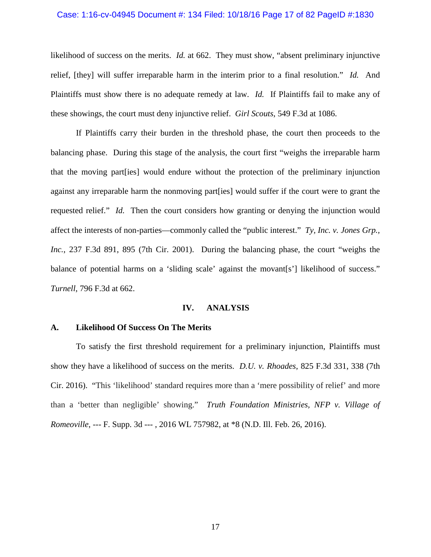#### Case: 1:16-cv-04945 Document #: 134 Filed: 10/18/16 Page 17 of 82 PageID #:1830

likelihood of success on the merits. *Id.* at 662. They must show, "absent preliminary injunctive relief, [they] will suffer irreparable harm in the interim prior to a final resolution." *Id.* And Plaintiffs must show there is no adequate remedy at law. *Id.* If Plaintiffs fail to make any of these showings, the court must deny injunctive relief. *Girl Scouts*, 549 F.3d at 1086.

If Plaintiffs carry their burden in the threshold phase, the court then proceeds to the balancing phase. During this stage of the analysis, the court first "weighs the irreparable harm that the moving part[ies] would endure without the protection of the preliminary injunction against any irreparable harm the nonmoving part[ies] would suffer if the court were to grant the requested relief." *Id.* Then the court considers how granting or denying the injunction would affect the interests of non-parties—commonly called the "public interest." *Ty, Inc. v. Jones Grp., Inc.*, 237 F.3d 891, 895 (7th Cir. 2001). During the balancing phase, the court "weighs the balance of potential harms on a 'sliding scale' against the movant [s'] likelihood of success." *Turnell*, 796 F.3d at 662.

### **IV. ANALYSIS**

### **A. Likelihood Of Success On The Merits**

To satisfy the first threshold requirement for a preliminary injunction, Plaintiffs must show they have a likelihood of success on the merits. *D.U. v. Rhoades*, 825 F.3d 331, 338 (7th Cir. 2016). "This 'likelihood' standard requires more than a 'mere possibility of relief' and more than a 'better than negligible' showing." *Truth Foundation Ministries, NFP v. Village of Romeoville*, --- F. Supp. 3d --- , 2016 WL 757982, at \*8 (N.D. Ill. Feb. 26, 2016).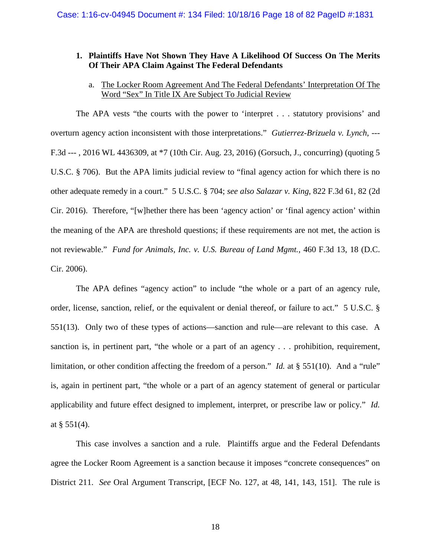# **1. Plaintiffs Have Not Shown They Have A Likelihood Of Success On The Merits Of Their APA Claim Against The Federal Defendants**

# a. The Locker Room Agreement And The Federal Defendants' Interpretation Of The Word "Sex" In Title IX Are Subject To Judicial Review

The APA vests "the courts with the power to 'interpret . . . statutory provisions' and overturn agency action inconsistent with those interpretations." *Gutierrez-Brizuela v. Lynch*, --- F.3d --- , 2016 WL 4436309, at \*7 (10th Cir. Aug. 23, 2016) (Gorsuch, J., concurring) (quoting 5 U.S.C. § 706). But the APA limits judicial review to "final agency action for which there is no other adequate remedy in a court." 5 U.S.C. § 704; *see also Salazar v. King*, 822 F.3d 61, 82 (2d Cir. 2016). Therefore, "[w]hether there has been 'agency action' or 'final agency action' within the meaning of the APA are threshold questions; if these requirements are not met, the action is not reviewable." *Fund for Animals, Inc. v. U.S. Bureau of Land Mgmt.*, 460 F.3d 13, 18 (D.C. Cir. 2006).

The APA defines "agency action" to include "the whole or a part of an agency rule, order, license, sanction, relief, or the equivalent or denial thereof, or failure to act." 5 U.S.C. § 551(13). Only two of these types of actions—sanction and rule—are relevant to this case. A sanction is, in pertinent part, "the whole or a part of an agency . . . prohibition, requirement, limitation, or other condition affecting the freedom of a person." *Id.* at § 551(10). And a "rule" is, again in pertinent part, "the whole or a part of an agency statement of general or particular applicability and future effect designed to implement, interpret, or prescribe law or policy." *Id.* at  $§$  551(4).

This case involves a sanction and a rule. Plaintiffs argue and the Federal Defendants agree the Locker Room Agreement is a sanction because it imposes "concrete consequences" on District 211. *See* Oral Argument Transcript, [ECF No. 127, at 48, 141, 143, 151]. The rule is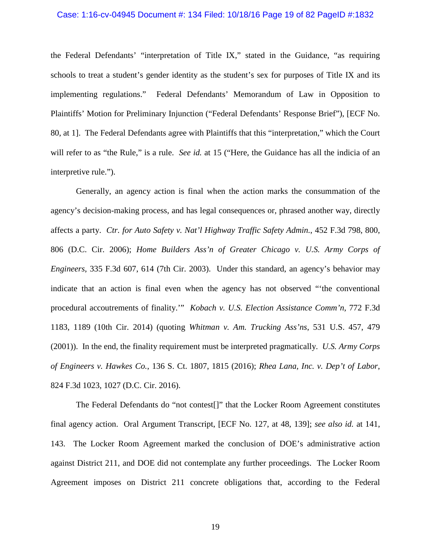### Case: 1:16-cv-04945 Document #: 134 Filed: 10/18/16 Page 19 of 82 PageID #:1832

the Federal Defendants' "interpretation of Title IX," stated in the Guidance, "as requiring schools to treat a student's gender identity as the student's sex for purposes of Title IX and its implementing regulations." Federal Defendants' Memorandum of Law in Opposition to Plaintiffs' Motion for Preliminary Injunction ("Federal Defendants' Response Brief"), [ECF No. 80, at 1]. The Federal Defendants agree with Plaintiffs that this "interpretation," which the Court will refer to as "the Rule," is a rule. *See id.* at 15 ("Here, the Guidance has all the indicia of an interpretive rule.").

Generally, an agency action is final when the action marks the consummation of the agency's decision-making process, and has legal consequences or, phrased another way, directly affects a party. *Ctr. for Auto Safety v. Nat'l Highway Traffic Safety Admin.*, 452 F.3d 798, 800, 806 (D.C. Cir. 2006); *Home Builders Ass'n of Greater Chicago v. U.S. Army Corps of Engineers*, 335 F.3d 607, 614 (7th Cir. 2003). Under this standard, an agency's behavior may indicate that an action is final even when the agency has not observed "'the conventional procedural accoutrements of finality.'" *Kobach v. U.S. Election Assistance Comm'n*, 772 F.3d 1183, 1189 (10th Cir. 2014) (quoting *Whitman v. Am. Trucking Ass'ns*, 531 U.S. 457, 479 (2001)). In the end, the finality requirement must be interpreted pragmatically. *U.S. Army Corps of Engineers v. Hawkes Co.*, 136 S. Ct. 1807, 1815 (2016); *Rhea Lana, Inc. v. Dep't of Labor*, 824 F.3d 1023, 1027 (D.C. Cir. 2016).

The Federal Defendants do "not contest[]" that the Locker Room Agreement constitutes final agency action. Oral Argument Transcript, [ECF No. 127, at 48, 139]; *see also id.* at 141, 143. The Locker Room Agreement marked the conclusion of DOE's administrative action against District 211, and DOE did not contemplate any further proceedings. The Locker Room Agreement imposes on District 211 concrete obligations that, according to the Federal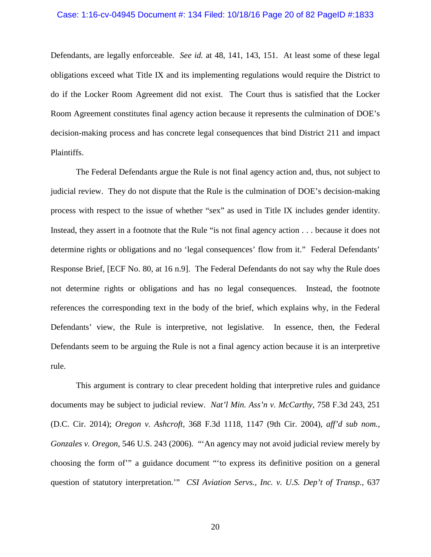#### Case: 1:16-cv-04945 Document #: 134 Filed: 10/18/16 Page 20 of 82 PageID #:1833

Defendants, are legally enforceable. *See id.* at 48, 141, 143, 151. At least some of these legal obligations exceed what Title IX and its implementing regulations would require the District to do if the Locker Room Agreement did not exist. The Court thus is satisfied that the Locker Room Agreement constitutes final agency action because it represents the culmination of DOE's decision-making process and has concrete legal consequences that bind District 211 and impact Plaintiffs.

The Federal Defendants argue the Rule is not final agency action and, thus, not subject to judicial review. They do not dispute that the Rule is the culmination of DOE's decision-making process with respect to the issue of whether "sex" as used in Title IX includes gender identity. Instead, they assert in a footnote that the Rule "is not final agency action . . . because it does not determine rights or obligations and no 'legal consequences' flow from it." Federal Defendants' Response Brief, [ECF No. 80, at 16 n.9]. The Federal Defendants do not say why the Rule does not determine rights or obligations and has no legal consequences. Instead, the footnote references the corresponding text in the body of the brief, which explains why, in the Federal Defendants' view, the Rule is interpretive, not legislative. In essence, then, the Federal Defendants seem to be arguing the Rule is not a final agency action because it is an interpretive rule.

This argument is contrary to clear precedent holding that interpretive rules and guidance documents may be subject to judicial review. *Nat'l Min. Ass'n v. McCarthy*, 758 F.3d 243, 251 (D.C. Cir. 2014); *Oregon v. Ashcroft*, 368 F.3d 1118, 1147 (9th Cir. 2004), *aff'd sub nom.*, *Gonzales v. Oregon*, 546 U.S. 243 (2006). "'An agency may not avoid judicial review merely by choosing the form of'" a guidance document "'to express its definitive position on a general question of statutory interpretation.'" *CSI Aviation Servs., Inc. v. U.S. Dep't of Transp.*, 637

20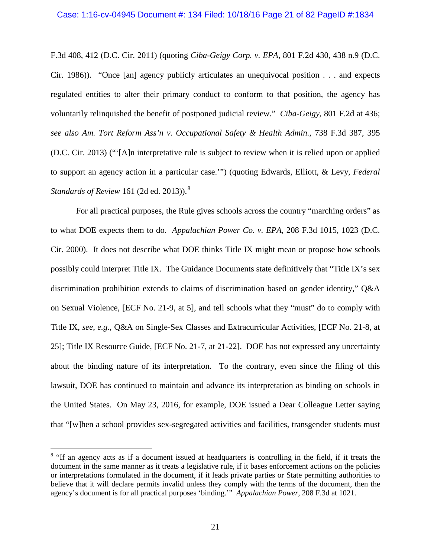### Case: 1:16-cv-04945 Document #: 134 Filed: 10/18/16 Page 21 of 82 PageID #:1834

F.3d 408, 412 (D.C. Cir. 2011) (quoting *Ciba-Geigy Corp. v. EPA*, 801 F.2d 430, 438 n.9 (D.C. Cir. 1986)). "Once [an] agency publicly articulates an unequivocal position . . . and expects regulated entities to alter their primary conduct to conform to that position, the agency has voluntarily relinquished the benefit of postponed judicial review." *Ciba-Geigy*, 801 F.2d at 436; *see also Am. Tort Reform Ass'n v. Occupational Safety & Health Admin.*, 738 F.3d 387, 395 (D.C. Cir. 2013) ("'[A]n interpretative rule is subject to review when it is relied upon or applied to support an agency action in a particular case.'") (quoting Edwards, Elliott, & Levy, *Federal Standards of Review* 161 (2d ed. 2013)).[8](#page-20-0)

For all practical purposes, the Rule gives schools across the country "marching orders" as to what DOE expects them to do. *Appalachian Power Co. v. EPA*, 208 F.3d 1015, 1023 (D.C. Cir. 2000). It does not describe what DOE thinks Title IX might mean or propose how schools possibly could interpret Title IX. The Guidance Documents state definitively that "Title IX's sex discrimination prohibition extends to claims of discrimination based on gender identity," Q&A on Sexual Violence, [ECF No. 21-9, at 5], and tell schools what they "must" do to comply with Title IX, *see*, *e.g.*, Q&A on Single-Sex Classes and Extracurricular Activities, [ECF No. 21-8, at 25]; Title IX Resource Guide, [ECF No. 21-7, at 21-22]. DOE has not expressed any uncertainty about the binding nature of its interpretation. To the contrary, even since the filing of this lawsuit, DOE has continued to maintain and advance its interpretation as binding on schools in the United States. On May 23, 2016, for example, DOE issued a Dear Colleague Letter saying that "[w]hen a school provides sex-segregated activities and facilities, transgender students must

<span id="page-20-0"></span><sup>&</sup>lt;sup>8</sup> "If an agency acts as if a document issued at headquarters is controlling in the field, if it treats the document in the same manner as it treats a legislative rule, if it bases enforcement actions on the policies or interpretations formulated in the document, if it leads private parties or State permitting authorities to believe that it will declare permits invalid unless they comply with the terms of the document, then the agency's document is for all practical purposes 'binding.'" *Appalachian Power*, 208 F.3d at 1021.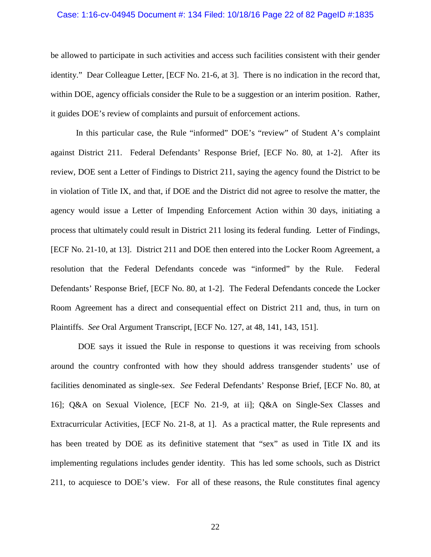#### Case: 1:16-cv-04945 Document #: 134 Filed: 10/18/16 Page 22 of 82 PageID #:1835

be allowed to participate in such activities and access such facilities consistent with their gender identity." Dear Colleague Letter, [ECF No. 21-6, at 3]. There is no indication in the record that, within DOE, agency officials consider the Rule to be a suggestion or an interim position. Rather, it guides DOE's review of complaints and pursuit of enforcement actions.

In this particular case, the Rule "informed" DOE's "review" of Student A's complaint against District 211. Federal Defendants' Response Brief, [ECF No. 80, at 1-2]. After its review, DOE sent a Letter of Findings to District 211, saying the agency found the District to be in violation of Title IX, and that, if DOE and the District did not agree to resolve the matter, the agency would issue a Letter of Impending Enforcement Action within 30 days, initiating a process that ultimately could result in District 211 losing its federal funding. Letter of Findings, [ECF No. 21-10, at 13]. District 211 and DOE then entered into the Locker Room Agreement, a resolution that the Federal Defendants concede was "informed" by the Rule. Federal Defendants' Response Brief, [ECF No. 80, at 1-2]. The Federal Defendants concede the Locker Room Agreement has a direct and consequential effect on District 211 and, thus, in turn on Plaintiffs. *See* Oral Argument Transcript, [ECF No. 127, at 48, 141, 143, 151].

DOE says it issued the Rule in response to questions it was receiving from schools around the country confronted with how they should address transgender students' use of facilities denominated as single-sex. *See* Federal Defendants' Response Brief, [ECF No. 80, at 16]; Q&A on Sexual Violence, [ECF No. 21-9, at ii]; Q&A on Single-Sex Classes and Extracurricular Activities, [ECF No. 21-8, at 1]. As a practical matter, the Rule represents and has been treated by DOE as its definitive statement that "sex" as used in Title IX and its implementing regulations includes gender identity. This has led some schools, such as District 211, to acquiesce to DOE's view. For all of these reasons, the Rule constitutes final agency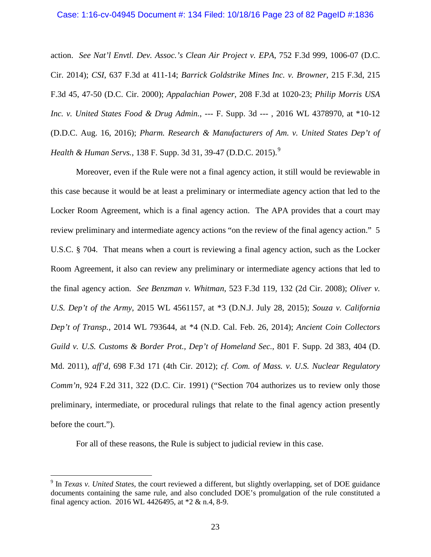### Case: 1:16-cv-04945 Document #: 134 Filed: 10/18/16 Page 23 of 82 PageID #:1836

action. *See Nat'l Envtl. Dev. Assoc.'s Clean Air Project v. EPA*, 752 F.3d 999, 1006-07 (D.C. Cir. 2014); *CSI*, 637 F.3d at 411-14; *Barrick Goldstrike Mines Inc. v. Browner*, 215 F.3d, 215 F.3d 45, 47-50 (D.C. Cir. 2000); *Appalachian Power*, 208 F.3d at 1020-23; *Philip Morris USA Inc. v. United States Food & Drug Admin.*, --- F. Supp. 3d --- , 2016 WL 4378970, at \*10-12 (D.D.C. Aug. 16, 2016); *Pharm. Research & Manufacturers of Am. v. United States Dep't of Health & Human Servs.*, 138 F. Supp. 3d 31, 3[9](#page-22-0)-47 (D.D.C. 2015).<sup>9</sup>

Moreover, even if the Rule were not a final agency action, it still would be reviewable in this case because it would be at least a preliminary or intermediate agency action that led to the Locker Room Agreement, which is a final agency action. The APA provides that a court may review preliminary and intermediate agency actions "on the review of the final agency action." 5 U.S.C. § 704. That means when a court is reviewing a final agency action, such as the Locker Room Agreement, it also can review any preliminary or intermediate agency actions that led to the final agency action. *See Benzman v. Whitman*, 523 F.3d 119, 132 (2d Cir. 2008); *Oliver v. U.S. Dep't of the Army*, 2015 WL 4561157, at \*3 (D.N.J. July 28, 2015); *Souza v. California Dep't of Transp.,* 2014 WL 793644, at \*4 (N.D. Cal. Feb. 26, 2014); *Ancient Coin Collectors Guild v. U.S. Customs & Border Prot., Dep't of Homeland Sec.*, 801 F. Supp. 2d 383, 404 (D. Md. 2011), *aff'd*, 698 F.3d 171 (4th Cir. 2012); *cf. Com. of Mass. v. U.S. Nuclear Regulatory Comm'n*, 924 F.2d 311, 322 (D.C. Cir. 1991) ("Section 704 authorizes us to review only those preliminary, intermediate, or procedural rulings that relate to the final agency action presently before the court.").

For all of these reasons, the Rule is subject to judicial review in this case.

<span id="page-22-0"></span><sup>9</sup> In *Texas v. United States*, the court reviewed a different, but slightly overlapping, set of DOE guidance documents containing the same rule, and also concluded DOE's promulgation of the rule constituted a final agency action. 2016 WL 4426495, at \*2 & n.4, 8-9.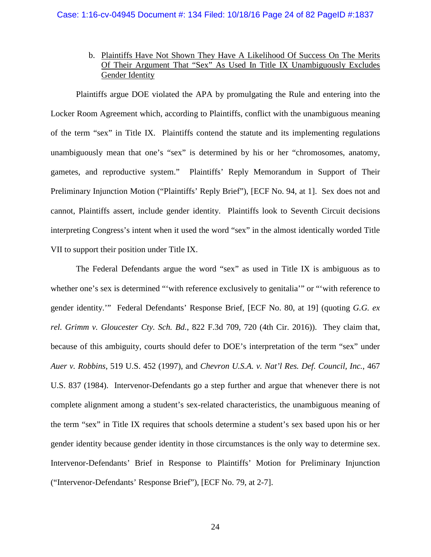# b. Plaintiffs Have Not Shown They Have A Likelihood Of Success On The Merits Of Their Argument That "Sex" As Used In Title IX Unambiguously Excludes Gender Identity

Plaintiffs argue DOE violated the APA by promulgating the Rule and entering into the Locker Room Agreement which, according to Plaintiffs, conflict with the unambiguous meaning of the term "sex" in Title IX. Plaintiffs contend the statute and its implementing regulations unambiguously mean that one's "sex" is determined by his or her "chromosomes, anatomy, gametes, and reproductive system." Plaintiffs' Reply Memorandum in Support of Their Preliminary Injunction Motion ("Plaintiffs' Reply Brief"), [ECF No. 94, at 1]. Sex does not and cannot, Plaintiffs assert, include gender identity. Plaintiffs look to Seventh Circuit decisions interpreting Congress's intent when it used the word "sex" in the almost identically worded Title VII to support their position under Title IX.

The Federal Defendants argue the word "sex" as used in Title IX is ambiguous as to whether one's sex is determined ""with reference exclusively to genitalia" or ""with reference to gender identity.'" Federal Defendants' Response Brief, [ECF No. 80, at 19] (quoting *G.G. ex rel. Grimm v. Gloucester Cty. Sch. Bd.*, 822 F.3d 709, 720 (4th Cir. 2016)). They claim that, because of this ambiguity, courts should defer to DOE's interpretation of the term "sex" under *Auer v. Robbins*, 519 U.S. 452 (1997), and *Chevron U.S.A. v. Nat'l Res. Def. Council, Inc.*, 467 U.S. 837 (1984). Intervenor-Defendants go a step further and argue that whenever there is not complete alignment among a student's sex-related characteristics, the unambiguous meaning of the term "sex" in Title IX requires that schools determine a student's sex based upon his or her gender identity because gender identity in those circumstances is the only way to determine sex. Intervenor-Defendants' Brief in Response to Plaintiffs' Motion for Preliminary Injunction ("Intervenor-Defendants' Response Brief"), [ECF No. 79, at 2-7].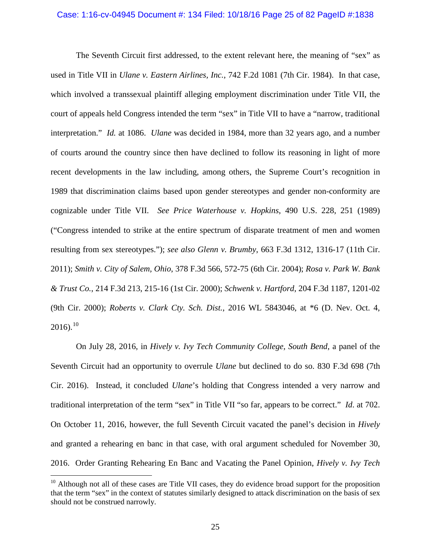#### Case: 1:16-cv-04945 Document #: 134 Filed: 10/18/16 Page 25 of 82 PageID #:1838

The Seventh Circuit first addressed, to the extent relevant here, the meaning of "sex" as used in Title VII in *Ulane v. Eastern Airlines, Inc.*, 742 F.2d 1081 (7th Cir. 1984). In that case, which involved a transsexual plaintiff alleging employment discrimination under Title VII, the court of appeals held Congress intended the term "sex" in Title VII to have a "narrow, traditional interpretation." *Id.* at 1086. *Ulane* was decided in 1984, more than 32 years ago, and a number of courts around the country since then have declined to follow its reasoning in light of more recent developments in the law including, among others, the Supreme Court's recognition in 1989 that discrimination claims based upon gender stereotypes and gender non-conformity are cognizable under Title VII. *See Price Waterhouse v. Hopkins*, 490 U.S. 228, 251 (1989) ("Congress intended to strike at the entire spectrum of disparate treatment of men and women resulting from sex stereotypes."); *see also Glenn v. Brumby*, 663 F.3d 1312, 1316-17 (11th Cir. 2011); *Smith v. City of Salem, Ohio*, 378 F.3d 566, 572-75 (6th Cir. 2004); *Rosa v. Park W. Bank & Trust Co.*, 214 F.3d 213, 215-16 (1st Cir. 2000); *Schwenk v. Hartford*, 204 F.3d 1187, 1201-02 (9th Cir. 2000); *Roberts v. Clark Cty. Sch. Dist.*, 2016 WL 5843046, at \*6 (D. Nev. Oct. 4,  $2016$ ).<sup>[10](#page-24-0)</sup>

On July 28, 2016, in *Hively v. Ivy Tech Community College, South Bend*, a panel of the Seventh Circuit had an opportunity to overrule *Ulane* but declined to do so. 830 F.3d 698 (7th Cir. 2016). Instead, it concluded *Ulane*'s holding that Congress intended a very narrow and traditional interpretation of the term "sex" in Title VII "so far, appears to be correct." *Id*. at 702. On October 11, 2016, however, the full Seventh Circuit vacated the panel's decision in *Hively*  and granted a rehearing en banc in that case, with oral argument scheduled for November 30, 2016. Order Granting Rehearing En Banc and Vacating the Panel Opinion, *Hively v. Ivy Tech* 

<span id="page-24-0"></span> $10$  Although not all of these cases are Title VII cases, they do evidence broad support for the proposition that the term "sex" in the context of statutes similarly designed to attack discrimination on the basis of sex should not be construed narrowly.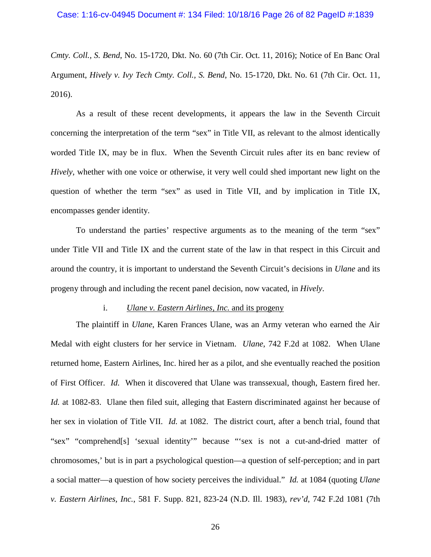*Cmty. Coll., S. Bend*, No. 15-1720, Dkt. No. 60 (7th Cir. Oct. 11, 2016); Notice of En Banc Oral Argument, *Hively v. Ivy Tech Cmty. Coll., S. Bend*, No. 15-1720, Dkt. No. 61 (7th Cir. Oct. 11, 2016).

As a result of these recent developments, it appears the law in the Seventh Circuit concerning the interpretation of the term "sex" in Title VII, as relevant to the almost identically worded Title IX, may be in flux. When the Seventh Circuit rules after its en banc review of *Hively*, whether with one voice or otherwise, it very well could shed important new light on the question of whether the term "sex" as used in Title VII, and by implication in Title IX, encompasses gender identity.

To understand the parties' respective arguments as to the meaning of the term "sex" under Title VII and Title IX and the current state of the law in that respect in this Circuit and around the country, it is important to understand the Seventh Circuit's decisions in *Ulane* and its progeny through and including the recent panel decision, now vacated, in *Hively*.

## i. *Ulane v. Eastern Airlines, Inc.* and its progeny

The plaintiff in *Ulane*, Karen Frances Ulane, was an Army veteran who earned the Air Medal with eight clusters for her service in Vietnam. *Ulane*, 742 F.2d at 1082. When Ulane returned home, Eastern Airlines, Inc. hired her as a pilot, and she eventually reached the position of First Officer. *Id.* When it discovered that Ulane was transsexual, though, Eastern fired her. *Id.* at 1082-83. Ulane then filed suit, alleging that Eastern discriminated against her because of her sex in violation of Title VII. *Id.* at 1082. The district court, after a bench trial, found that "sex" "comprehend[s] 'sexual identity'" because "'sex is not a cut-and-dried matter of chromosomes,' but is in part a psychological question—a question of self-perception; and in part a social matter—a question of how society perceives the individual." *Id.* at 1084 (quoting *Ulane v. Eastern Airlines, Inc.*, 581 F. Supp. 821, 823-24 (N.D. Ill. 1983), *rev'd*, 742 F.2d 1081 (7th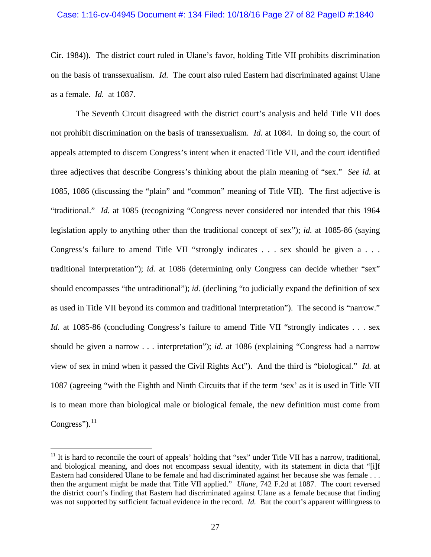### Case: 1:16-cv-04945 Document #: 134 Filed: 10/18/16 Page 27 of 82 PageID #:1840

Cir. 1984)). The district court ruled in Ulane's favor, holding Title VII prohibits discrimination on the basis of transsexualism. *Id.* The court also ruled Eastern had discriminated against Ulane as a female. *Id.* at 1087.

The Seventh Circuit disagreed with the district court's analysis and held Title VII does not prohibit discrimination on the basis of transsexualism. *Id.* at 1084.In doing so, the court of appeals attempted to discern Congress's intent when it enacted Title VII, and the court identified three adjectives that describe Congress's thinking about the plain meaning of "sex." *See id.* at 1085, 1086 (discussing the "plain" and "common" meaning of Title VII). The first adjective is "traditional." *Id.* at 1085 (recognizing "Congress never considered nor intended that this 1964 legislation apply to anything other than the traditional concept of sex"); *id.* at 1085-86 (saying Congress's failure to amend Title VII "strongly indicates . . . sex should be given a . . . traditional interpretation"); *id.* at 1086 (determining only Congress can decide whether "sex" should encompasses "the untraditional"); *id.* (declining "to judicially expand the definition of sex as used in Title VII beyond its common and traditional interpretation"). The second is "narrow." *Id.* at 1085-86 (concluding Congress's failure to amend Title VII "strongly indicates . . . sex should be given a narrow . . . interpretation"); *id.* at 1086 (explaining "Congress had a narrow view of sex in mind when it passed the Civil Rights Act"). And the third is "biological." *Id.* at 1087 (agreeing "with the Eighth and Ninth Circuits that if the term 'sex' as it is used in Title VII is to mean more than biological male or biological female, the new definition must come from Congress"). $^{11}$ 

<span id="page-26-0"></span> $11$  It is hard to reconcile the court of appeals' holding that "sex" under Title VII has a narrow, traditional, and biological meaning, and does not encompass sexual identity, with its statement in dicta that "[i]f Eastern had considered Ulane to be female and had discriminated against her because she was female . . . then the argument might be made that Title VII applied." *Ulane*, 742 F.2d at 1087. The court reversed the district court's finding that Eastern had discriminated against Ulane as a female because that finding was not supported by sufficient factual evidence in the record. *Id.* But the court's apparent willingness to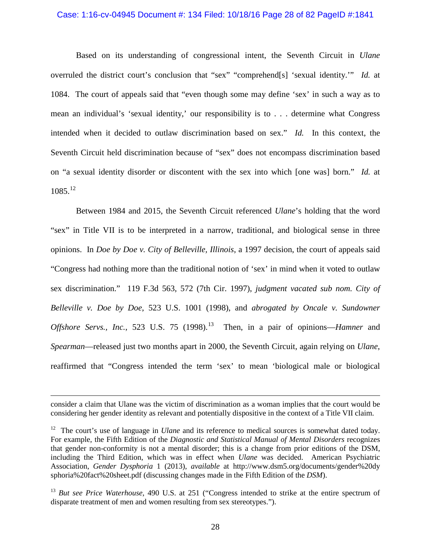#### Case: 1:16-cv-04945 Document #: 134 Filed: 10/18/16 Page 28 of 82 PageID #:1841

Based on its understanding of congressional intent, the Seventh Circuit in *Ulane*  overruled the district court's conclusion that "sex" "comprehend[s] 'sexual identity.'" *Id.* at 1084. The court of appeals said that "even though some may define 'sex' in such a way as to mean an individual's 'sexual identity,' our responsibility is to . . . determine what Congress intended when it decided to outlaw discrimination based on sex." *Id.* In this context, the Seventh Circuit held discrimination because of "sex" does not encompass discrimination based on "a sexual identity disorder or discontent with the sex into which [one was] born." *Id.* at  $1085.<sup>12</sup>$ 

Between 1984 and 2015, the Seventh Circuit referenced *Ulane*'s holding that the word "sex" in Title VII is to be interpreted in a narrow, traditional, and biological sense in three opinions. In *Doe by Doe v. City of Belleville, Illinois*, a 1997 decision, the court of appeals said "Congress had nothing more than the traditional notion of 'sex' in mind when it voted to outlaw sex discrimination." 119 F.3d 563, 572 (7th Cir. 1997), *judgment vacated sub nom. City of Belleville v. Doe by Doe*, 523 U.S. 1001 (1998), and *abrogated by Oncale v. Sundowner Offshore Servs., Inc.*, 523 U.S. 75 (1998).<sup>13</sup> Then, in a pair of opinions—*Hamner* and *Spearman*—released just two months apart in 2000, the Seventh Circuit, again relying on *Ulane*, reaffirmed that "Congress intended the term 'sex' to mean 'biological male or biological

consider a claim that Ulane was the victim of discrimination as a woman implies that the court would be considering her gender identity as relevant and potentially dispositive in the context of a Title VII claim.

<span id="page-27-0"></span><sup>&</sup>lt;sup>12</sup> The court's use of language in *Ulane* and its reference to medical sources is somewhat dated today. For example, the Fifth Edition of the *Diagnostic and Statistical Manual of Mental Disorders* recognizes that gender non-conformity is not a mental disorder; this is a change from prior editions of the DSM, including the Third Edition, which was in effect when *Ulane* was decided. American Psychiatric Association, *Gender Dysphoria* 1 (2013), *available* at http://www.dsm5.org/documents/gender%20dy sphoria%20fact%20sheet.pdf (discussing changes made in the Fifth Edition of the *DSM*).

<span id="page-27-1"></span><sup>13</sup> *But see Price Waterhouse*, 490 U.S. at 251 ("Congress intended to strike at the entire spectrum of disparate treatment of men and women resulting from sex stereotypes.").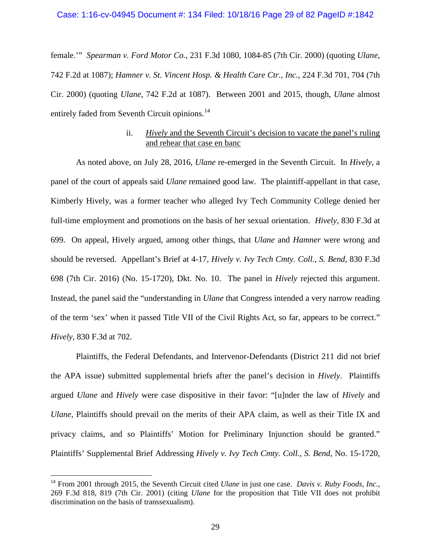### Case: 1:16-cv-04945 Document #: 134 Filed: 10/18/16 Page 29 of 82 PageID #:1842

female.'" *Spearman v. Ford Motor Co.*, 231 F.3d 1080, 1084-85 (7th Cir. 2000) (quoting *Ulane*, 742 F.2d at 1087); *Hamner v. St. Vincent Hosp. & Health Care Ctr., Inc.*, 224 F.3d 701, 704 (7th Cir. 2000) (quoting *Ulane*, 742 F.2d at 1087). Between 2001 and 2015, though, *Ulane* almost entirely faded from Seventh Circuit opinions.<sup>14</sup>

# ii. *Hively* and the Seventh Circuit's decision to vacate the panel's ruling and rehear that case en banc

As noted above, on July 28, 2016, *Ulane* re-emerged in the Seventh Circuit. In *Hively*, a panel of the court of appeals said *Ulane* remained good law. The plaintiff-appellant in that case, Kimberly Hively, was a former teacher who alleged Ivy Tech Community College denied her full-time employment and promotions on the basis of her sexual orientation. *Hively*, 830 F.3d at 699. On appeal, Hively argued, among other things, that *Ulane* and *Hamner* were wrong and should be reversed. Appellant's Brief at 4-17, *Hively v. Ivy Tech Cmty. Coll., S. Bend*, 830 F.3d 698 (7th Cir. 2016) (No. 15-1720), Dkt. No. 10. The panel in *Hively* rejected this argument. Instead, the panel said the "understanding in *Ulane* that Congress intended a very narrow reading of the term 'sex' when it passed Title VII of the Civil Rights Act, so far, appears to be correct." *Hively*, 830 F.3d at 702.

Plaintiffs, the Federal Defendants, and Intervenor-Defendants (District 211 did not brief the APA issue) submitted supplemental briefs after the panel's decision in *Hively*. Plaintiffs argued *Ulane* and *Hively* were case dispositive in their favor: "[u]nder the law of *Hively* and *Ulane*, Plaintiffs should prevail on the merits of their APA claim, as well as their Title IX and privacy claims, and so Plaintiffs' Motion for Preliminary Injunction should be granted." Plaintiffs' Supplemental Brief Addressing *Hively v. Ivy Tech Cmty. Coll., S. Bend*, No. 15-1720,

<span id="page-28-0"></span><sup>14</sup> From 2001 through 2015, the Seventh Circuit cited *Ulane* in just one case. *Davis v. Ruby Foods, Inc.*, 269 F.3d 818, 819 (7th Cir. 2001) (citing *Ulane* for the proposition that Title VII does not prohibit discrimination on the basis of transsexualism).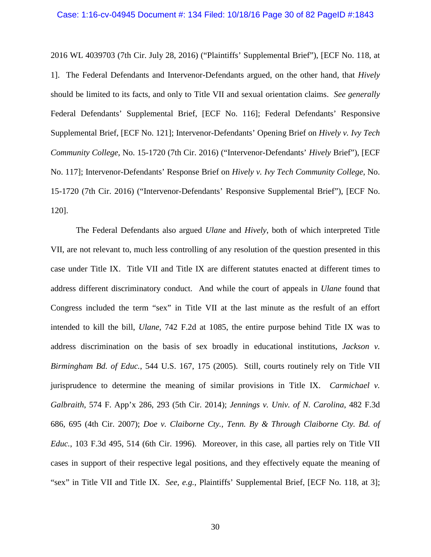#### Case: 1:16-cv-04945 Document #: 134 Filed: 10/18/16 Page 30 of 82 PageID #:1843

2016 WL 4039703 (7th Cir. July 28, 2016) ("Plaintiffs' Supplemental Brief"), [ECF No. 118, at 1]. The Federal Defendants and Intervenor-Defendants argued, on the other hand, that *Hively* should be limited to its facts, and only to Title VII and sexual orientation claims. *See generally*  Federal Defendants' Supplemental Brief, [ECF No. 116]; Federal Defendants' Responsive Supplemental Brief, [ECF No. 121]; Intervenor-Defendants' Opening Brief on *Hively v. Ivy Tech Community College*, No. 15-1720 (7th Cir. 2016) ("Intervenor-Defendants' *Hively* Brief"), [ECF No. 117]; Intervenor-Defendants' Response Brief on *Hively v. Ivy Tech Community College*, No. 15-1720 (7th Cir. 2016) ("Intervenor-Defendants' Responsive Supplemental Brief"), [ECF No. 120].

The Federal Defendants also argued *Ulane* and *Hively*, both of which interpreted Title VII, are not relevant to, much less controlling of any resolution of the question presented in this case under Title IX. Title VII and Title IX are different statutes enacted at different times to address different discriminatory conduct. And while the court of appeals in *Ulane* found that Congress included the term "sex" in Title VII at the last minute as the resfult of an effort intended to kill the bill, *Ulane*, 742 F.2d at 1085, the entire purpose behind Title IX was to address discrimination on the basis of sex broadly in educational institutions, *Jackson v. Birmingham Bd. of Educ.*, 544 U.S. 167, 175 (2005). Still, courts routinely rely on Title VII jurisprudence to determine the meaning of similar provisions in Title IX. *Carmichael v. Galbraith*, 574 F. App'x 286, 293 (5th Cir. 2014); *Jennings v. Univ. of N. Carolina*, 482 F.3d 686, 695 (4th Cir. 2007); *Doe v. Claiborne Cty., Tenn. By & Through Claiborne Cty. Bd. of Educ.*, 103 F.3d 495, 514 (6th Cir. 1996). Moreover, in this case, all parties rely on Title VII cases in support of their respective legal positions, and they effectively equate the meaning of "sex" in Title VII and Title IX. *See*, *e.g.*, Plaintiffs' Supplemental Brief, [ECF No. 118, at 3];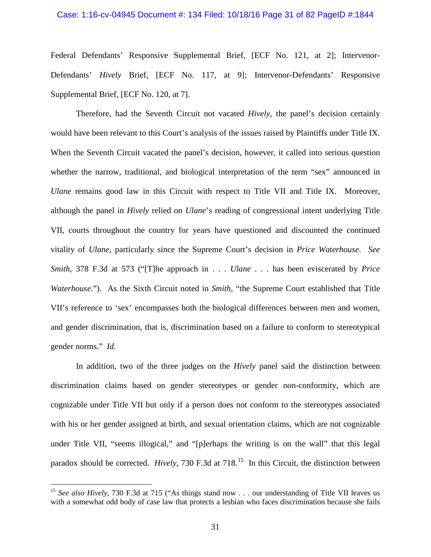# Case: 1:16-cv-04945 Document #: 134 Filed: 10/18/16 Page 31 of 82 PageID #:1844

Federal Defendants' Responsive Supplemental Brief, [ECF No. 121, at 2]; Intervenor-Defendants' *Hively* Brief, [ECF No. 117, at 9]; Intervenor-Defendants' Responsive Supplemental Brief, [ECF No. 120, at 7].

Therefore, had the Seventh Circuit not vacated *Hively*, the panel's decision certainly would have been relevant to this Court's analysis of the issues raised by Plaintiffs under Title IX. When the Seventh Circuit vacated the panel's decision, however, it called into serious question whether the narrow, traditional, and biological interpretation of the term "sex" announced in *Ulane* remains good law in this Circuit with respect to Title VII and Title IX. Moreover, although the panel in *Hively* relied on *Ulane*'s reading of congressional intent underlying Title VII, courts throughout the country for years have questioned and discounted the continued vitality of *Ulane*, particularly since the Supreme Court's decision in *Price Waterhouse*. *See Smith*, 378 F.3d at 573 ("[T]he approach in . . . *Ulane* . . . has been eviscerated by *Price Waterhouse*."). As the Sixth Circuit noted in *Smith*, "the Supreme Court established that Title VII's reference to 'sex' encompasses both the biological differences between men and women, and gender discrimination, that is, discrimination based on a failure to conform to stereotypical gender norms." *Id.* 

In addition, two of the three judges on the *Hively* panel said the distinction between discrimination claims based on gender stereotypes or gender non-conformity, which are cognizable under Title VII but only if a person does not conform to the stereotypes associated with his or her gender assigned at birth, and sexual orientation claims, which are not cognizable under Title VII, "seems illogical," and "[p]erhaps the writing is on the wall" that this legal paradox should be corrected. *Hively*, 730 F.3d at 718.<sup>[15](#page-30-0)</sup> In this Circuit, the distinction between

<span id="page-30-0"></span><sup>&</sup>lt;sup>15</sup> *See also Hively*, 730 F.3d at 715 ("As things stand now . . . our understanding of Title VII leaves us with a somewhat odd body of case law that protects a lesbian who faces discrimination because she fails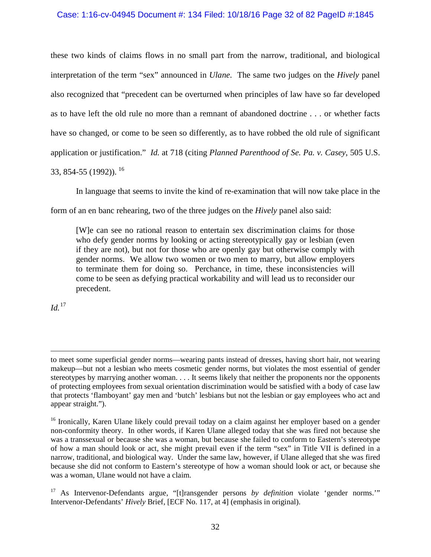# Case: 1:16-cv-04945 Document #: 134 Filed: 10/18/16 Page 32 of 82 PageID #:1845

these two kinds of claims flows in no small part from the narrow, traditional, and biological interpretation of the term "sex" announced in *Ulane*. The same two judges on the *Hively* panel also recognized that "precedent can be overturned when principles of law have so far developed as to have left the old rule no more than a remnant of abandoned doctrine . . . or whether facts have so changed, or come to be seen so differently, as to have robbed the old rule of significant application or justification." *Id.* at 718 (citing *Planned Parenthood of Se. Pa. v. Casey*, 505 U.S. 33, 854-55 (1992)). [16](#page-31-0) 

In language that seems to invite the kind of re-examination that will now take place in the

form of an en banc rehearing, two of the three judges on the *Hively* panel also said:

[W]e can see no rational reason to entertain sex discrimination claims for those who defy gender norms by looking or acting stereotypically gay or lesbian (even if they are not), but not for those who are openly gay but otherwise comply with gender norms. We allow two women or two men to marry, but allow employers to terminate them for doing so. Perchance, in time, these inconsistencies will come to be seen as defying practical workability and will lead us to reconsider our precedent.

 $Id.<sup>17</sup>$  $Id.<sup>17</sup>$  $Id.<sup>17</sup>$ 

to meet some superficial gender norms—wearing pants instead of dresses, having short hair, not wearing makeup—but not a lesbian who meets cosmetic gender norms, but violates the most essential of gender stereotypes by marrying another woman. . . . It seems likely that neither the proponents nor the opponents of protecting employees from sexual orientation discrimination would be satisfied with a body of case law that protects 'flamboyant' gay men and 'butch' lesbians but not the lesbian or gay employees who act and appear straight.").

<span id="page-31-0"></span><sup>&</sup>lt;sup>16</sup> Ironically, Karen Ulane likely could prevail today on a claim against her employer based on a gender non-conformity theory. In other words, if Karen Ulane alleged today that she was fired not because she was a transsexual or because she was a woman, but because she failed to conform to Eastern's stereotype of how a man should look or act, she might prevail even if the term "sex" in Title VII is defined in a narrow, traditional, and biological way. Under the same law, however, if Ulane alleged that she was fired because she did not conform to Eastern's stereotype of how a woman should look or act, or because she was a woman, Ulane would not have a claim.

<span id="page-31-1"></span><sup>17</sup> As Intervenor-Defendants argue, "[t]ransgender persons *by definition* violate 'gender norms.'" Intervenor-Defendants' *Hively* Brief, [ECF No. 117, at 4] (emphasis in original).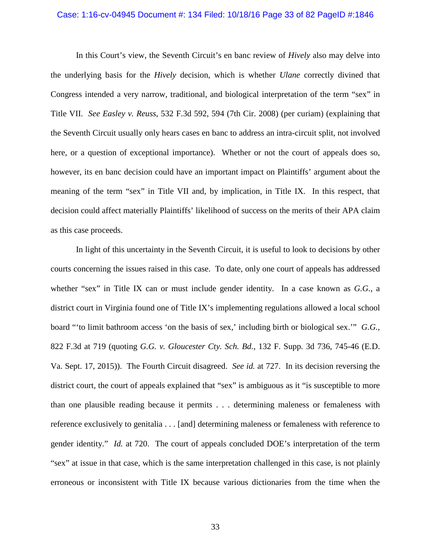#### Case: 1:16-cv-04945 Document #: 134 Filed: 10/18/16 Page 33 of 82 PageID #:1846

In this Court's view, the Seventh Circuit's en banc review of *Hively* also may delve into the underlying basis for the *Hively* decision, which is whether *Ulane* correctly divined that Congress intended a very narrow, traditional, and biological interpretation of the term "sex" in Title VII. *See Easley v. Reuss*, 532 F.3d 592, 594 (7th Cir. 2008) (per curiam) (explaining that the Seventh Circuit usually only hears cases en banc to address an intra-circuit split, not involved here, or a question of exceptional importance). Whether or not the court of appeals does so, however, its en banc decision could have an important impact on Plaintiffs' argument about the meaning of the term "sex" in Title VII and, by implication, in Title IX. In this respect, that decision could affect materially Plaintiffs' likelihood of success on the merits of their APA claim as this case proceeds.

In light of this uncertainty in the Seventh Circuit, it is useful to look to decisions by other courts concerning the issues raised in this case. To date, only one court of appeals has addressed whether "sex" in Title IX can or must include gender identity. In a case known as *G.G.*, a district court in Virginia found one of Title IX's implementing regulations allowed a local school board "'to limit bathroom access 'on the basis of sex,' including birth or biological sex.'" *G.G.*, 822 F.3d at 719 (quoting *G.G. v. Gloucester Cty. Sch. Bd.*, 132 F. Supp. 3d 736, 745-46 (E.D. Va. Sept. 17, 2015)). The Fourth Circuit disagreed. *See id.* at 727. In its decision reversing the district court, the court of appeals explained that "sex" is ambiguous as it "is susceptible to more than one plausible reading because it permits . . . determining maleness or femaleness with reference exclusively to genitalia . . . [and] determining maleness or femaleness with reference to gender identity." *Id.* at 720. The court of appeals concluded DOE's interpretation of the term "sex" at issue in that case, which is the same interpretation challenged in this case, is not plainly erroneous or inconsistent with Title IX because various dictionaries from the time when the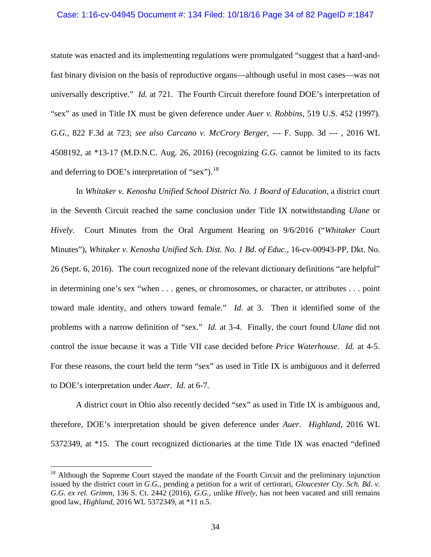### Case: 1:16-cv-04945 Document #: 134 Filed: 10/18/16 Page 34 of 82 PageID #:1847

statute was enacted and its implementing regulations were promulgated "suggest that a hard-andfast binary division on the basis of reproductive organs—although useful in most cases—was not universally descriptive." *Id.* at 721. The Fourth Circuit therefore found DOE's interpretation of "sex" as used in Title IX must be given deference under *Auer v. Robbins*, 519 U.S. 452 (1997). *G.G.*, 822 F.3d at 723; *see also Carcano v. McCrory Berger*, --- F. Supp. 3d --- , 2016 WL 4508192, at \*13-17 (M.D.N.C. Aug. 26, 2016) (recognizing *G.G.* cannot be limited to its facts and deferring to DOE's interpretation of "sex").<sup>[18](#page-33-0)</sup>

In *Whitaker v. Kenosha Unified School District No. 1 Board of Education*, a district court in the Seventh Circuit reached the same conclusion under Title IX notwithstanding *Ulane* or *Hively*. Court Minutes from the Oral Argument Hearing on 9/6/2016 ("*Whitaker* Court Minutes"), *Whitaker v. Kenosha Unified Sch. Dist. No. 1 Bd. of Educ.*, 16-cv-00943-PP, Dkt. No. 26 (Sept. 6, 2016). The court recognized none of the relevant dictionary definitions "are helpful" in determining one's sex "when . . . genes, or chromosomes, or character, or attributes . . . point toward male identity, and others toward female." *Id.* at 3. Then it identified some of the problems with a narrow definition of "sex." *Id.* at 3-4. Finally, the court found *Ulane* did not control the issue because it was a Title VII case decided before *Price Waterhouse*. *Id.* at 4-5. For these reasons, the court held the term "sex" as used in Title IX is ambiguous and it deferred to DOE's interpretation under *Auer*. *Id.* at 6-7.

A district court in Ohio also recently decided "sex" as used in Title IX is ambiguous and, therefore, DOE's interpretation should be given deference under *Auer*. *Highland*, 2016 WL 5372349, at \*15. The court recognized dictionaries at the time Title IX was enacted "defined

<span id="page-33-0"></span> $18$  Although the Supreme Court stayed the mandate of the Fourth Circuit and the preliminary injunction issued by the district court in *G.G.*, pending a petition for a writ of certiorari, *Gloucester Cty. Sch. Bd. v. G.G. ex rel. Grimm*, 136 S. Ct. 2442 (2016), *G.G.*, unlike *Hively*, has not been vacated and still remains good law, *Highland*, 2016 WL 5372349, at \*11 n.5.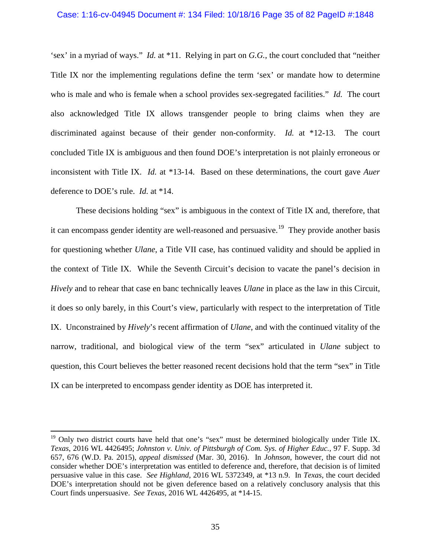### Case: 1:16-cv-04945 Document #: 134 Filed: 10/18/16 Page 35 of 82 PageID #:1848

'sex' in a myriad of ways." *Id.* at \*11. Relying in part on *G.G.*, the court concluded that "neither Title IX nor the implementing regulations define the term 'sex' or mandate how to determine who is male and who is female when a school provides sex-segregated facilities." *Id.* The court also acknowledged Title IX allows transgender people to bring claims when they are discriminated against because of their gender non-conformity. *Id.* at \*12-13. The court concluded Title IX is ambiguous and then found DOE's interpretation is not plainly erroneous or inconsistent with Title IX. *Id.* at \*13-14. Based on these determinations, the court gave *Auer* deference to DOE's rule. *Id.* at \*14.

These decisions holding "sex" is ambiguous in the context of Title IX and, therefore, that it can encompass gender identity are well-reasoned and persuasive.<sup>19</sup> They provide another basis for questioning whether *Ulane*, a Title VII case, has continued validity and should be applied in the context of Title IX. While the Seventh Circuit's decision to vacate the panel's decision in *Hively* and to rehear that case en banc technically leaves *Ulane* in place as the law in this Circuit, it does so only barely, in this Court's view, particularly with respect to the interpretation of Title IX. Unconstrained by *Hively*'s recent affirmation of *Ulane*, and with the continued vitality of the narrow, traditional, and biological view of the term "sex" articulated in *Ulane* subject to question, this Court believes the better reasoned recent decisions hold that the term "sex" in Title IX can be interpreted to encompass gender identity as DOE has interpreted it.

<span id="page-34-0"></span><sup>&</sup>lt;sup>19</sup> Only two district courts have held that one's "sex" must be determined biologically under Title IX. *Texas*, 2016 WL 4426495; *Johnston v. Univ. of Pittsburgh of Com. Sys. of Higher Educ.*, 97 F. Supp. 3d 657, 676 (W.D. Pa. 2015), *appeal dismissed* (Mar. 30, 2016). In *Johnson*, however, the court did not consider whether DOE's interpretation was entitled to deference and, therefore, that decision is of limited persuasive value in this case. *See Highland*, 2016 WL 5372349, at \*13 n.9. In *Texas*, the court decided DOE's interpretation should not be given deference based on a relatively conclusory analysis that this Court finds unpersuasive. *See Texas*, 2016 WL 4426495, at \*14-15.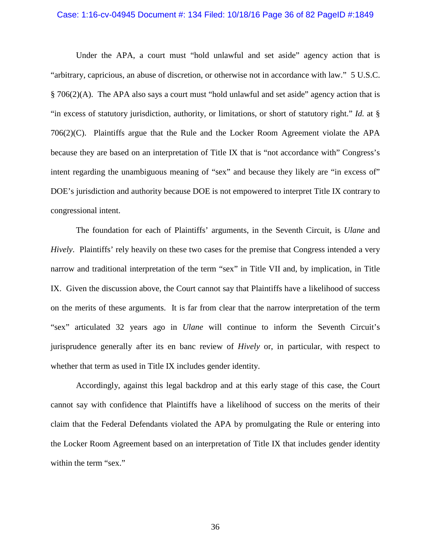#### Case: 1:16-cv-04945 Document #: 134 Filed: 10/18/16 Page 36 of 82 PageID #:1849

Under the APA, a court must "hold unlawful and set aside" agency action that is "arbitrary, capricious, an abuse of discretion, or otherwise not in accordance with law." 5 U.S.C. § 706(2)(A). The APA also says a court must "hold unlawful and set aside" agency action that is "in excess of statutory jurisdiction, authority, or limitations, or short of statutory right." *Id.* at § 706(2)(C). Plaintiffs argue that the Rule and the Locker Room Agreement violate the APA because they are based on an interpretation of Title IX that is "not accordance with" Congress's intent regarding the unambiguous meaning of "sex" and because they likely are "in excess of" DOE's jurisdiction and authority because DOE is not empowered to interpret Title IX contrary to congressional intent.

The foundation for each of Plaintiffs' arguments, in the Seventh Circuit, is *Ulane* and *Hively*. Plaintiffs' rely heavily on these two cases for the premise that Congress intended a very narrow and traditional interpretation of the term "sex" in Title VII and, by implication, in Title IX. Given the discussion above, the Court cannot say that Plaintiffs have a likelihood of success on the merits of these arguments. It is far from clear that the narrow interpretation of the term "sex" articulated 32 years ago in *Ulane* will continue to inform the Seventh Circuit's jurisprudence generally after its en banc review of *Hively* or, in particular, with respect to whether that term as used in Title IX includes gender identity.

Accordingly, against this legal backdrop and at this early stage of this case, the Court cannot say with confidence that Plaintiffs have a likelihood of success on the merits of their claim that the Federal Defendants violated the APA by promulgating the Rule or entering into the Locker Room Agreement based on an interpretation of Title IX that includes gender identity within the term "sex."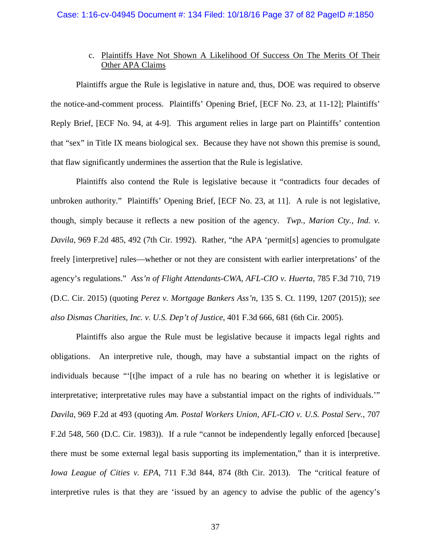# c. Plaintiffs Have Not Shown A Likelihood Of Success On The Merits Of Their Other APA Claims

Plaintiffs argue the Rule is legislative in nature and, thus, DOE was required to observe the notice-and-comment process. Plaintiffs' Opening Brief, [ECF No. 23, at 11-12]; Plaintiffs' Reply Brief, [ECF No. 94, at 4-9]. This argument relies in large part on Plaintiffs' contention that "sex" in Title IX means biological sex. Because they have not shown this premise is sound, that flaw significantly undermines the assertion that the Rule is legislative.

Plaintiffs also contend the Rule is legislative because it "contradicts four decades of unbroken authority." Plaintiffs' Opening Brief, [ECF No. 23, at 11]. A rule is not legislative, though, simply because it reflects a new position of the agency. *Twp., Marion Cty., Ind. v. Davila*, 969 F.2d 485, 492 (7th Cir. 1992). Rather, "the APA 'permit[s] agencies to promulgate freely [interpretive] rules—whether or not they are consistent with earlier interpretations' of the agency's regulations." *Ass'n of Flight Attendants-CWA, AFL-CIO v. Huerta*, 785 F.3d 710, 719 (D.C. Cir. 2015) (quoting *Perez v. Mortgage Bankers Ass'n*, 135 S. Ct. 1199, 1207 (2015)); *see also Dismas Charities, Inc. v. U.S. Dep't of Justice*, 401 F.3d 666, 681 (6th Cir. 2005).

Plaintiffs also argue the Rule must be legislative because it impacts legal rights and obligations. An interpretive rule, though, may have a substantial impact on the rights of individuals because "'[t]he impact of a rule has no bearing on whether it is legislative or interpretative; interpretative rules may have a substantial impact on the rights of individuals.'" *Davila*, 969 F.2d at 493 (quoting *Am. Postal Workers Union, AFL-CIO v. U.S. Postal Serv.*, 707 F.2d 548, 560 (D.C. Cir. 1983)). If a rule "cannot be independently legally enforced [because] there must be some external legal basis supporting its implementation," than it is interpretive. *Iowa League of Cities v. EPA*, 711 F.3d 844, 874 (8th Cir. 2013). The "critical feature of interpretive rules is that they are 'issued by an agency to advise the public of the agency's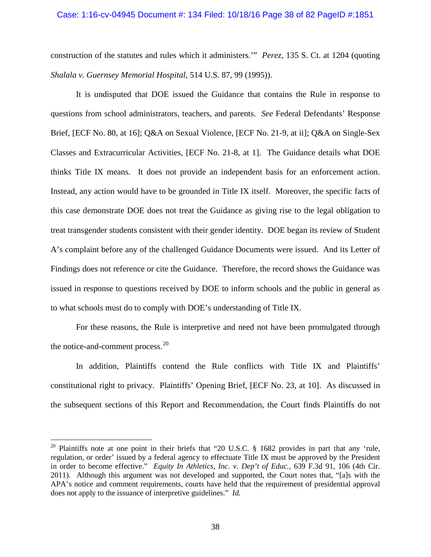### Case: 1:16-cv-04945 Document #: 134 Filed: 10/18/16 Page 38 of 82 PageID #:1851

construction of the statutes and rules which it administers.'" *Perez*, 135 S. Ct. at 1204 (quoting *Shalala v. Guernsey Memorial Hospital*, 514 U.S. 87, 99 (1995)).

It is undisputed that DOE issued the Guidance that contains the Rule in response to questions from school administrators, teachers, and parents. *See* Federal Defendants' Response Brief, [ECF No. 80, at 16]; Q&A on Sexual Violence, [ECF No. 21-9, at ii]; Q&A on Single-Sex Classes and Extracurricular Activities, [ECF No. 21-8, at 1]. The Guidance details what DOE thinks Title IX means. It does not provide an independent basis for an enforcement action. Instead, any action would have to be grounded in Title IX itself. Moreover, the specific facts of this case demonstrate DOE does not treat the Guidance as giving rise to the legal obligation to treat transgender students consistent with their gender identity. DOE began its review of Student A's complaint before any of the challenged Guidance Documents were issued. And its Letter of Findings does not reference or cite the Guidance. Therefore, the record shows the Guidance was issued in response to questions received by DOE to inform schools and the public in general as to what schools must do to comply with DOE's understanding of Title IX.

For these reasons, the Rule is interpretive and need not have been promulgated through the notice-and-comment process. $20$ 

In addition, Plaintiffs contend the Rule conflicts with Title IX and Plaintiffs' constitutional right to privacy. Plaintiffs' Opening Brief, [ECF No. 23, at 10]. As discussed in the subsequent sections of this Report and Recommendation, the Court finds Plaintiffs do not

<span id="page-37-0"></span><sup>&</sup>lt;sup>20</sup> Plaintiffs note at one point in their briefs that "20 U.S.C. § 1682 provides in part that any 'rule, regulation, or order' issued by a federal agency to effectuate Title IX must be approved by the President in order to become effective." *Equity In Athletics, Inc. v. Dep't of Educ.*, 639 F.3d 91, 106 (4th Cir. 2011). Although this argument was not developed and supported, the Court notes that, "[a]s with the APA's notice and comment requirements, courts have held that the requirement of presidential approval does not apply to the issuance of interpretive guidelines." *Id.*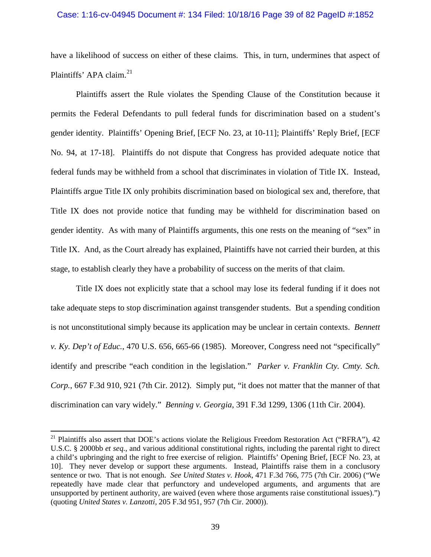## Case: 1:16-cv-04945 Document #: 134 Filed: 10/18/16 Page 39 of 82 PageID #:1852

have a likelihood of success on either of these claims. This, in turn, undermines that aspect of Plaintiffs' APA claim.<sup>[21](#page-38-0)</sup>

Plaintiffs assert the Rule violates the Spending Clause of the Constitution because it permits the Federal Defendants to pull federal funds for discrimination based on a student's gender identity. Plaintiffs' Opening Brief, [ECF No. 23, at 10-11]; Plaintiffs' Reply Brief, [ECF No. 94, at 17-18]. Plaintiffs do not dispute that Congress has provided adequate notice that federal funds may be withheld from a school that discriminates in violation of Title IX. Instead, Plaintiffs argue Title IX only prohibits discrimination based on biological sex and, therefore, that Title IX does not provide notice that funding may be withheld for discrimination based on gender identity. As with many of Plaintiffs arguments, this one rests on the meaning of "sex" in Title IX. And, as the Court already has explained, Plaintiffs have not carried their burden, at this stage, to establish clearly they have a probability of success on the merits of that claim.

Title IX does not explicitly state that a school may lose its federal funding if it does not take adequate steps to stop discrimination against transgender students. But a spending condition is not unconstitutional simply because its application may be unclear in certain contexts. *Bennett v. Ky. Dep't of Educ.*, 470 U.S. 656, 665-66 (1985). Moreover, Congress need not "specifically" identify and prescribe "each condition in the legislation." *Parker v. Franklin Cty. Cmty. Sch. Corp.*, 667 F.3d 910, 921 (7th Cir. 2012). Simply put, "it does not matter that the manner of that discrimination can vary widely." *Benning v. Georgia*, 391 F.3d 1299, 1306 (11th Cir. 2004).

<span id="page-38-0"></span><sup>&</sup>lt;sup>21</sup> Plaintiffs also assert that DOE's actions violate the Religious Freedom Restoration Act ("RFRA"), 42 U.S.C. § 2000bb *et seq.*, and various additional constitutional rights, including the parental right to direct a child's upbringing and the right to free exercise of religion. Plaintiffs' Opening Brief, [ECF No. 23, at 10]. They never develop or support these arguments. Instead, Plaintiffs raise them in a conclusory sentence or two. That is not enough. *See United States v. Hook*, 471 F.3d 766, 775 (7th Cir. 2006) ("We repeatedly have made clear that perfunctory and undeveloped arguments, and arguments that are unsupported by pertinent authority, are waived (even where those arguments raise constitutional issues).") (quoting *United States v. Lanzotti*, 205 F.3d 951, 957 (7th Cir. 2000)).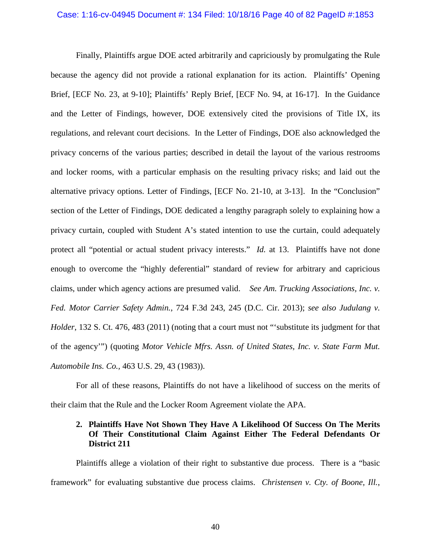#### Case: 1:16-cv-04945 Document #: 134 Filed: 10/18/16 Page 40 of 82 PageID #:1853

Finally, Plaintiffs argue DOE acted arbitrarily and capriciously by promulgating the Rule because the agency did not provide a rational explanation for its action. Plaintiffs' Opening Brief, [ECF No. 23, at 9-10]; Plaintiffs' Reply Brief, [ECF No. 94, at 16-17]. In the Guidance and the Letter of Findings, however, DOE extensively cited the provisions of Title IX, its regulations, and relevant court decisions. In the Letter of Findings, DOE also acknowledged the privacy concerns of the various parties; described in detail the layout of the various restrooms and locker rooms, with a particular emphasis on the resulting privacy risks; and laid out the alternative privacy options. Letter of Findings, [ECF No. 21-10, at 3-13]. In the "Conclusion" section of the Letter of Findings, DOE dedicated a lengthy paragraph solely to explaining how a privacy curtain, coupled with Student A's stated intention to use the curtain, could adequately protect all "potential or actual student privacy interests." *Id.* at 13. Plaintiffs have not done enough to overcome the "highly deferential" standard of review for arbitrary and capricious claims, under which agency actions are presumed valid. *See Am. Trucking Associations, Inc. v. Fed. Motor Carrier Safety Admin.*, 724 F.3d 243, 245 (D.C. Cir. 2013); *see also Judulang v. Holder*, 132 S. Ct. 476, 483 (2011) (noting that a court must not "'substitute its judgment for that of the agency'") (quoting *Motor Vehicle Mfrs. Assn. of United States, Inc. v. State Farm Mut. Automobile Ins. Co.,* 463 U.S. 29, 43 (1983)).

For all of these reasons, Plaintiffs do not have a likelihood of success on the merits of their claim that the Rule and the Locker Room Agreement violate the APA.

# **2. Plaintiffs Have Not Shown They Have A Likelihood Of Success On The Merits Of Their Constitutional Claim Against Either The Federal Defendants Or District 211**

Plaintiffs allege a violation of their right to substantive due process. There is a "basic framework" for evaluating substantive due process claims. *Christensen v. Cty. of Boone, Ill.*,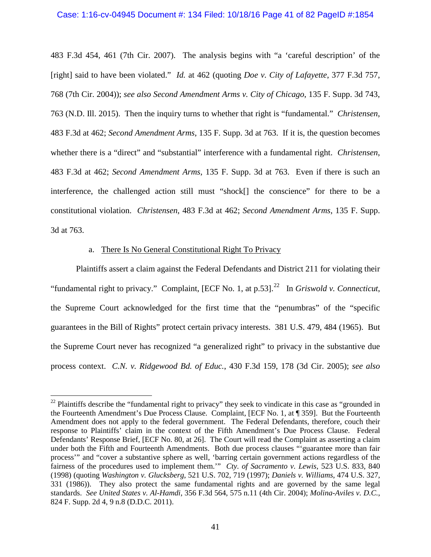### Case: 1:16-cv-04945 Document #: 134 Filed: 10/18/16 Page 41 of 82 PageID #:1854

483 F.3d 454, 461 (7th Cir. 2007). The analysis begins with "a 'careful description' of the [right] said to have been violated." *Id.* at 462 (quoting *Doe v. City of Lafayette*, 377 F.3d 757, 768 (7th Cir. 2004)); *see also Second Amendment Arms v. City of Chicago*, 135 F. Supp. 3d 743, 763 (N.D. Ill. 2015). Then the inquiry turns to whether that right is "fundamental." *Christensen*, 483 F.3d at 462; *Second Amendment Arms*, 135 F. Supp. 3d at 763. If it is, the question becomes whether there is a "direct" and "substantial" interference with a fundamental right. *Christensen*, 483 F.3d at 462; *Second Amendment Arms*, 135 F. Supp. 3d at 763. Even if there is such an interference, the challenged action still must "shock[] the conscience" for there to be a constitutional violation. *Christensen*, 483 F.3d at 462; *Second Amendment Arms*, 135 F. Supp. 3d at 763.

## a. There Is No General Constitutional Right To Privacy

 $\overline{a}$ 

Plaintiffs assert a claim against the Federal Defendants and District 211 for violating their "fundamental right to privacy." Complaint, [ECF No. 1, at p.53].<sup>[22](#page-40-0)</sup> In *Griswold v. Connecticut*, the Supreme Court acknowledged for the first time that the "penumbras" of the "specific guarantees in the Bill of Rights" protect certain privacy interests. 381 U.S. 479, 484 (1965). But the Supreme Court never has recognized "a generalized right" to privacy in the substantive due process context. *C.N. v. Ridgewood Bd. of Educ.*, 430 F.3d 159, 178 (3d Cir. 2005); *see also* 

<span id="page-40-0"></span> $22$  Plaintiffs describe the "fundamental right to privacy" they seek to vindicate in this case as "grounded in the Fourteenth Amendment's Due Process Clause. Complaint, [ECF No. 1, at ¶ 359]. But the Fourteenth Amendment does not apply to the federal government. The Federal Defendants, therefore, couch their response to Plaintiffs' claim in the context of the Fifth Amendment's Due Process Clause. Federal Defendants' Response Brief, [ECF No. 80, at 26]. The Court will read the Complaint as asserting a claim under both the Fifth and Fourteenth Amendments. Both due process clauses "'guarantee more than fair process'" and "cover a substantive sphere as well, 'barring certain government actions regardless of the fairness of the procedures used to implement them.'" *Cty. of Sacramento v. Lewis*, 523 U.S. 833, 840 (1998) (quoting *Washington v. Glucksberg*, 521 U.S. 702, 719 (1997); *Daniels v. Williams*, 474 U.S. 327, 331 (1986)). They also protect the same fundamental rights and are governed by the same legal standards. *See United States v. Al-Hamdi*, 356 F.3d 564, 575 n.11 (4th Cir. 2004); *Molina-Aviles v. D.C.*, 824 F. Supp. 2d 4, 9 n.8 (D.D.C. 2011).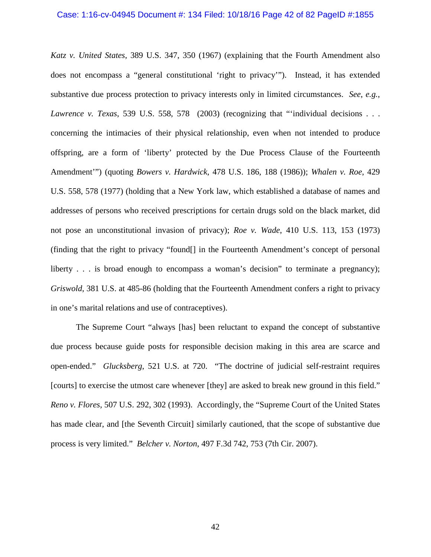# Case: 1:16-cv-04945 Document #: 134 Filed: 10/18/16 Page 42 of 82 PageID #:1855

*Katz v. United States*, 389 U.S. 347, 350 (1967) (explaining that the Fourth Amendment also does not encompass a "general constitutional 'right to privacy'"). Instead, it has extended substantive due process protection to privacy interests only in limited circumstances. *See*, *e.g.*, *Lawrence v. Texas*, 539 U.S. 558, 578 (2003) (recognizing that "individual decisions . . . concerning the intimacies of their physical relationship, even when not intended to produce offspring, are a form of 'liberty' protected by the Due Process Clause of the Fourteenth Amendment'") (quoting *Bowers v. Hardwick*, 478 U.S. 186, 188 (1986)); *Whalen v. Roe*, 429 U.S. 558, 578 (1977) (holding that a New York law, which established a database of names and addresses of persons who received prescriptions for certain drugs sold on the black market, did not pose an unconstitutional invasion of privacy); *Roe v. Wade*, 410 U.S. 113, 153 (1973) (finding that the right to privacy "found[] in the Fourteenth Amendment's concept of personal liberty . . . is broad enough to encompass a woman's decision" to terminate a pregnancy); *Griswold*, 381 U.S. at 485-86 (holding that the Fourteenth Amendment confers a right to privacy in one's marital relations and use of contraceptives).

The Supreme Court "always [has] been reluctant to expand the concept of substantive due process because guide posts for responsible decision making in this area are scarce and open-ended." *Glucksberg*, 521 U.S. at 720. "The doctrine of judicial self-restraint requires [courts] to exercise the utmost care whenever [they] are asked to break new ground in this field." *Reno v. Flores*, 507 U.S. 292, 302 (1993). Accordingly, the "Supreme Court of the United States has made clear, and [the Seventh Circuit] similarly cautioned, that the scope of substantive due process is very limited." *Belcher v. Norton*, 497 F.3d 742, 753 (7th Cir. 2007).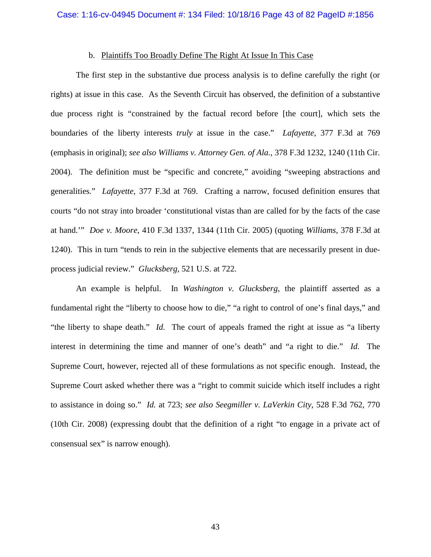#### b. Plaintiffs Too Broadly Define The Right At Issue In This Case

The first step in the substantive due process analysis is to define carefully the right (or rights) at issue in this case. As the Seventh Circuit has observed, the definition of a substantive due process right is "constrained by the factual record before [the court], which sets the boundaries of the liberty interests *truly* at issue in the case." *Lafayette*, 377 F.3d at 769 (emphasis in original); *see also Williams v. Attorney Gen. of Ala.*, 378 F.3d 1232, 1240 (11th Cir. 2004). The definition must be "specific and concrete," avoiding "sweeping abstractions and generalities." *Lafayette*, 377 F.3d at 769. Crafting a narrow, focused definition ensures that courts "do not stray into broader 'constitutional vistas than are called for by the facts of the case at hand.'" *Doe v. Moore*, 410 F.3d 1337, 1344 (11th Cir. 2005) (quoting *Williams*, 378 F.3d at 1240). This in turn "tends to rein in the subjective elements that are necessarily present in dueprocess judicial review." *Glucksberg*, 521 U.S. at 722.

An example is helpful. In *Washington v. Glucksberg*, the plaintiff asserted as a fundamental right the "liberty to choose how to die," "a right to control of one's final days," and "the liberty to shape death." *Id.* The court of appeals framed the right at issue as "a liberty interest in determining the time and manner of one's death" and "a right to die." *Id.* The Supreme Court, however, rejected all of these formulations as not specific enough. Instead, the Supreme Court asked whether there was a "right to commit suicide which itself includes a right to assistance in doing so." *Id.* at 723; *see also Seegmiller v. LaVerkin City*, 528 F.3d 762, 770 (10th Cir. 2008) (expressing doubt that the definition of a right "to engage in a private act of consensual sex" is narrow enough).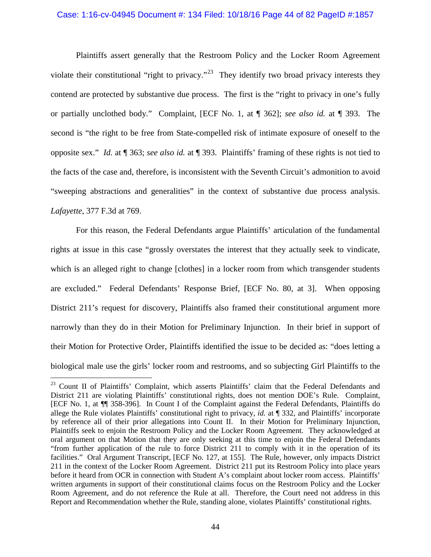# Case: 1:16-cv-04945 Document #: 134 Filed: 10/18/16 Page 44 of 82 PageID #:1857

Plaintiffs assert generally that the Restroom Policy and the Locker Room Agreement violate their constitutional "right to privacy."<sup>[23](#page-43-0)</sup> They identify two broad privacy interests they contend are protected by substantive due process. The first is the "right to privacy in one's fully or partially unclothed body." Complaint, [ECF No. 1, at ¶ 362]; *see also id.* at ¶ 393. The second is "the right to be free from State-compelled risk of intimate exposure of oneself to the opposite sex." *Id.* at ¶ 363; *see also id.* at ¶ 393. Plaintiffs' framing of these rights is not tied to the facts of the case and, therefore, is inconsistent with the Seventh Circuit's admonition to avoid "sweeping abstractions and generalities" in the context of substantive due process analysis. *Lafayette*, 377 F.3d at 769.

For this reason, the Federal Defendants argue Plaintiffs' articulation of the fundamental rights at issue in this case "grossly overstates the interest that they actually seek to vindicate, which is an alleged right to change [clothes] in a locker room from which transgender students are excluded." Federal Defendants' Response Brief, [ECF No. 80, at 3]. When opposing District 211's request for discovery, Plaintiffs also framed their constitutional argument more narrowly than they do in their Motion for Preliminary Injunction. In their brief in support of their Motion for Protective Order, Plaintiffs identified the issue to be decided as: "does letting a biological male use the girls' locker room and restrooms, and so subjecting Girl Plaintiffs to the

<span id="page-43-0"></span><sup>&</sup>lt;sup>23</sup> Count II of Plaintiffs' Complaint, which asserts Plaintiffs' claim that the Federal Defendants and District 211 are violating Plaintiffs' constitutional rights, does not mention DOE's Rule. Complaint, [ECF No. 1, at ¶¶ 358-396]. In Count I of the Complaint against the Federal Defendants, Plaintiffs do allege the Rule violates Plaintiffs' constitutional right to privacy, *id.* at ¶ 332, and Plaintiffs' incorporate by reference all of their prior allegations into Count II. In their Motion for Preliminary Injunction, Plaintiffs seek to enjoin the Restroom Policy and the Locker Room Agreement. They acknowledged at oral argument on that Motion that they are only seeking at this time to enjoin the Federal Defendants "from further application of the rule to force District 211 to comply with it in the operation of its facilities." Oral Argument Transcript, [ECF No. 127, at 155]. The Rule, however, only impacts District 211 in the context of the Locker Room Agreement. District 211 put its Restroom Policy into place years before it heard from OCR in connection with Student A's complaint about locker room access. Plaintiffs' written arguments in support of their constitutional claims focus on the Restroom Policy and the Locker Room Agreement, and do not reference the Rule at all. Therefore, the Court need not address in this Report and Recommendation whether the Rule, standing alone, violates Plaintiffs' constitutional rights.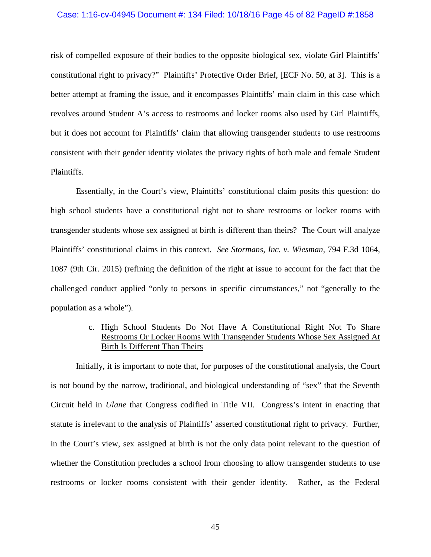## Case: 1:16-cv-04945 Document #: 134 Filed: 10/18/16 Page 45 of 82 PageID #:1858

risk of compelled exposure of their bodies to the opposite biological sex, violate Girl Plaintiffs' constitutional right to privacy?" Plaintiffs' Protective Order Brief, [ECF No. 50, at 3]. This is a better attempt at framing the issue, and it encompasses Plaintiffs' main claim in this case which revolves around Student A's access to restrooms and locker rooms also used by Girl Plaintiffs, but it does not account for Plaintiffs' claim that allowing transgender students to use restrooms consistent with their gender identity violates the privacy rights of both male and female Student Plaintiffs.

Essentially, in the Court's view, Plaintiffs' constitutional claim posits this question: do high school students have a constitutional right not to share restrooms or locker rooms with transgender students whose sex assigned at birth is different than theirs? The Court will analyze Plaintiffs' constitutional claims in this context. *See Stormans, Inc. v. Wiesman*, 794 F.3d 1064, 1087 (9th Cir. 2015) (refining the definition of the right at issue to account for the fact that the challenged conduct applied "only to persons in specific circumstances," not "generally to the population as a whole").

# c. High School Students Do Not Have A Constitutional Right Not To Share Restrooms Or Locker Rooms With Transgender Students Whose Sex Assigned At Birth Is Different Than Theirs

Initially, it is important to note that, for purposes of the constitutional analysis, the Court is not bound by the narrow, traditional, and biological understanding of "sex" that the Seventh Circuit held in *Ulane* that Congress codified in Title VII. Congress's intent in enacting that statute is irrelevant to the analysis of Plaintiffs' asserted constitutional right to privacy. Further, in the Court's view, sex assigned at birth is not the only data point relevant to the question of whether the Constitution precludes a school from choosing to allow transgender students to use restrooms or locker rooms consistent with their gender identity. Rather, as the Federal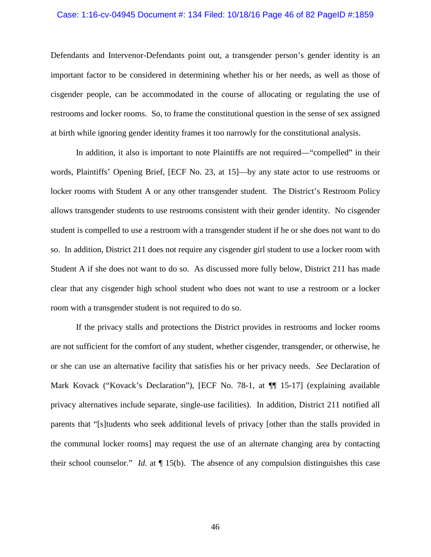# Case: 1:16-cv-04945 Document #: 134 Filed: 10/18/16 Page 46 of 82 PageID #:1859

Defendants and Intervenor-Defendants point out, a transgender person's gender identity is an important factor to be considered in determining whether his or her needs, as well as those of cisgender people, can be accommodated in the course of allocating or regulating the use of restrooms and locker rooms. So, to frame the constitutional question in the sense of sex assigned at birth while ignoring gender identity frames it too narrowly for the constitutional analysis.

In addition, it also is important to note Plaintiffs are not required—"compelled" in their words, Plaintiffs' Opening Brief, [ECF No. 23, at 15]—by any state actor to use restrooms or locker rooms with Student A or any other transgender student. The District's Restroom Policy allows transgender students to use restrooms consistent with their gender identity. No cisgender student is compelled to use a restroom with a transgender student if he or she does not want to do so. In addition, District 211 does not require any cisgender girl student to use a locker room with Student A if she does not want to do so. As discussed more fully below, District 211 has made clear that any cisgender high school student who does not want to use a restroom or a locker room with a transgender student is not required to do so.

If the privacy stalls and protections the District provides in restrooms and locker rooms are not sufficient for the comfort of any student, whether cisgender, transgender, or otherwise, he or she can use an alternative facility that satisfies his or her privacy needs. *See* Declaration of Mark Kovack ("Kovack's Declaration"), [ECF No. 78-1, at  $\P$ [ 15-17] (explaining available privacy alternatives include separate, single-use facilities). In addition, District 211 notified all parents that "[s]tudents who seek additional levels of privacy [other than the stalls provided in the communal locker rooms] may request the use of an alternate changing area by contacting their school counselor." *Id.* at ¶ 15(b). The absence of any compulsion distinguishes this case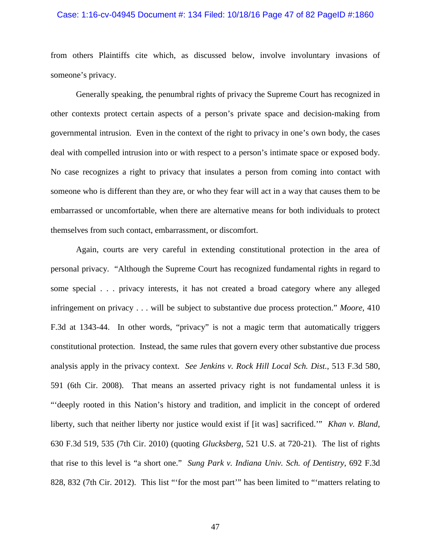# Case: 1:16-cv-04945 Document #: 134 Filed: 10/18/16 Page 47 of 82 PageID #:1860

from others Plaintiffs cite which, as discussed below, involve involuntary invasions of someone's privacy.

Generally speaking, the penumbral rights of privacy the Supreme Court has recognized in other contexts protect certain aspects of a person's private space and decision-making from governmental intrusion. Even in the context of the right to privacy in one's own body, the cases deal with compelled intrusion into or with respect to a person's intimate space or exposed body. No case recognizes a right to privacy that insulates a person from coming into contact with someone who is different than they are, or who they fear will act in a way that causes them to be embarrassed or uncomfortable, when there are alternative means for both individuals to protect themselves from such contact, embarrassment, or discomfort.

Again, courts are very careful in extending constitutional protection in the area of personal privacy. "Although the Supreme Court has recognized fundamental rights in regard to some special . . . privacy interests, it has not created a broad category where any alleged infringement on privacy . . . will be subject to substantive due process protection." *Moore*, 410 F.3d at 1343-44. In other words, "privacy" is not a magic term that automatically triggers constitutional protection. Instead, the same rules that govern every other substantive due process analysis apply in the privacy context. *See Jenkins v. Rock Hill Local Sch. Dist.*, 513 F.3d 580, 591 (6th Cir. 2008). That means an asserted privacy right is not fundamental unless it is "'deeply rooted in this Nation's history and tradition, and implicit in the concept of ordered liberty, such that neither liberty nor justice would exist if [it was] sacrificed.'" *Khan v. Bland*, 630 F.3d 519, 535 (7th Cir. 2010) (quoting *Glucksberg*, 521 U.S. at 720-21). The list of rights that rise to this level is "a short one." *Sung Park v. Indiana Univ. Sch. of Dentistry*, 692 F.3d 828, 832 (7th Cir. 2012). This list "'for the most part'" has been limited to "'matters relating to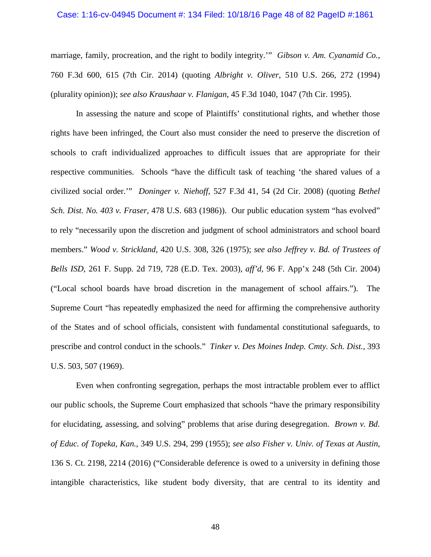#### Case: 1:16-cv-04945 Document #: 134 Filed: 10/18/16 Page 48 of 82 PageID #:1861

marriage, family, procreation, and the right to bodily integrity.'" *Gibson v. Am. Cyanamid Co.*, 760 F.3d 600, 615 (7th Cir. 2014) (quoting *Albright v. Oliver*, 510 U.S. 266, 272 (1994) (plurality opinion)); *see also Kraushaar v. Flanigan*, 45 F.3d 1040, 1047 (7th Cir. 1995).

In assessing the nature and scope of Plaintiffs' constitutional rights, and whether those rights have been infringed, the Court also must consider the need to preserve the discretion of schools to craft individualized approaches to difficult issues that are appropriate for their respective communities. Schools "have the difficult task of teaching 'the shared values of a civilized social order.'" *Doninger v. Niehoff*, 527 F.3d 41, 54 (2d Cir. 2008) (quoting *Bethel Sch. Dist. No. 403 v. Fraser*, 478 U.S. 683 (1986)). Our public education system "has evolved" to rely "necessarily upon the discretion and judgment of school administrators and school board members." *Wood v. Strickland*, 420 U.S. 308, 326 (1975); *see also Jeffrey v. Bd. of Trustees of Bells ISD*, 261 F. Supp. 2d 719, 728 (E.D. Tex. 2003), *aff'd*, 96 F. App'x 248 (5th Cir. 2004) ("Local school boards have broad discretion in the management of school affairs."). The Supreme Court "has repeatedly emphasized the need for affirming the comprehensive authority of the States and of school officials, consistent with fundamental constitutional safeguards, to prescribe and control conduct in the schools." *Tinker v. Des Moines Indep. Cmty. Sch. Dist.*, 393 U.S. 503, 507 (1969).

Even when confronting segregation, perhaps the most intractable problem ever to afflict our public schools, the Supreme Court emphasized that schools "have the primary responsibility for elucidating, assessing, and solving" problems that arise during desegregation. *Brown v. Bd. of Educ. of Topeka, Kan.*, 349 U.S. 294, 299 (1955); *see also Fisher v. Univ. of Texas at Austin*, 136 S. Ct. 2198, 2214 (2016) ("Considerable deference is owed to a university in defining those intangible characteristics, like student body diversity, that are central to its identity and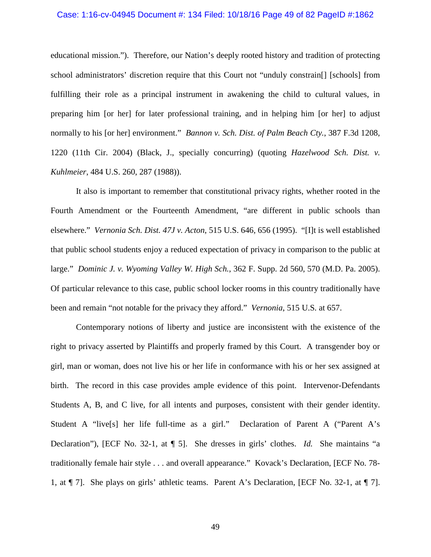#### Case: 1:16-cv-04945 Document #: 134 Filed: 10/18/16 Page 49 of 82 PageID #:1862

educational mission."). Therefore, our Nation's deeply rooted history and tradition of protecting school administrators' discretion require that this Court not "unduly constrain[] [schools] from fulfilling their role as a principal instrument in awakening the child to cultural values, in preparing him [or her] for later professional training, and in helping him [or her] to adjust normally to his [or her] environment." *Bannon v. Sch. Dist. of Palm Beach Cty.*, 387 F.3d 1208, 1220 (11th Cir. 2004) (Black, J., specially concurring) (quoting *Hazelwood Sch. Dist. v. Kuhlmeier*, 484 U.S. 260, 287 (1988)).

It also is important to remember that constitutional privacy rights, whether rooted in the Fourth Amendment or the Fourteenth Amendment, "are different in public schools than elsewhere." *Vernonia Sch. Dist. 47J v. Acton*, 515 U.S. 646, 656 (1995). "[I]t is well established that public school students enjoy a reduced expectation of privacy in comparison to the public at large." *Dominic J. v. Wyoming Valley W. High Sch.*, 362 F. Supp. 2d 560, 570 (M.D. Pa. 2005). Of particular relevance to this case, public school locker rooms in this country traditionally have been and remain "not notable for the privacy they afford." *Vernonia*, 515 U.S*.* at 657.

Contemporary notions of liberty and justice are inconsistent with the existence of the right to privacy asserted by Plaintiffs and properly framed by this Court. A transgender boy or girl, man or woman, does not live his or her life in conformance with his or her sex assigned at birth. The record in this case provides ample evidence of this point. Intervenor-Defendants Students A, B, and C live, for all intents and purposes, consistent with their gender identity. Student A "live[s] her life full-time as a girl." Declaration of Parent A ("Parent A's Declaration"), [ECF No. 32-1, at ¶ 5]. She dresses in girls' clothes. *Id.* She maintains "a traditionally female hair style . . . and overall appearance." Kovack's Declaration, [ECF No. 78- 1, at ¶ 7]. She plays on girls' athletic teams. Parent A's Declaration, [ECF No. 32-1, at ¶ 7].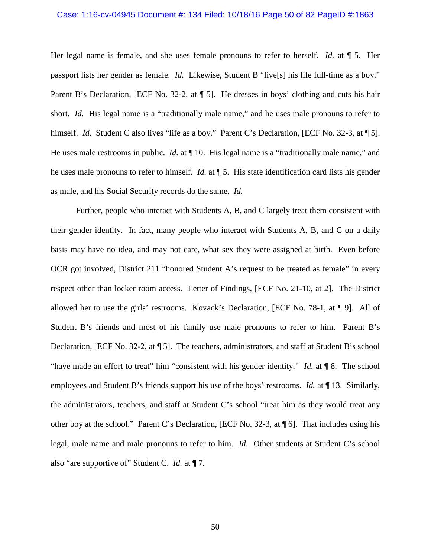## Case: 1:16-cv-04945 Document #: 134 Filed: 10/18/16 Page 50 of 82 PageID #:1863

Her legal name is female, and she uses female pronouns to refer to herself. *Id.* at ¶ 5. Her passport lists her gender as female. *Id.* Likewise, Student B "live[s] his life full-time as a boy." Parent B's Declaration, [ECF No. 32-2, at  $\P$  5]. He dresses in boys' clothing and cuts his hair short. *Id.* His legal name is a "traditionally male name," and he uses male pronouns to refer to himself. *Id.* Student C also lives "life as a boy." Parent C's Declaration, [ECF No. 32-3, at ¶ 5]. He uses male restrooms in public. *Id.* at  $\P$  10. His legal name is a "traditionally male name," and he uses male pronouns to refer to himself. *Id.* at ¶ 5. His state identification card lists his gender as male, and his Social Security records do the same. *Id.* 

Further, people who interact with Students A, B, and C largely treat them consistent with their gender identity. In fact, many people who interact with Students A, B, and C on a daily basis may have no idea, and may not care, what sex they were assigned at birth. Even before OCR got involved, District 211 "honored Student A's request to be treated as female" in every respect other than locker room access. Letter of Findings, [ECF No. 21-10, at 2]. The District allowed her to use the girls' restrooms. Kovack's Declaration, [ECF No. 78-1, at ¶ 9]. All of Student B's friends and most of his family use male pronouns to refer to him. Parent B's Declaration, [ECF No. 32-2, at ¶ 5]. The teachers, administrators, and staff at Student B's school "have made an effort to treat" him "consistent with his gender identity." *Id.* at ¶ 8. The school employees and Student B's friends support his use of the boys' restrooms. *Id.* at ¶ 13. Similarly, the administrators, teachers, and staff at Student C's school "treat him as they would treat any other boy at the school." Parent C's Declaration, [ECF No. 32-3, at ¶ 6]. That includes using his legal, male name and male pronouns to refer to him. *Id.* Other students at Student C's school also "are supportive of" Student C. *Id.* at ¶ 7.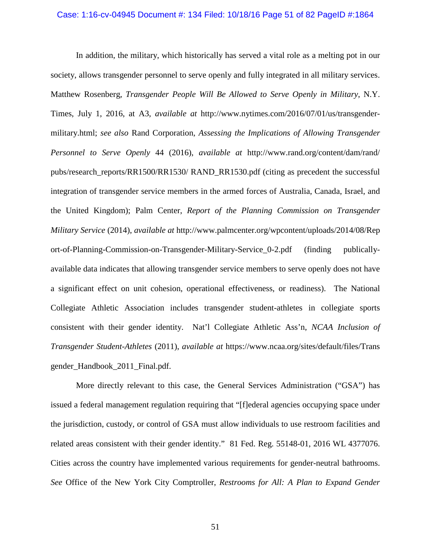### Case: 1:16-cv-04945 Document #: 134 Filed: 10/18/16 Page 51 of 82 PageID #:1864

In addition, the military, which historically has served a vital role as a melting pot in our society, allows transgender personnel to serve openly and fully integrated in all military services. Matthew Rosenberg, *Transgender People Will Be Allowed to Serve Openly in Military*, N.Y. Times, July 1, 2016, at A3, *available at* http://www.nytimes.com/2016/07/01/us/transgendermilitary.html; *see also* Rand Corporation, *Assessing the Implications of Allowing Transgender Personnel to Serve Openly* 44 (2016), *available at* http://www.rand.org/content/dam/rand/ pubs/research\_reports/RR1500/RR1530/ RAND\_RR1530.pdf (citing as precedent the successful integration of transgender service members in the armed forces of Australia, Canada, Israel, and the United Kingdom); Palm Center, *Report of the Planning Commission on Transgender Military Service* (2014), *available at* http://www.palmcenter.org/wpcontent/uploads/2014/08/Rep ort-of-Planning-Commission-on-Transgender-Military-Service\_0-2.pdf (finding publicallyavailable data indicates that allowing transgender service members to serve openly does not have a significant effect on unit cohesion, operational effectiveness, or readiness). The National Collegiate Athletic Association includes transgender student-athletes in collegiate sports consistent with their gender identity. Nat'l Collegiate Athletic Ass'n, *NCAA Inclusion of Transgender Student-Athletes* (2011), *available at* https://www.ncaa.org/sites/default/files/Trans gender\_Handbook\_2011\_Final.pdf.

More directly relevant to this case, the General Services Administration ("GSA") has issued a federal management regulation requiring that "[f]ederal agencies occupying space under the jurisdiction, custody, or control of GSA must allow individuals to use restroom facilities and related areas consistent with their gender identity." 81 Fed. Reg. 55148-01, 2016 WL 4377076. Cities across the country have implemented various requirements for gender-neutral bathrooms. *See* Office of the New York City Comptroller, *Restrooms for All: A Plan to Expand Gender*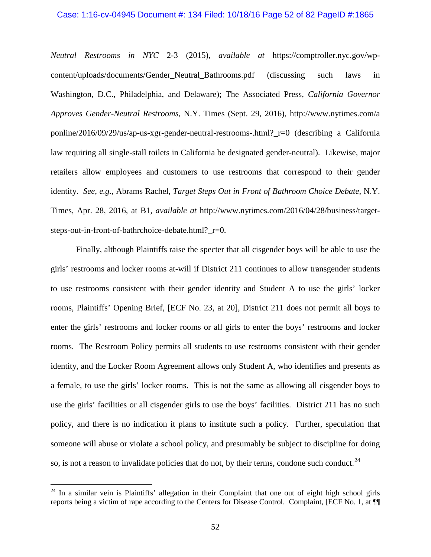#### Case: 1:16-cv-04945 Document #: 134 Filed: 10/18/16 Page 52 of 82 PageID #:1865

*Neutral Restrooms in NYC* 2-3 (2015), *available at* https://comptroller.nyc.gov/wpcontent/uploads/documents/Gender\_Neutral\_Bathrooms.pdf (discussing such laws in Washington, D.C., Philadelphia, and Delaware); The Associated Press, *California Governor Approves Gender-Neutral Restrooms*, N.Y. Times (Sept. 29, 2016), http://www.nytimes.com/a ponline/2016/09/29/us/ap-us-xgr-gender-neutral-restrooms-.html?\_r=0 (describing a California law requiring all single-stall toilets in California be designated gender-neutral).Likewise, major retailers allow employees and customers to use restrooms that correspond to their gender identity. *See*, *e.g.*, Abrams Rachel, *Target Steps Out in Front of Bathroom Choice Debate*, N.Y. Times, Apr. 28, 2016, at B1, *available at* http://www.nytimes.com/2016/04/28/business/targetsteps-out-in-front-of-bathrchoice-debate.html?\_r=0.

Finally, although Plaintiffs raise the specter that all cisgender boys will be able to use the girls' restrooms and locker rooms at-will if District 211 continues to allow transgender students to use restrooms consistent with their gender identity and Student A to use the girls' locker rooms, Plaintiffs' Opening Brief, [ECF No. 23, at 20], District 211 does not permit all boys to enter the girls' restrooms and locker rooms or all girls to enter the boys' restrooms and locker rooms. The Restroom Policy permits all students to use restrooms consistent with their gender identity, and the Locker Room Agreement allows only Student A, who identifies and presents as a female, to use the girls' locker rooms. This is not the same as allowing all cisgender boys to use the girls' facilities or all cisgender girls to use the boys' facilities. District 211 has no such policy, and there is no indication it plans to institute such a policy. Further, speculation that someone will abuse or violate a school policy, and presumably be subject to discipline for doing so, is not a reason to invalidate policies that do not, by their terms, condone such conduct.<sup>24</sup>

<span id="page-51-0"></span> $24$  In a similar vein is Plaintiffs' allegation in their Complaint that one out of eight high school girls reports being a victim of rape according to the Centers for Disease Control. Complaint, [ECF No. 1, at ¶¶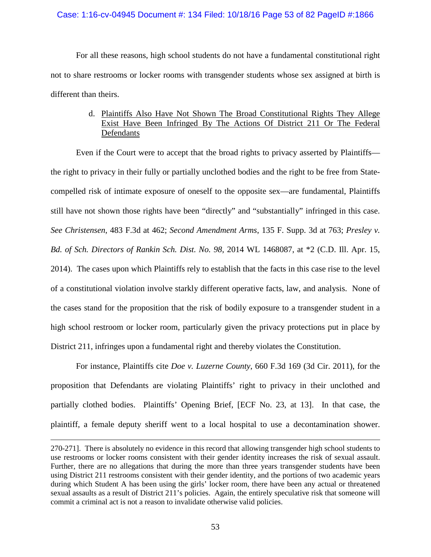## Case: 1:16-cv-04945 Document #: 134 Filed: 10/18/16 Page 53 of 82 PageID #:1866

For all these reasons, high school students do not have a fundamental constitutional right not to share restrooms or locker rooms with transgender students whose sex assigned at birth is different than theirs.

# d. Plaintiffs Also Have Not Shown The Broad Constitutional Rights They Allege Exist Have Been Infringed By The Actions Of District 211 Or The Federal Defendants

Even if the Court were to accept that the broad rights to privacy asserted by Plaintiffs the right to privacy in their fully or partially unclothed bodies and the right to be free from Statecompelled risk of intimate exposure of oneself to the opposite sex—are fundamental, Plaintiffs still have not shown those rights have been "directly" and "substantially" infringed in this case. *See Christensen*, 483 F.3d at 462; *Second Amendment Arms*, 135 F. Supp. 3d at 763; *Presley v. Bd. of Sch. Directors of Rankin Sch. Dist. No. 98*, 2014 WL 1468087, at \*2 (C.D. Ill. Apr. 15, 2014). The cases upon which Plaintiffs rely to establish that the facts in this case rise to the level of a constitutional violation involve starkly different operative facts, law, and analysis. None of the cases stand for the proposition that the risk of bodily exposure to a transgender student in a high school restroom or locker room, particularly given the privacy protections put in place by District 211, infringes upon a fundamental right and thereby violates the Constitution.

For instance, Plaintiffs cite *Doe v. Luzerne County*, 660 F.3d 169 (3d Cir. 2011), for the proposition that Defendants are violating Plaintiffs' right to privacy in their unclothed and partially clothed bodies. Plaintiffs' Opening Brief, [ECF No. 23, at 13]. In that case, the plaintiff, a female deputy sheriff went to a local hospital to use a decontamination shower.

<sup>270-271].</sup> There is absolutely no evidence in this record that allowing transgender high school students to use restrooms or locker rooms consistent with their gender identity increases the risk of sexual assault. Further, there are no allegations that during the more than three years transgender students have been using District 211 restrooms consistent with their gender identity, and the portions of two academic years during which Student A has been using the girls' locker room, there have been any actual or threatened sexual assaults as a result of District 211's policies. Again, the entirely speculative risk that someone will commit a criminal act is not a reason to invalidate otherwise valid policies.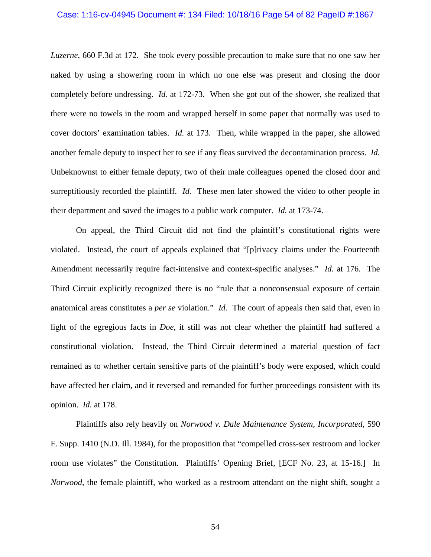## Case: 1:16-cv-04945 Document #: 134 Filed: 10/18/16 Page 54 of 82 PageID #:1867

*Luzerne*, 660 F.3d at 172. She took every possible precaution to make sure that no one saw her naked by using a showering room in which no one else was present and closing the door completely before undressing. *Id.* at 172-73. When she got out of the shower, she realized that there were no towels in the room and wrapped herself in some paper that normally was used to cover doctors' examination tables. *Id.* at 173. Then, while wrapped in the paper, she allowed another female deputy to inspect her to see if any fleas survived the decontamination process. *Id.*  Unbeknownst to either female deputy, two of their male colleagues opened the closed door and surreptitiously recorded the plaintiff. *Id.* These men later showed the video to other people in their department and saved the images to a public work computer. *Id.* at 173-74.

On appeal, the Third Circuit did not find the plaintiff's constitutional rights were violated. Instead, the court of appeals explained that "[p]rivacy claims under the Fourteenth Amendment necessarily require fact-intensive and context-specific analyses." *Id.* at 176. The Third Circuit explicitly recognized there is no "rule that a nonconsensual exposure of certain anatomical areas constitutes a *per se* violation." *Id.* The court of appeals then said that, even in light of the egregious facts in *Doe*, it still was not clear whether the plaintiff had suffered a constitutional violation. Instead, the Third Circuit determined a material question of fact remained as to whether certain sensitive parts of the plaintiff's body were exposed, which could have affected her claim, and it reversed and remanded for further proceedings consistent with its opinion. *Id.* at 178.

Plaintiffs also rely heavily on *Norwood v. Dale Maintenance System, Incorporated*, 590 F. Supp. 1410 (N.D. Ill. 1984), for the proposition that "compelled cross-sex restroom and locker room use violates" the Constitution. Plaintiffs' Opening Brief, [ECF No. 23, at 15-16.] In *Norwood*, the female plaintiff, who worked as a restroom attendant on the night shift, sought a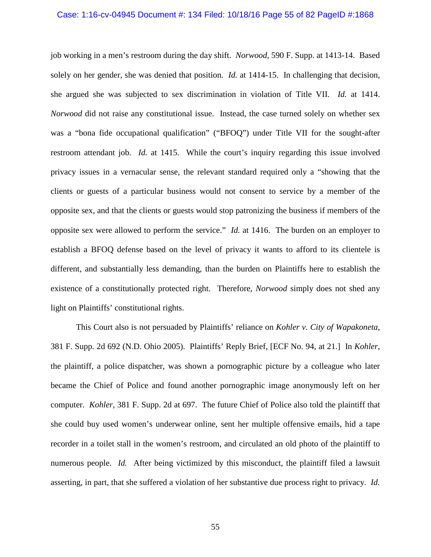#### Case: 1:16-cv-04945 Document #: 134 Filed: 10/18/16 Page 55 of 82 PageID #:1868

job working in a men's restroom during the day shift. *Norwood*, 590 F. Supp. at 1413-14. Based solely on her gender, she was denied that position. *Id.* at 1414-15.In challenging that decision, she argued she was subjected to sex discrimination in violation of Title VII. *Id.* at 1414. *Norwood* did not raise any constitutional issue. Instead, the case turned solely on whether sex was a "bona fide occupational qualification" ("BFOQ") under Title VII for the sought-after restroom attendant job. *Id.* at 1415. While the court's inquiry regarding this issue involved privacy issues in a vernacular sense, the relevant standard required only a "showing that the clients or guests of a particular business would not consent to service by a member of the opposite sex, and that the clients or guests would stop patronizing the business if members of the opposite sex were allowed to perform the service." *Id.* at 1416. The burden on an employer to establish a BFOQ defense based on the level of privacy it wants to afford to its clientele is different, and substantially less demanding, than the burden on Plaintiffs here to establish the existence of a constitutionally protected right. Therefore, *Norwood* simply does not shed any light on Plaintiffs' constitutional rights.

This Court also is not persuaded by Plaintiffs' reliance on *Kohler v. City of Wapakoneta*, 381 F. Supp. 2d 692 (N.D. Ohio 2005). Plaintiffs' Reply Brief, [ECF No. 94, at 21.] In *Kohler*, the plaintiff, a police dispatcher, was shown a pornographic picture by a colleague who later became the Chief of Police and found another pornographic image anonymously left on her computer. *Kohler*, 381 F. Supp. 2d at 697. The future Chief of Police also told the plaintiff that she could buy used women's underwear online, sent her multiple offensive emails, hid a tape recorder in a toilet stall in the women's restroom, and circulated an old photo of the plaintiff to numerous people. *Id.* After being victimized by this misconduct, the plaintiff filed a lawsuit asserting, in part, that she suffered a violation of her substantive due process right to privacy. *Id.*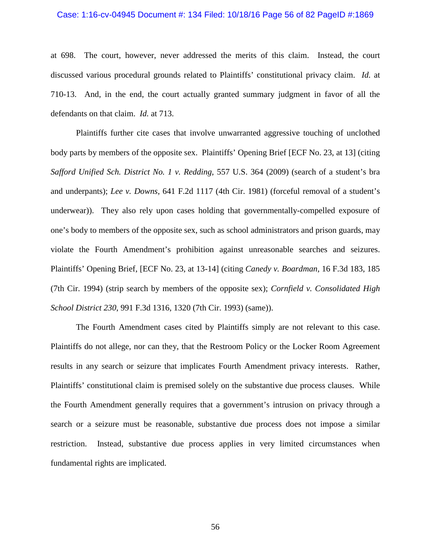#### Case: 1:16-cv-04945 Document #: 134 Filed: 10/18/16 Page 56 of 82 PageID #:1869

at 698. The court, however, never addressed the merits of this claim. Instead, the court discussed various procedural grounds related to Plaintiffs' constitutional privacy claim. *Id.* at 710-13. And, in the end, the court actually granted summary judgment in favor of all the defendants on that claim. *Id.* at 713.

Plaintiffs further cite cases that involve unwarranted aggressive touching of unclothed body parts by members of the opposite sex. Plaintiffs' Opening Brief [ECF No. 23, at 13] (citing *Safford Unified Sch. District No. 1 v. Redding*, 557 U.S. 364 (2009) (search of a student's bra and underpants); *Lee v. Downs*, 641 F.2d 1117 (4th Cir. 1981) (forceful removal of a student's underwear)). They also rely upon cases holding that governmentally-compelled exposure of one's body to members of the opposite sex, such as school administrators and prison guards, may violate the Fourth Amendment's prohibition against unreasonable searches and seizures. Plaintiffs' Opening Brief, [ECF No. 23, at 13-14] (citing *Canedy v. Boardman*, 16 F.3d 183, 185 (7th Cir. 1994) (strip search by members of the opposite sex); *Cornfield v. Consolidated High School District 230*, 991 F.3d 1316, 1320 (7th Cir. 1993) (same)).

The Fourth Amendment cases cited by Plaintiffs simply are not relevant to this case. Plaintiffs do not allege, nor can they, that the Restroom Policy or the Locker Room Agreement results in any search or seizure that implicates Fourth Amendment privacy interests. Rather, Plaintiffs' constitutional claim is premised solely on the substantive due process clauses. While the Fourth Amendment generally requires that a government's intrusion on privacy through a search or a seizure must be reasonable, substantive due process does not impose a similar restriction. Instead, substantive due process applies in very limited circumstances when fundamental rights are implicated.

56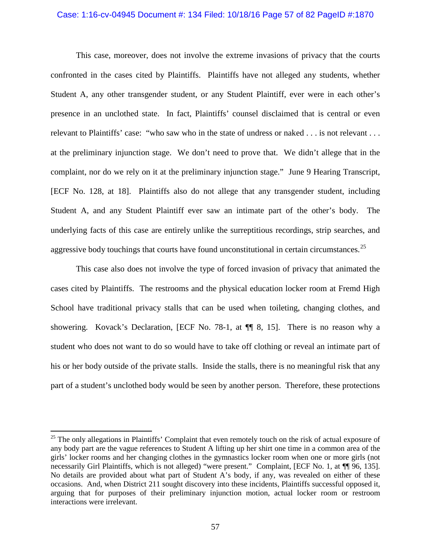#### Case: 1:16-cv-04945 Document #: 134 Filed: 10/18/16 Page 57 of 82 PageID #:1870

This case, moreover, does not involve the extreme invasions of privacy that the courts confronted in the cases cited by Plaintiffs. Plaintiffs have not alleged any students, whether Student A, any other transgender student, or any Student Plaintiff, ever were in each other's presence in an unclothed state. In fact, Plaintiffs' counsel disclaimed that is central or even relevant to Plaintiffs' case: "who saw who in the state of undress or naked . . . is not relevant . . . at the preliminary injunction stage. We don't need to prove that. We didn't allege that in the complaint, nor do we rely on it at the preliminary injunction stage." June 9 Hearing Transcript, [ECF No. 128, at 18]. Plaintiffs also do not allege that any transgender student, including Student A, and any Student Plaintiff ever saw an intimate part of the other's body. The underlying facts of this case are entirely unlike the surreptitious recordings, strip searches, and aggressive body touchings that courts have found unconstitutional in certain circumstances.<sup>[25](#page-56-0)</sup>

This case also does not involve the type of forced invasion of privacy that animated the cases cited by Plaintiffs. The restrooms and the physical education locker room at Fremd High School have traditional privacy stalls that can be used when toileting, changing clothes, and showering. Kovack's Declaration, [ECF No. 78-1, at  $\P$  8, 15]. There is no reason why a student who does not want to do so would have to take off clothing or reveal an intimate part of his or her body outside of the private stalls. Inside the stalls, there is no meaningful risk that any part of a student's unclothed body would be seen by another person. Therefore, these protections

<span id="page-56-0"></span> $25$  The only allegations in Plaintiffs' Complaint that even remotely touch on the risk of actual exposure of any body part are the vague references to Student A lifting up her shirt one time in a common area of the girls' locker rooms and her changing clothes in the gymnastics locker room when one or more girls (not necessarily Girl Plaintiffs, which is not alleged) "were present." Complaint, [ECF No. 1, at ¶¶ 96, 135]. No details are provided about what part of Student A's body, if any, was revealed on either of these occasions. And, when District 211 sought discovery into these incidents, Plaintiffs successful opposed it, arguing that for purposes of their preliminary injunction motion, actual locker room or restroom interactions were irrelevant.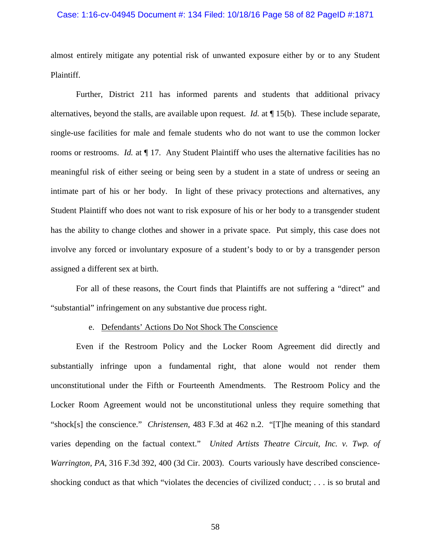## Case: 1:16-cv-04945 Document #: 134 Filed: 10/18/16 Page 58 of 82 PageID #:1871

almost entirely mitigate any potential risk of unwanted exposure either by or to any Student Plaintiff.

Further, District 211 has informed parents and students that additional privacy alternatives, beyond the stalls, are available upon request. *Id.* at ¶ 15(b). These include separate, single-use facilities for male and female students who do not want to use the common locker rooms or restrooms. *Id.* at  $\P$  17. Any Student Plaintiff who uses the alternative facilities has no meaningful risk of either seeing or being seen by a student in a state of undress or seeing an intimate part of his or her body. In light of these privacy protections and alternatives, any Student Plaintiff who does not want to risk exposure of his or her body to a transgender student has the ability to change clothes and shower in a private space. Put simply, this case does not involve any forced or involuntary exposure of a student's body to or by a transgender person assigned a different sex at birth.

For all of these reasons, the Court finds that Plaintiffs are not suffering a "direct" and "substantial" infringement on any substantive due process right.

### e. Defendants' Actions Do Not Shock The Conscience

Even if the Restroom Policy and the Locker Room Agreement did directly and substantially infringe upon a fundamental right, that alone would not render them unconstitutional under the Fifth or Fourteenth Amendments. The Restroom Policy and the Locker Room Agreement would not be unconstitutional unless they require something that "shock[s] the conscience." *Christensen*, 483 F.3d at 462 n.2. "[T]he meaning of this standard varies depending on the factual context." *United Artists Theatre Circuit, Inc. v. Twp. of Warrington, PA*, 316 F.3d 392, 400 (3d Cir. 2003). Courts variously have described conscienceshocking conduct as that which "violates the decencies of civilized conduct; . . . is so brutal and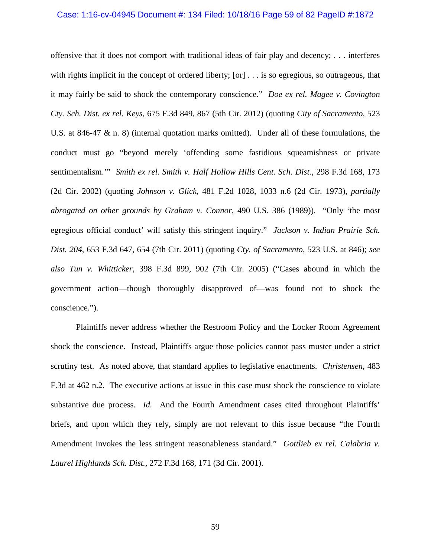#### Case: 1:16-cv-04945 Document #: 134 Filed: 10/18/16 Page 59 of 82 PageID #:1872

offensive that it does not comport with traditional ideas of fair play and decency; . . . interferes with rights implicit in the concept of ordered liberty;  $[or] \ldots$  is so egregious, so outrageous, that it may fairly be said to shock the contemporary conscience." *Doe ex rel. Magee v. Covington Cty. Sch. Dist. ex rel. Keys*, 675 F.3d 849, 867 (5th Cir. 2012) (quoting *City of Sacramento*, 523 U.S. at 846-47 & n. 8) (internal quotation marks omitted). Under all of these formulations, the conduct must go "beyond merely 'offending some fastidious squeamishness or private sentimentalism.'" *Smith ex rel. Smith v. Half Hollow Hills Cent. Sch. Dist.*, 298 F.3d 168, 173 (2d Cir. 2002) (quoting *Johnson v. Glick*, 481 F.2d 1028, 1033 n.6 (2d Cir. 1973), *partially abrogated on other grounds by Graham v. Connor*, 490 U.S. 386 (1989)). "Only 'the most egregious official conduct' will satisfy this stringent inquiry." *Jackson v. Indian Prairie Sch. Dist. 204*, 653 F.3d 647, 654 (7th Cir. 2011) (quoting *Cty. of Sacramento*, 523 U.S. at 846); *see also Tun v. Whitticker*, 398 F.3d 899, 902 (7th Cir. 2005) ("Cases abound in which the government action—though thoroughly disapproved of—was found not to shock the conscience.").

Plaintiffs never address whether the Restroom Policy and the Locker Room Agreement shock the conscience. Instead, Plaintiffs argue those policies cannot pass muster under a strict scrutiny test. As noted above, that standard applies to legislative enactments. *Christensen*, 483 F.3d at 462 n.2. The executive actions at issue in this case must shock the conscience to violate substantive due process. *Id.* And the Fourth Amendment cases cited throughout Plaintiffs' briefs, and upon which they rely, simply are not relevant to this issue because "the Fourth Amendment invokes the less stringent reasonableness standard." *Gottlieb ex rel. Calabria v. Laurel Highlands Sch. Dist.*, 272 F.3d 168, 171 (3d Cir. 2001).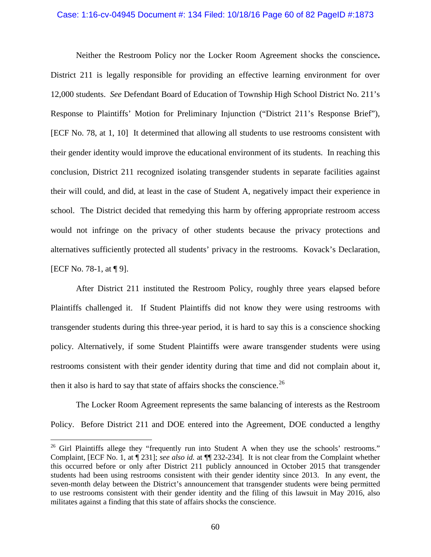### Case: 1:16-cv-04945 Document #: 134 Filed: 10/18/16 Page 60 of 82 PageID #:1873

Neither the Restroom Policy nor the Locker Room Agreement shocks the conscience**.** District 211 is legally responsible for providing an effective learning environment for over 12,000 students. *See* Defendant Board of Education of Township High School District No. 211's Response to Plaintiffs' Motion for Preliminary Injunction ("District 211's Response Brief"), [ECF No. 78, at 1, 10] It determined that allowing all students to use restrooms consistent with their gender identity would improve the educational environment of its students. In reaching this conclusion, District 211 recognized isolating transgender students in separate facilities against their will could, and did, at least in the case of Student A, negatively impact their experience in school. The District decided that remedying this harm by offering appropriate restroom access would not infringe on the privacy of other students because the privacy protections and alternatives sufficiently protected all students' privacy in the restrooms. Kovack's Declaration, [ECF No. 78-1, at ¶ 9].

After District 211 instituted the Restroom Policy, roughly three years elapsed before Plaintiffs challenged it. If Student Plaintiffs did not know they were using restrooms with transgender students during this three-year period, it is hard to say this is a conscience shocking policy. Alternatively, if some Student Plaintiffs were aware transgender students were using restrooms consistent with their gender identity during that time and did not complain about it, then it also is hard to say that state of affairs shocks the conscience.<sup>26</sup>

The Locker Room Agreement represents the same balancing of interests as the Restroom Policy. Before District 211 and DOE entered into the Agreement, DOE conducted a lengthy

<span id="page-59-0"></span><sup>&</sup>lt;sup>26</sup> Girl Plaintiffs allege they "frequently run into Student A when they use the schools' restrooms." Complaint, [ECF No. 1, at ¶ 231]; *see also id.* at ¶¶ 232-234]. It is not clear from the Complaint whether this occurred before or only after District 211 publicly announced in October 2015 that transgender students had been using restrooms consistent with their gender identity since 2013. In any event, the seven-month delay between the District's announcement that transgender students were being permitted to use restrooms consistent with their gender identity and the filing of this lawsuit in May 2016, also militates against a finding that this state of affairs shocks the conscience.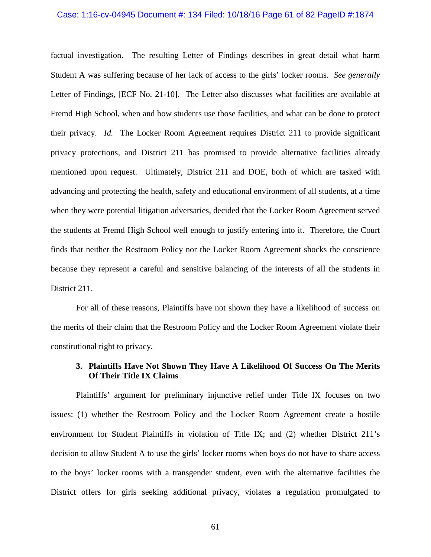#### Case: 1:16-cv-04945 Document #: 134 Filed: 10/18/16 Page 61 of 82 PageID #:1874

factual investigation. The resulting Letter of Findings describes in great detail what harm Student A was suffering because of her lack of access to the girls' locker rooms. *See generally*  Letter of Findings, [ECF No. 21-10]. The Letter also discusses what facilities are available at Fremd High School, when and how students use those facilities, and what can be done to protect their privacy. *Id.* The Locker Room Agreement requires District 211 to provide significant privacy protections, and District 211 has promised to provide alternative facilities already mentioned upon request. Ultimately, District 211 and DOE, both of which are tasked with advancing and protecting the health, safety and educational environment of all students, at a time when they were potential litigation adversaries, decided that the Locker Room Agreement served the students at Fremd High School well enough to justify entering into it. Therefore, the Court finds that neither the Restroom Policy nor the Locker Room Agreement shocks the conscience because they represent a careful and sensitive balancing of the interests of all the students in District 211.

For all of these reasons, Plaintiffs have not shown they have a likelihood of success on the merits of their claim that the Restroom Policy and the Locker Room Agreement violate their constitutional right to privacy.

# **3. Plaintiffs Have Not Shown They Have A Likelihood Of Success On The Merits Of Their Title IX Claims**

Plaintiffs' argument for preliminary injunctive relief under Title IX focuses on two issues: (1) whether the Restroom Policy and the Locker Room Agreement create a hostile environment for Student Plaintiffs in violation of Title IX; and (2) whether District 211's decision to allow Student A to use the girls' locker rooms when boys do not have to share access to the boys' locker rooms with a transgender student, even with the alternative facilities the District offers for girls seeking additional privacy, violates a regulation promulgated to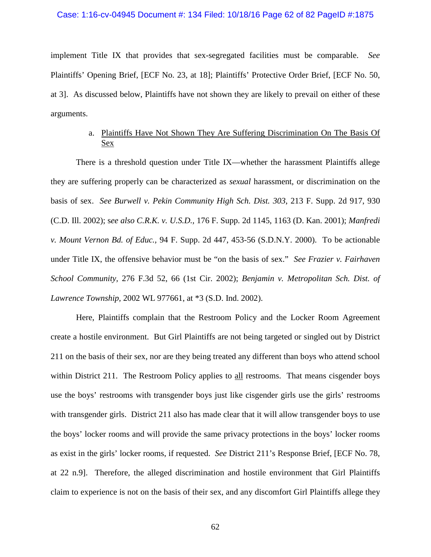## Case: 1:16-cv-04945 Document #: 134 Filed: 10/18/16 Page 62 of 82 PageID #:1875

implement Title IX that provides that sex-segregated facilities must be comparable. *See* Plaintiffs' Opening Brief, [ECF No. 23, at 18]; Plaintiffs' Protective Order Brief, [ECF No. 50, at 3]. As discussed below, Plaintiffs have not shown they are likely to prevail on either of these arguments.

# a. Plaintiffs Have Not Shown They Are Suffering Discrimination On The Basis Of Sex

There is a threshold question under Title IX—whether the harassment Plaintiffs allege they are suffering properly can be characterized as *sexual* harassment, or discrimination on the basis of sex. *See Burwell v. Pekin Community High Sch. Dist. 303*, 213 F. Supp. 2d 917, 930 (C.D. Ill. 2002); s*ee also C.R.K. v. U.S.D.,* 176 F. Supp. 2d 1145, 1163 (D. Kan. 2001); *Manfredi v. Mount Vernon Bd. of Educ.,* 94 F. Supp. 2d 447, 453-56 (S.D.N.Y. 2000). To be actionable under Title IX, the offensive behavior must be "on the basis of sex." *See Frazier v. Fairhaven School Community,* 276 F.3d 52, 66 (1st Cir. 2002); *Benjamin v. Metropolitan Sch. Dist. of Lawrence Township,* 2002 WL 977661, at \*3 (S.D. Ind. 2002).

Here, Plaintiffs complain that the Restroom Policy and the Locker Room Agreement create a hostile environment. But Girl Plaintiffs are not being targeted or singled out by District 211 on the basis of their sex, nor are they being treated any different than boys who attend school within District 211. The Restroom Policy applies to all restrooms. That means cisgender boys use the boys' restrooms with transgender boys just like cisgender girls use the girls' restrooms with transgender girls. District 211 also has made clear that it will allow transgender boys to use the boys' locker rooms and will provide the same privacy protections in the boys' locker rooms as exist in the girls' locker rooms, if requested. *See* District 211's Response Brief, [ECF No. 78, at 22 n.9]. Therefore, the alleged discrimination and hostile environment that Girl Plaintiffs claim to experience is not on the basis of their sex, and any discomfort Girl Plaintiffs allege they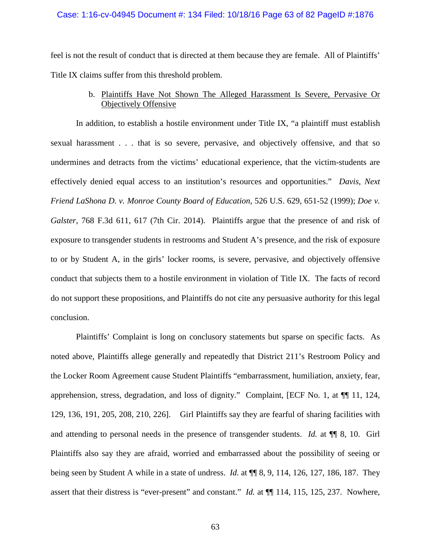## Case: 1:16-cv-04945 Document #: 134 Filed: 10/18/16 Page 63 of 82 PageID #:1876

feel is not the result of conduct that is directed at them because they are female. All of Plaintiffs' Title IX claims suffer from this threshold problem.

# b. Plaintiffs Have Not Shown The Alleged Harassment Is Severe, Pervasive Or Objectively Offensive

In addition, to establish a hostile environment under Title IX, "a plaintiff must establish sexual harassment . . . that is so severe, pervasive, and objectively offensive, and that so undermines and detracts from the victims' educational experience, that the victim-students are effectively denied equal access to an institution's resources and opportunities." *Davis, Next Friend LaShona D. v. Monroe County Board of Education*, 526 U.S. 629, 651-52 (1999); *Doe v. Galster*, 768 F.3d 611, 617 (7th Cir. 2014). Plaintiffs argue that the presence of and risk of exposure to transgender students in restrooms and Student A's presence, and the risk of exposure to or by Student A, in the girls' locker rooms, is severe, pervasive, and objectively offensive conduct that subjects them to a hostile environment in violation of Title IX. The facts of record do not support these propositions, and Plaintiffs do not cite any persuasive authority for this legal conclusion.

Plaintiffs' Complaint is long on conclusory statements but sparse on specific facts. As noted above, Plaintiffs allege generally and repeatedly that District 211's Restroom Policy and the Locker Room Agreement cause Student Plaintiffs "embarrassment, humiliation, anxiety, fear, apprehension, stress, degradation, and loss of dignity." Complaint, [ECF No. 1, at ¶¶ 11, 124, 129, 136, 191, 205, 208, 210, 226]. Girl Plaintiffs say they are fearful of sharing facilities with and attending to personal needs in the presence of transgender students. *Id.* at  $\P$  8, 10. Girl Plaintiffs also say they are afraid, worried and embarrassed about the possibility of seeing or being seen by Student A while in a state of undress. *Id.* at ¶¶ 8, 9, 114, 126, 127, 186, 187. They assert that their distress is "ever-present" and constant." *Id.* at  $\P$ [114, 115, 125, 237. Nowhere,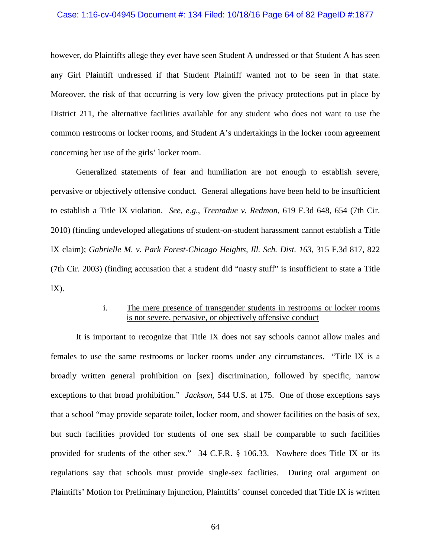## Case: 1:16-cv-04945 Document #: 134 Filed: 10/18/16 Page 64 of 82 PageID #:1877

however, do Plaintiffs allege they ever have seen Student A undressed or that Student A has seen any Girl Plaintiff undressed if that Student Plaintiff wanted not to be seen in that state. Moreover, the risk of that occurring is very low given the privacy protections put in place by District 211, the alternative facilities available for any student who does not want to use the common restrooms or locker rooms, and Student A's undertakings in the locker room agreement concerning her use of the girls' locker room.

Generalized statements of fear and humiliation are not enough to establish severe, pervasive or objectively offensive conduct. General allegations have been held to be insufficient to establish a Title IX violation. *See*, *e.g.*, *Trentadue v. Redmon*, 619 F.3d 648, 654 (7th Cir. 2010) (finding undeveloped allegations of student-on-student harassment cannot establish a Title IX claim); *Gabrielle M. v. Park Forest-Chicago Heights, Ill. Sch. Dist. 163*, 315 F.3d 817, 822 (7th Cir. 2003) (finding accusation that a student did "nasty stuff" is insufficient to state a Title  $IX$ ).

# i. The mere presence of transgender students in restrooms or locker rooms is not severe, pervasive, or objectively offensive conduct

It is important to recognize that Title IX does not say schools cannot allow males and females to use the same restrooms or locker rooms under any circumstances. "Title IX is a broadly written general prohibition on [sex] discrimination, followed by specific, narrow exceptions to that broad prohibition." *Jackson*, 544 U.S. at 175. One of those exceptions says that a school "may provide separate toilet, locker room, and shower facilities on the basis of sex, but such facilities provided for students of one sex shall be comparable to such facilities provided for students of the other sex." 34 C.F.R. § 106.33. Nowhere does Title IX or its regulations say that schools must provide single-sex facilities. During oral argument on Plaintiffs' Motion for Preliminary Injunction, Plaintiffs' counsel conceded that Title IX is written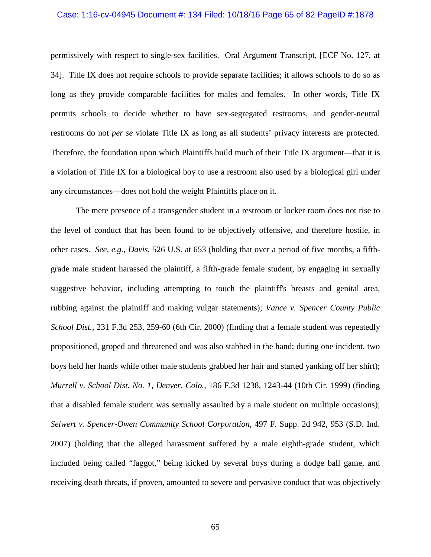## Case: 1:16-cv-04945 Document #: 134 Filed: 10/18/16 Page 65 of 82 PageID #:1878

permissively with respect to single-sex facilities. Oral Argument Transcript, [ECF No. 127, at 34]. Title IX does not require schools to provide separate facilities; it allows schools to do so as long as they provide comparable facilities for males and females. In other words, Title IX permits schools to decide whether to have sex-segregated restrooms, and gender-neutral restrooms do not *per se* violate Title IX as long as all students' privacy interests are protected. Therefore, the foundation upon which Plaintiffs build much of their Title IX argument—that it is a violation of Title IX for a biological boy to use a restroom also used by a biological girl under any circumstances—does not hold the weight Plaintiffs place on it.

The mere presence of a transgender student in a restroom or locker room does not rise to the level of conduct that has been found to be objectively offensive, and therefore hostile, in other cases. *See*, *e.g.*, *Davis*, 526 U.S. at 653 (holding that over a period of five months, a fifthgrade male student harassed the plaintiff, a fifth-grade female student, by engaging in sexually suggestive behavior, including attempting to touch the plaintiff's breasts and genital area, rubbing against the plaintiff and making vulgar statements); *Vance v. Spencer County Public School Dist.*, 231 F.3d 253, 259-60 (6th Cir. 2000) (finding that a female student was repeatedly propositioned, groped and threatened and was also stabbed in the hand; during one incident, two boys held her hands while other male students grabbed her hair and started yanking off her shirt); *Murrell v. School Dist. No. 1, Denver, Colo.,* 186 F.3d 1238, 1243-44 (10th Cir. 1999) (finding that a disabled female student was sexually assaulted by a male student on multiple occasions); *Seiwert v. Spencer-Owen Community School Corporation*, 497 F. Supp. 2d 942, 953 (S.D. Ind. 2007) (holding that the alleged harassment suffered by a male eighth-grade student, which included being called "faggot," being kicked by several boys during a dodge ball game, and receiving death threats, if proven, amounted to severe and pervasive conduct that was objectively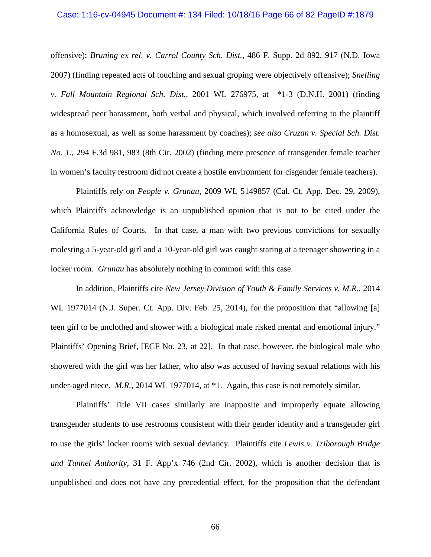#### Case: 1:16-cv-04945 Document #: 134 Filed: 10/18/16 Page 66 of 82 PageID #:1879

offensive); *Bruning ex rel. v. Carrol County Sch. Dist.*, 486 F. Supp. 2d 892, 917 (N.D. Iowa 2007) (finding repeated acts of touching and sexual groping were objectively offensive); *Snelling v. Fall Mountain Regional Sch. Dist.,* 2001 WL 276975, at \*1-3 (D.N.H. 2001) (finding widespread peer harassment, both verbal and physical, which involved referring to the plaintiff as a homosexual, as well as some harassment by coaches); *see also Cruzan v. Special Sch. Dist. No. 1.*, 294 F.3d 981, 983 (8th Cir. 2002) (finding mere presence of transgender female teacher in women's faculty restroom did not create a hostile environment for cisgender female teachers).

Plaintiffs rely on *People v. Grunau*, 2009 WL 5149857 (Cal. Ct. App. Dec. 29, 2009), which Plaintiffs acknowledge is an unpublished opinion that is not to be cited under the California Rules of Courts. In that case, a man with two previous convictions for sexually molesting a 5-year-old girl and a 10-year-old girl was caught staring at a teenager showering in a locker room. *Grunau* has absolutely nothing in common with this case.

In addition, Plaintiffs cite *New Jersey Division of Youth & Family Services v. M.R.*, 2014 WL 1977014 (N.J. Super. Ct. App. Div. Feb. 25, 2014), for the proposition that "allowing [a] teen girl to be unclothed and shower with a biological male risked mental and emotional injury." Plaintiffs' Opening Brief, [ECF No. 23, at 22]. In that case, however, the biological male who showered with the girl was her father, who also was accused of having sexual relations with his under-aged niece. *M.R.*, 2014 WL 1977014, at \*1. Again, this case is not remotely similar.

Plaintiffs' Title VII cases similarly are inapposite and improperly equate allowing transgender students to use restrooms consistent with their gender identity and a transgender girl to use the girls' locker rooms with sexual deviancy. Plaintiffs cite *Lewis v. Triborough Bridge and Tunnel Authority*, 31 F. App'x 746 (2nd Cir. 2002), which is another decision that is unpublished and does not have any precedential effect, for the proposition that the defendant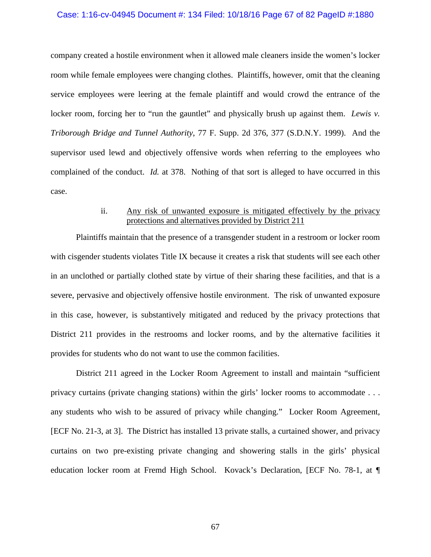## Case: 1:16-cv-04945 Document #: 134 Filed: 10/18/16 Page 67 of 82 PageID #:1880

company created a hostile environment when it allowed male cleaners inside the women's locker room while female employees were changing clothes. Plaintiffs, however, omit that the cleaning service employees were leering at the female plaintiff and would crowd the entrance of the locker room, forcing her to "run the gauntlet" and physically brush up against them. *Lewis v. Triborough Bridge and Tunnel Authority*, 77 F. Supp. 2d 376, 377 (S.D.N.Y. 1999). And the supervisor used lewd and objectively offensive words when referring to the employees who complained of the conduct. *Id.* at 378. Nothing of that sort is alleged to have occurred in this case.

# ii. Any risk of unwanted exposure is mitigated effectively by the privacy protections and alternatives provided by District 211

Plaintiffs maintain that the presence of a transgender student in a restroom or locker room with cisgender students violates Title IX because it creates a risk that students will see each other in an unclothed or partially clothed state by virtue of their sharing these facilities, and that is a severe, pervasive and objectively offensive hostile environment. The risk of unwanted exposure in this case, however, is substantively mitigated and reduced by the privacy protections that District 211 provides in the restrooms and locker rooms, and by the alternative facilities it provides for students who do not want to use the common facilities.

District 211 agreed in the Locker Room Agreement to install and maintain "sufficient privacy curtains (private changing stations) within the girls' locker rooms to accommodate . . . any students who wish to be assured of privacy while changing." Locker Room Agreement, [ECF No. 21-3, at 3]. The District has installed 13 private stalls, a curtained shower, and privacy curtains on two pre-existing private changing and showering stalls in the girls' physical education locker room at Fremd High School. Kovack's Declaration, [ECF No. 78-1, at ¶

67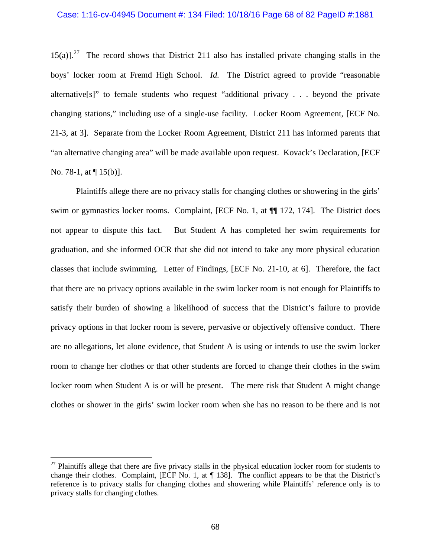#### Case: 1:16-cv-04945 Document #: 134 Filed: 10/18/16 Page 68 of 82 PageID #:1881

15(a)].<sup>[27](#page-67-0)</sup> The record shows that District 211 also has installed private changing stalls in the boys' locker room at Fremd High School. *Id.* The District agreed to provide "reasonable alternative[s]" to female students who request "additional privacy . . . beyond the private changing stations," including use of a single-use facility. Locker Room Agreement, [ECF No. 21-3, at 3]. Separate from the Locker Room Agreement, District 211 has informed parents that "an alternative changing area" will be made available upon request. Kovack's Declaration, [ECF No. 78-1, at  $\P$  15(b)].

Plaintiffs allege there are no privacy stalls for changing clothes or showering in the girls' swim or gymnastics locker rooms. Complaint, [ECF No. 1, at ¶¶ 172, 174]. The District does not appear to dispute this fact. But Student A has completed her swim requirements for graduation, and she informed OCR that she did not intend to take any more physical education classes that include swimming. Letter of Findings, [ECF No. 21-10, at 6]. Therefore, the fact that there are no privacy options available in the swim locker room is not enough for Plaintiffs to satisfy their burden of showing a likelihood of success that the District's failure to provide privacy options in that locker room is severe, pervasive or objectively offensive conduct. There are no allegations, let alone evidence, that Student A is using or intends to use the swim locker room to change her clothes or that other students are forced to change their clothes in the swim locker room when Student A is or will be present. The mere risk that Student A might change clothes or shower in the girls' swim locker room when she has no reason to be there and is not

<span id="page-67-0"></span><sup>&</sup>lt;sup>27</sup> Plaintiffs allege that there are five privacy stalls in the physical education locker room for students to change their clothes. Complaint, [ECF No. 1, at ¶ 138]. The conflict appears to be that the District's reference is to privacy stalls for changing clothes and showering while Plaintiffs' reference only is to privacy stalls for changing clothes.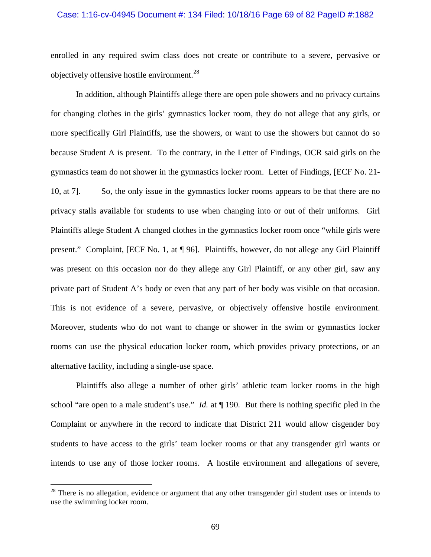## Case: 1:16-cv-04945 Document #: 134 Filed: 10/18/16 Page 69 of 82 PageID #:1882

enrolled in any required swim class does not create or contribute to a severe, pervasive or objectively offensive hostile environment.<sup>[28](#page-68-0)</sup>

In addition, although Plaintiffs allege there are open pole showers and no privacy curtains for changing clothes in the girls' gymnastics locker room, they do not allege that any girls, or more specifically Girl Plaintiffs, use the showers, or want to use the showers but cannot do so because Student A is present. To the contrary, in the Letter of Findings, OCR said girls on the gymnastics team do not shower in the gymnastics locker room. Letter of Findings, [ECF No. 21- 10, at 7]. So, the only issue in the gymnastics locker rooms appears to be that there are no privacy stalls available for students to use when changing into or out of their uniforms. Girl Plaintiffs allege Student A changed clothes in the gymnastics locker room once "while girls were present." Complaint, [ECF No. 1, at ¶ 96]. Plaintiffs, however, do not allege any Girl Plaintiff was present on this occasion nor do they allege any Girl Plaintiff, or any other girl, saw any private part of Student A's body or even that any part of her body was visible on that occasion. This is not evidence of a severe, pervasive, or objectively offensive hostile environment. Moreover, students who do not want to change or shower in the swim or gymnastics locker rooms can use the physical education locker room, which provides privacy protections, or an alternative facility, including a single-use space.

Plaintiffs also allege a number of other girls' athletic team locker rooms in the high school "are open to a male student's use." *Id.* at ¶ 190. But there is nothing specific pled in the Complaint or anywhere in the record to indicate that District 211 would allow cisgender boy students to have access to the girls' team locker rooms or that any transgender girl wants or intends to use any of those locker rooms. A hostile environment and allegations of severe,

<span id="page-68-0"></span><sup>&</sup>lt;sup>28</sup> There is no allegation, evidence or argument that any other transgender girl student uses or intends to use the swimming locker room.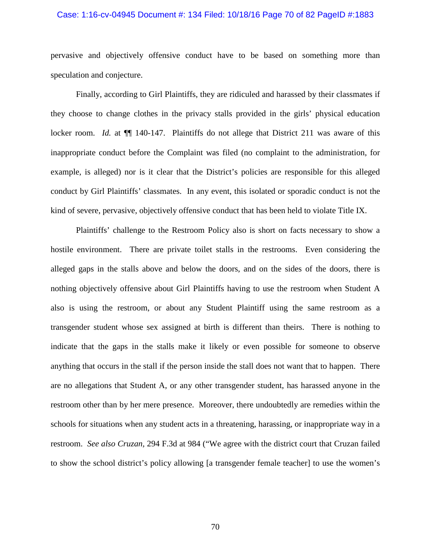#### Case: 1:16-cv-04945 Document #: 134 Filed: 10/18/16 Page 70 of 82 PageID #:1883

pervasive and objectively offensive conduct have to be based on something more than speculation and conjecture.

Finally, according to Girl Plaintiffs, they are ridiculed and harassed by their classmates if they choose to change clothes in the privacy stalls provided in the girls' physical education locker room. *Id.* at  $\P$  140-147. Plaintiffs do not allege that District 211 was aware of this inappropriate conduct before the Complaint was filed (no complaint to the administration, for example, is alleged) nor is it clear that the District's policies are responsible for this alleged conduct by Girl Plaintiffs' classmates. In any event, this isolated or sporadic conduct is not the kind of severe, pervasive, objectively offensive conduct that has been held to violate Title IX.

Plaintiffs' challenge to the Restroom Policy also is short on facts necessary to show a hostile environment. There are private toilet stalls in the restrooms. Even considering the alleged gaps in the stalls above and below the doors, and on the sides of the doors, there is nothing objectively offensive about Girl Plaintiffs having to use the restroom when Student A also is using the restroom, or about any Student Plaintiff using the same restroom as a transgender student whose sex assigned at birth is different than theirs. There is nothing to indicate that the gaps in the stalls make it likely or even possible for someone to observe anything that occurs in the stall if the person inside the stall does not want that to happen. There are no allegations that Student A, or any other transgender student, has harassed anyone in the restroom other than by her mere presence. Moreover, there undoubtedly are remedies within the schools for situations when any student acts in a threatening, harassing, or inappropriate way in a restroom. *See also Cruzan,* 294 F.3d at 984 ("We agree with the district court that Cruzan failed to show the school district's policy allowing [a transgender female teacher] to use the women's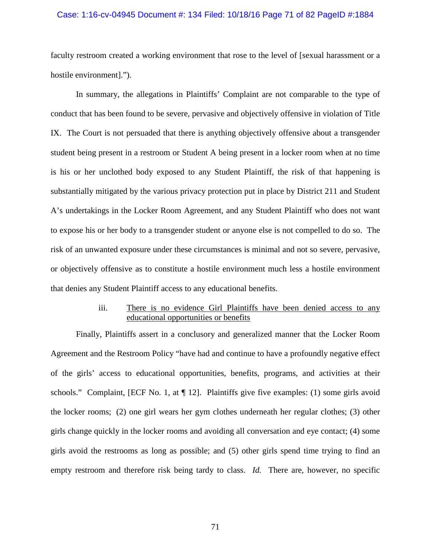## Case: 1:16-cv-04945 Document #: 134 Filed: 10/18/16 Page 71 of 82 PageID #:1884

faculty restroom created a working environment that rose to the level of [sexual harassment or a hostile environment].").

In summary, the allegations in Plaintiffs' Complaint are not comparable to the type of conduct that has been found to be severe, pervasive and objectively offensive in violation of Title IX. The Court is not persuaded that there is anything objectively offensive about a transgender student being present in a restroom or Student A being present in a locker room when at no time is his or her unclothed body exposed to any Student Plaintiff, the risk of that happening is substantially mitigated by the various privacy protection put in place by District 211 and Student A's undertakings in the Locker Room Agreement, and any Student Plaintiff who does not want to expose his or her body to a transgender student or anyone else is not compelled to do so. The risk of an unwanted exposure under these circumstances is minimal and not so severe, pervasive, or objectively offensive as to constitute a hostile environment much less a hostile environment that denies any Student Plaintiff access to any educational benefits.

# iii. There is no evidence Girl Plaintiffs have been denied access to any educational opportunities or benefits

Finally, Plaintiffs assert in a conclusory and generalized manner that the Locker Room Agreement and the Restroom Policy "have had and continue to have a profoundly negative effect of the girls' access to educational opportunities, benefits, programs, and activities at their schools." Complaint, [ECF No. 1, at  $\P$  12]. Plaintiffs give five examples: (1) some girls avoid the locker rooms; (2) one girl wears her gym clothes underneath her regular clothes; (3) other girls change quickly in the locker rooms and avoiding all conversation and eye contact; (4) some girls avoid the restrooms as long as possible; and (5) other girls spend time trying to find an empty restroom and therefore risk being tardy to class. *Id.* There are, however, no specific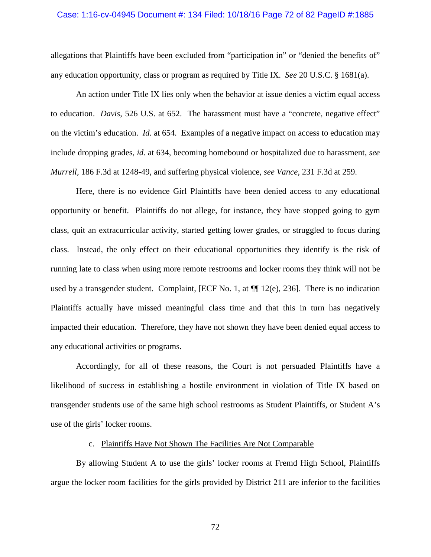#### Case: 1:16-cv-04945 Document #: 134 Filed: 10/18/16 Page 72 of 82 PageID #:1885

allegations that Plaintiffs have been excluded from "participation in" or "denied the benefits of" any education opportunity, class or program as required by Title IX. *See* 20 U.S.C. § 1681(a).

An action under Title IX lies only when the behavior at issue denies a victim equal access to education. *Davis*, 526 U.S. at 652. The harassment must have a "concrete, negative effect" on the victim's education. *Id.* at 654. Examples of a negative impact on access to education may include dropping grades, *id.* at 634, becoming homebound or hospitalized due to harassment, *see Murrell,* 186 F.3d at 1248-49, and suffering physical violence, *see Vance,* 231 F.3d at 259.

Here, there is no evidence Girl Plaintiffs have been denied access to any educational opportunity or benefit. Plaintiffs do not allege, for instance, they have stopped going to gym class, quit an extracurricular activity, started getting lower grades, or struggled to focus during class. Instead, the only effect on their educational opportunities they identify is the risk of running late to class when using more remote restrooms and locker rooms they think will not be used by a transgender student. Complaint, [ECF No. 1, at  $\P$ ] 12(e), 236]. There is no indication Plaintiffs actually have missed meaningful class time and that this in turn has negatively impacted their education. Therefore, they have not shown they have been denied equal access to any educational activities or programs.

Accordingly, for all of these reasons, the Court is not persuaded Plaintiffs have a likelihood of success in establishing a hostile environment in violation of Title IX based on transgender students use of the same high school restrooms as Student Plaintiffs, or Student A's use of the girls' locker rooms.

### c. Plaintiffs Have Not Shown The Facilities Are Not Comparable

By allowing Student A to use the girls' locker rooms at Fremd High School, Plaintiffs argue the locker room facilities for the girls provided by District 211 are inferior to the facilities

72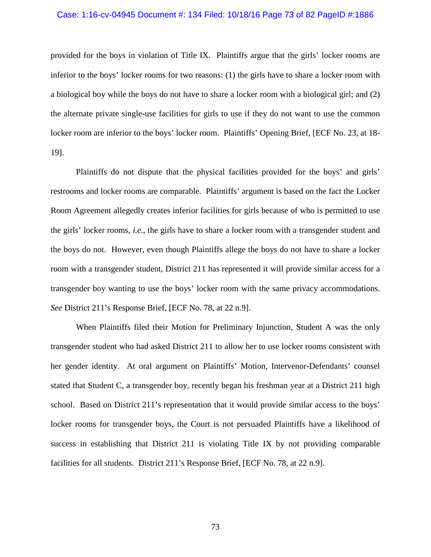#### Case: 1:16-cv-04945 Document #: 134 Filed: 10/18/16 Page 73 of 82 PageID #:1886

provided for the boys in violation of Title IX. Plaintiffs argue that the girls' locker rooms are inferior to the boys' locker rooms for two reasons: (1) the girls have to share a locker room with a biological boy while the boys do not have to share a locker room with a biological girl; and (2) the alternate private single-use facilities for girls to use if they do not want to use the common locker room are inferior to the boys' locker room. Plaintiffs' Opening Brief, [ECF No. 23, at 18- 19].

Plaintiffs do not dispute that the physical facilities provided for the boys' and girls' restrooms and locker rooms are comparable. Plaintiffs' argument is based on the fact the Locker Room Agreement allegedly creates inferior facilities for girls because of who is permitted to use the girls' locker rooms, *i.e*., the girls have to share a locker room with a transgender student and the boys do not. However, even though Plaintiffs allege the boys do not have to share a locker room with a transgender student, District 211 has represented it will provide similar access for a transgender boy wanting to use the boys' locker room with the same privacy accommodations. *See* District 211's Response Brief, [ECF No. 78, at 22 n.9].

When Plaintiffs filed their Motion for Preliminary Injunction, Student A was the only transgender student who had asked District 211 to allow her to use locker rooms consistent with her gender identity. At oral argument on Plaintiffs' Motion, Intervenor-Defendants' counsel stated that Student C, a transgender boy, recently began his freshman year at a District 211 high school. Based on District 211's representation that it would provide similar access to the boys' locker rooms for transgender boys, the Court is not persuaded Plaintiffs have a likelihood of success in establishing that District 211 is violating Title IX by not providing comparable facilities for all students. District 211's Response Brief, [ECF No. 78, at 22 n.9].

73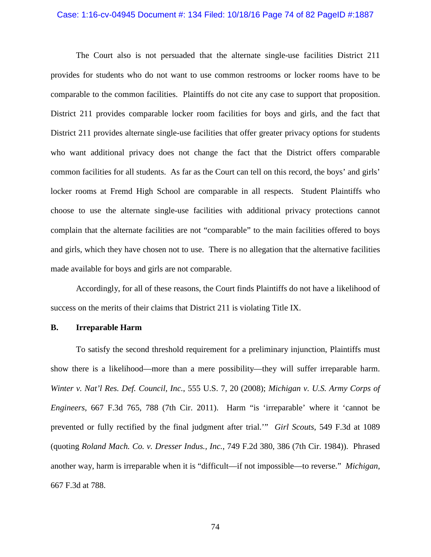#### Case: 1:16-cv-04945 Document #: 134 Filed: 10/18/16 Page 74 of 82 PageID #:1887

The Court also is not persuaded that the alternate single-use facilities District 211 provides for students who do not want to use common restrooms or locker rooms have to be comparable to the common facilities. Plaintiffs do not cite any case to support that proposition. District 211 provides comparable locker room facilities for boys and girls, and the fact that District 211 provides alternate single-use facilities that offer greater privacy options for students who want additional privacy does not change the fact that the District offers comparable common facilities for all students. As far as the Court can tell on this record, the boys' and girls' locker rooms at Fremd High School are comparable in all respects. Student Plaintiffs who choose to use the alternate single-use facilities with additional privacy protections cannot complain that the alternate facilities are not "comparable" to the main facilities offered to boys and girls, which they have chosen not to use. There is no allegation that the alternative facilities made available for boys and girls are not comparable.

Accordingly, for all of these reasons, the Court finds Plaintiffs do not have a likelihood of success on the merits of their claims that District 211 is violating Title IX.

### **B. Irreparable Harm**

To satisfy the second threshold requirement for a preliminary injunction, Plaintiffs must show there is a likelihood—more than a mere possibility—they will suffer irreparable harm. *Winter v. Nat'l Res. Def. Council, Inc.*, 555 U.S. 7, 20 (2008); *Michigan v. U.S. Army Corps of Engineers*, 667 F.3d 765, 788 (7th Cir. 2011). Harm "is 'irreparable' where it 'cannot be prevented or fully rectified by the final judgment after trial.'" *Girl Scouts*, 549 F.3d at 1089 (quoting *Roland Mach. Co. v. Dresser Indus., Inc.*, 749 F.2d 380, 386 (7th Cir. 1984)). Phrased another way, harm is irreparable when it is "difficult—if not impossible—to reverse." *Michigan*, 667 F.3d at 788.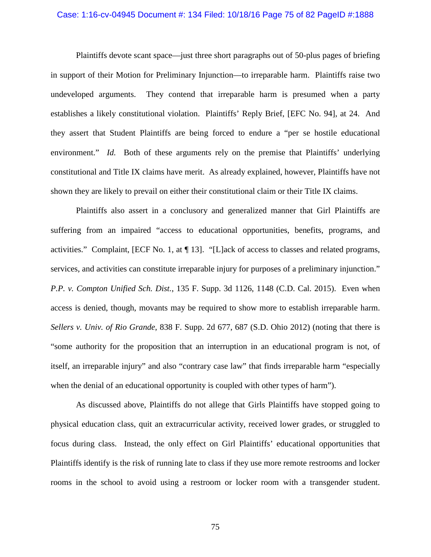## Case: 1:16-cv-04945 Document #: 134 Filed: 10/18/16 Page 75 of 82 PageID #:1888

Plaintiffs devote scant space—just three short paragraphs out of 50-plus pages of briefing in support of their Motion for Preliminary Injunction—to irreparable harm. Plaintiffs raise two undeveloped arguments. They contend that irreparable harm is presumed when a party establishes a likely constitutional violation. Plaintiffs' Reply Brief, [EFC No. 94], at 24. And they assert that Student Plaintiffs are being forced to endure a "per se hostile educational environment." *Id.* Both of these arguments rely on the premise that Plaintiffs' underlying constitutional and Title IX claims have merit. As already explained, however, Plaintiffs have not shown they are likely to prevail on either their constitutional claim or their Title IX claims.

Plaintiffs also assert in a conclusory and generalized manner that Girl Plaintiffs are suffering from an impaired "access to educational opportunities, benefits, programs, and activities." Complaint, [ECF No. 1, at ¶ 13]. "[L]ack of access to classes and related programs, services, and activities can constitute irreparable injury for purposes of a preliminary injunction." *P.P. v. Compton Unified Sch. Dist.*, 135 F. Supp. 3d 1126, 1148 (C.D. Cal. 2015). Even when access is denied, though, movants may be required to show more to establish irreparable harm. *Sellers v. Univ. of Rio Grande*, 838 F. Supp. 2d 677, 687 (S.D. Ohio 2012) (noting that there is "some authority for the proposition that an interruption in an educational program is not, of itself, an irreparable injury" and also "contrary case law" that finds irreparable harm "especially when the denial of an educational opportunity is coupled with other types of harm").

As discussed above, Plaintiffs do not allege that Girls Plaintiffs have stopped going to physical education class, quit an extracurricular activity, received lower grades, or struggled to focus during class. Instead, the only effect on Girl Plaintiffs' educational opportunities that Plaintiffs identify is the risk of running late to class if they use more remote restrooms and locker rooms in the school to avoid using a restroom or locker room with a transgender student.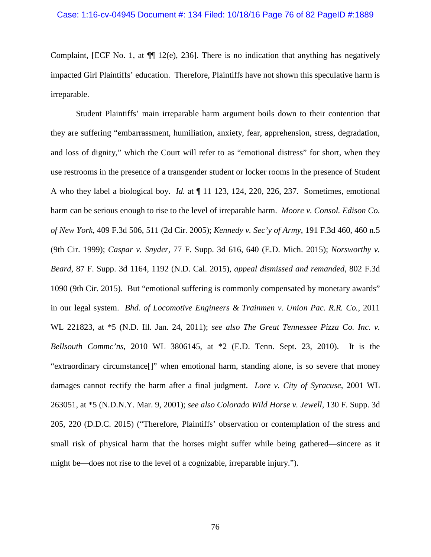#### Case: 1:16-cv-04945 Document #: 134 Filed: 10/18/16 Page 76 of 82 PageID #:1889

Complaint, [ECF No. 1, at  $\P$  12(e), 236. There is no indication that anything has negatively impacted Girl Plaintiffs' education. Therefore, Plaintiffs have not shown this speculative harm is irreparable.

Student Plaintiffs' main irreparable harm argument boils down to their contention that they are suffering "embarrassment, humiliation, anxiety, fear, apprehension, stress, degradation, and loss of dignity," which the Court will refer to as "emotional distress" for short, when they use restrooms in the presence of a transgender student or locker rooms in the presence of Student A who they label a biological boy. *Id.* at ¶ 11 123, 124, 220, 226, 237. Sometimes, emotional harm can be serious enough to rise to the level of irreparable harm. *Moore v. Consol. Edison Co. of New York*, 409 F.3d 506, 511 (2d Cir. 2005); *Kennedy v. Sec'y of Army*, 191 F.3d 460, 460 n.5 (9th Cir. 1999); *Caspar v. Snyder*, 77 F. Supp. 3d 616, 640 (E.D. Mich. 2015); *Norsworthy v. Beard*, 87 F. Supp. 3d 1164, 1192 (N.D. Cal. 2015), *appeal dismissed and remanded*, 802 F.3d 1090 (9th Cir. 2015). But "emotional suffering is commonly compensated by monetary awards" in our legal system. *Bhd. of Locomotive Engineers & Trainmen v. Union Pac. R.R. Co.*, 2011 WL 221823, at \*5 (N.D. Ill. Jan. 24, 2011); *see also The Great Tennessee Pizza Co. Inc. v. Bellsouth Commc'ns*, 2010 WL 3806145, at \*2 (E.D. Tenn. Sept. 23, 2010). It is the "extraordinary circumstance[]" when emotional harm, standing alone, is so severe that money damages cannot rectify the harm after a final judgment. *Lore v. City of Syracuse*, 2001 WL 263051, at \*5 (N.D.N.Y. Mar. 9, 2001); *see also Colorado Wild Horse v. Jewell*, 130 F. Supp. 3d 205, 220 (D.D.C. 2015) ("Therefore, Plaintiffs' observation or contemplation of the stress and small risk of physical harm that the horses might suffer while being gathered—sincere as it might be—does not rise to the level of a cognizable, irreparable injury.").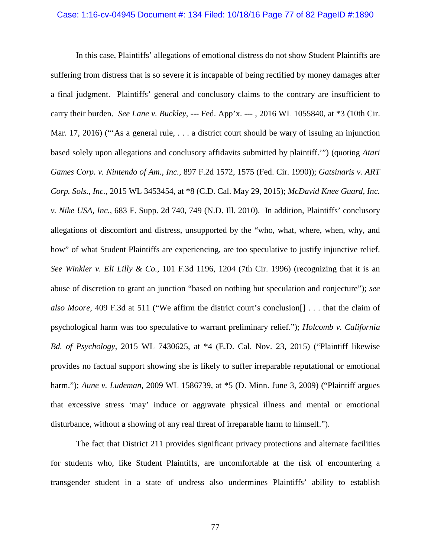## Case: 1:16-cv-04945 Document #: 134 Filed: 10/18/16 Page 77 of 82 PageID #:1890

In this case, Plaintiffs' allegations of emotional distress do not show Student Plaintiffs are suffering from distress that is so severe it is incapable of being rectified by money damages after a final judgment. Plaintiffs' general and conclusory claims to the contrary are insufficient to carry their burden. *See Lane v. Buckley*, --- Fed. App'x. --- , 2016 WL 1055840, at \*3 (10th Cir. Mar. 17, 2016) ("As a general rule, ... a district court should be wary of issuing an injunction based solely upon allegations and conclusory affidavits submitted by plaintiff.'") (quoting *Atari Games Corp. v. Nintendo of Am., Inc.,* 897 F.2d 1572, 1575 (Fed. Cir. 1990)); *Gatsinaris v. ART Corp. Sols., Inc.*, 2015 WL 3453454, at \*8 (C.D. Cal. May 29, 2015); *McDavid Knee Guard, Inc. v. Nike USA, Inc.*, 683 F. Supp. 2d 740, 749 (N.D. Ill. 2010). In addition, Plaintiffs' conclusory allegations of discomfort and distress, unsupported by the "who, what, where, when, why, and how" of what Student Plaintiffs are experiencing, are too speculative to justify injunctive relief. *See Winkler v. Eli Lilly & Co.*, 101 F.3d 1196, 1204 (7th Cir. 1996) (recognizing that it is an abuse of discretion to grant an junction "based on nothing but speculation and conjecture"); *see also Moore*, 409 F.3d at 511 ("We affirm the district court's conclusion[] . . . that the claim of psychological harm was too speculative to warrant preliminary relief."); *Holcomb v. California Bd. of Psychology*, 2015 WL 7430625, at \*4 (E.D. Cal. Nov. 23, 2015) ("Plaintiff likewise provides no factual support showing she is likely to suffer irreparable reputational or emotional harm."); *Aune v. Ludeman*, 2009 WL 1586739, at \*5 (D. Minn. June 3, 2009) ("Plaintiff argues that excessive stress 'may' induce or aggravate physical illness and mental or emotional disturbance, without a showing of any real threat of irreparable harm to himself.").

The fact that District 211 provides significant privacy protections and alternate facilities for students who, like Student Plaintiffs, are uncomfortable at the risk of encountering a transgender student in a state of undress also undermines Plaintiffs' ability to establish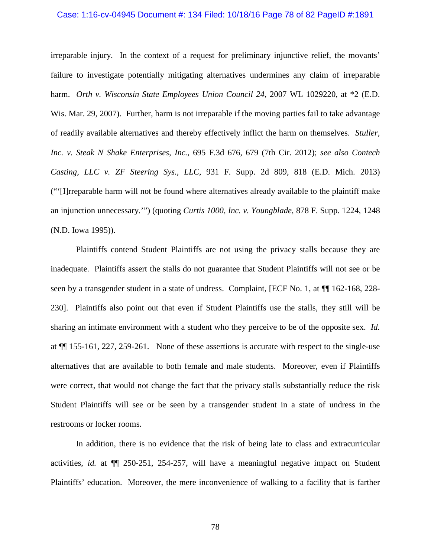#### Case: 1:16-cv-04945 Document #: 134 Filed: 10/18/16 Page 78 of 82 PageID #:1891

irreparable injury. In the context of a request for preliminary injunctive relief, the movants' failure to investigate potentially mitigating alternatives undermines any claim of irreparable harm. *Orth v. Wisconsin State Employees Union Council 24*, 2007 WL 1029220, at \*2 (E.D. Wis. Mar. 29, 2007). Further, harm is not irreparable if the moving parties fail to take advantage of readily available alternatives and thereby effectively inflict the harm on themselves. *Stuller, Inc. v. Steak N Shake Enterprises, Inc.*, 695 F.3d 676, 679 (7th Cir. 2012); *see also Contech Casting, LLC v. ZF Steering Sys., LLC*, 931 F. Supp. 2d 809, 818 (E.D. Mich. 2013) ("'[I]rreparable harm will not be found where alternatives already available to the plaintiff make an injunction unnecessary.'") (quoting *Curtis 1000, Inc. v. Youngblade*, 878 F. Supp. 1224, 1248 (N.D. Iowa 1995)).

Plaintiffs contend Student Plaintiffs are not using the privacy stalls because they are inadequate. Plaintiffs assert the stalls do not guarantee that Student Plaintiffs will not see or be seen by a transgender student in a state of undress. Complaint, [ECF No. 1, at ¶¶ 162-168, 228- 230]. Plaintiffs also point out that even if Student Plaintiffs use the stalls, they still will be sharing an intimate environment with a student who they perceive to be of the opposite sex. *Id.* at ¶¶ 155-161, 227, 259-261. None of these assertions is accurate with respect to the single-use alternatives that are available to both female and male students. Moreover, even if Plaintiffs were correct, that would not change the fact that the privacy stalls substantially reduce the risk Student Plaintiffs will see or be seen by a transgender student in a state of undress in the restrooms or locker rooms.

In addition, there is no evidence that the risk of being late to class and extracurricular activities, *id.* at ¶¶ 250-251, 254-257, will have a meaningful negative impact on Student Plaintiffs' education. Moreover, the mere inconvenience of walking to a facility that is farther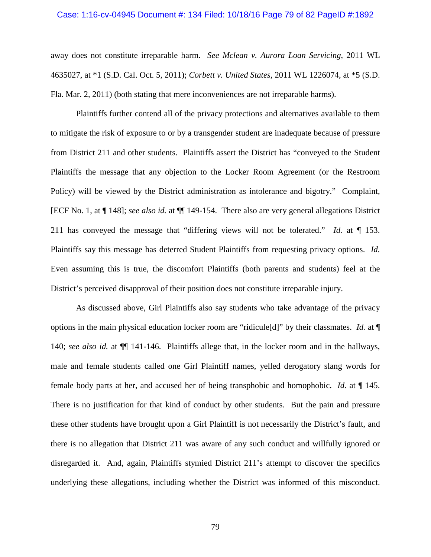#### Case: 1:16-cv-04945 Document #: 134 Filed: 10/18/16 Page 79 of 82 PageID #:1892

away does not constitute irreparable harm. *See Mclean v. Aurora Loan Servicing*, 2011 WL 4635027, at \*1 (S.D. Cal. Oct. 5, 2011); *Corbett v. United States*, 2011 WL 1226074, at \*5 (S.D. Fla. Mar. 2, 2011) (both stating that mere inconveniences are not irreparable harms).

Plaintiffs further contend all of the privacy protections and alternatives available to them to mitigate the risk of exposure to or by a transgender student are inadequate because of pressure from District 211 and other students. Plaintiffs assert the District has "conveyed to the Student Plaintiffs the message that any objection to the Locker Room Agreement (or the Restroom Policy) will be viewed by the District administration as intolerance and bigotry." Complaint, [ECF No. 1, at ¶ 148]; *see also id.* at ¶¶ 149-154. There also are very general allegations District 211 has conveyed the message that "differing views will not be tolerated." *Id.* at ¶ 153. Plaintiffs say this message has deterred Student Plaintiffs from requesting privacy options. *Id.*  Even assuming this is true, the discomfort Plaintiffs (both parents and students) feel at the District's perceived disapproval of their position does not constitute irreparable injury.

As discussed above, Girl Plaintiffs also say students who take advantage of the privacy options in the main physical education locker room are "ridicule[d]" by their classmates. *Id.* at ¶ 140; *see also id.* at ¶¶ 141-146. Plaintiffs allege that, in the locker room and in the hallways, male and female students called one Girl Plaintiff names, yelled derogatory slang words for female body parts at her, and accused her of being transphobic and homophobic. *Id.* at ¶ 145. There is no justification for that kind of conduct by other students. But the pain and pressure these other students have brought upon a Girl Plaintiff is not necessarily the District's fault, and there is no allegation that District 211 was aware of any such conduct and willfully ignored or disregarded it. And, again, Plaintiffs stymied District 211's attempt to discover the specifics underlying these allegations, including whether the District was informed of this misconduct.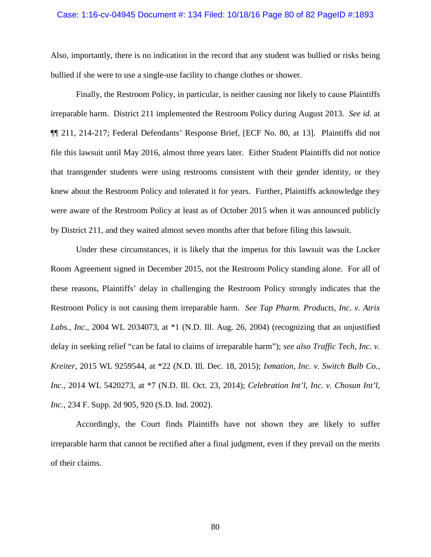#### Case: 1:16-cv-04945 Document #: 134 Filed: 10/18/16 Page 80 of 82 PageID #:1893

Also, importantly, there is no indication in the record that any student was bullied or risks being bullied if she were to use a single-use facility to change clothes or shower.

Finally, the Restroom Policy, in particular, is neither causing nor likely to cause Plaintiffs irreparable harm. District 211 implemented the Restroom Policy during August 2013. *See id.* at ¶¶ 211, 214-217; Federal Defendants' Response Brief, [ECF No. 80, at 13]. Plaintiffs did not file this lawsuit until May 2016, almost three years later. Either Student Plaintiffs did not notice that transgender students were using restrooms consistent with their gender identity, or they knew about the Restroom Policy and tolerated it for years. Further, Plaintiffs acknowledge they were aware of the Restroom Policy at least as of October 2015 when it was announced publicly by District 211, and they waited almost seven months after that before filing this lawsuit.

Under these circumstances, it is likely that the impetus for this lawsuit was the Locker Room Agreement signed in December 2015, not the Restroom Policy standing alone. For all of these reasons, Plaintiffs' delay in challenging the Restroom Policy strongly indicates that the Restroom Policy is not causing them irreparable harm. *See Tap Pharm. Products, Inc. v. Atrix Labs., Inc.*, 2004 WL 2034073, at \*1 (N.D. Ill. Aug. 26, 2004) (recognizing that an unjustified delay in seeking relief "can be fatal to claims of irreparable harm"); *see also Traffic Tech, Inc. v. Kreiter*, 2015 WL 9259544, at \*22 (N.D. Ill. Dec. 18, 2015); *Ixmation, Inc. v. Switch Bulb Co., Inc.*, 2014 WL 5420273, at \*7 (N.D. Ill. Oct. 23, 2014); *Celebration Int'l, Inc. v. Chosun Int'l, Inc.*, 234 F. Supp. 2d 905, 920 (S.D. Ind. 2002).

Accordingly, the Court finds Plaintiffs have not shown they are likely to suffer irreparable harm that cannot be rectified after a final judgment, even if they prevail on the merits of their claims.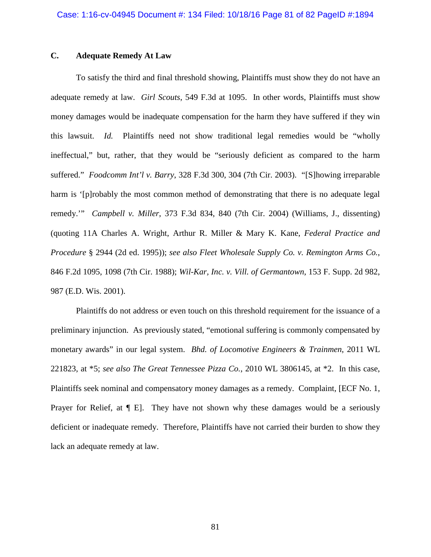## **C. Adequate Remedy At Law**

To satisfy the third and final threshold showing, Plaintiffs must show they do not have an adequate remedy at law. *Girl Scouts*, 549 F.3d at 1095. In other words, Plaintiffs must show money damages would be inadequate compensation for the harm they have suffered if they win this lawsuit. *Id.* Plaintiffs need not show traditional legal remedies would be "wholly ineffectual," but, rather, that they would be "seriously deficient as compared to the harm suffered." *Foodcomm Int'l v. Barry*, 328 F.3d 300, 304 (7th Cir. 2003). "[S]howing irreparable harm is '[p]robably the most common method of demonstrating that there is no adequate legal remedy.'" *Campbell v. Miller*, 373 F.3d 834, 840 (7th Cir. 2004) (Williams, J., dissenting) (quoting 11A Charles A. Wright, Arthur R. Miller & Mary K. Kane, *Federal Practice and Procedure* § 2944 (2d ed. 1995)); *see also Fleet Wholesale Supply Co. v. Remington Arms Co.*, 846 F.2d 1095, 1098 (7th Cir. 1988); *Wil-Kar, Inc. v. Vill. of Germantown*, 153 F. Supp. 2d 982, 987 (E.D. Wis. 2001).

Plaintiffs do not address or even touch on this threshold requirement for the issuance of a preliminary injunction. As previously stated, "emotional suffering is commonly compensated by monetary awards" in our legal system. *Bhd. of Locomotive Engineers & Trainmen*, 2011 WL 221823, at \*5; *see also The Great Tennessee Pizza Co.*, 2010 WL 3806145, at \*2. In this case, Plaintiffs seek nominal and compensatory money damages as a remedy. Complaint, [ECF No. 1, Prayer for Relief, at  $\P$  E]. They have not shown why these damages would be a seriously deficient or inadequate remedy. Therefore, Plaintiffs have not carried their burden to show they lack an adequate remedy at law.